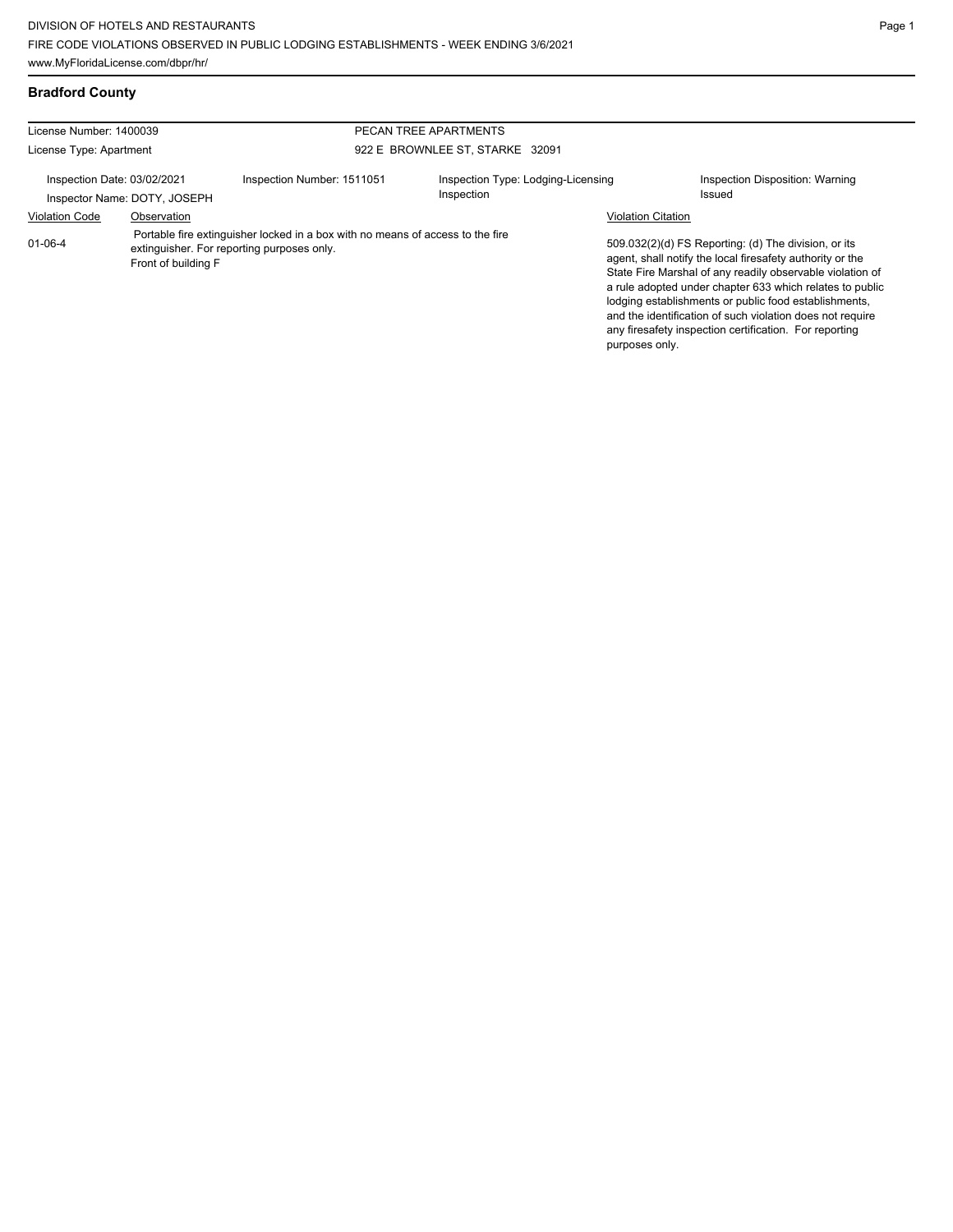#### **Bradford County**

| License Number: 1400039<br>License Type: Apartment                                                                                                                   |             |                            | PECAN TREE APARTMENTS                            |                                                                                                                                                                                                                                                                                                                                                                                                                            |                                           |  |
|----------------------------------------------------------------------------------------------------------------------------------------------------------------------|-------------|----------------------------|--------------------------------------------------|----------------------------------------------------------------------------------------------------------------------------------------------------------------------------------------------------------------------------------------------------------------------------------------------------------------------------------------------------------------------------------------------------------------------------|-------------------------------------------|--|
|                                                                                                                                                                      |             |                            | 922 E BROWNLEE ST, STARKE 32091                  |                                                                                                                                                                                                                                                                                                                                                                                                                            |                                           |  |
| Inspection Date: 03/02/2021<br>Inspector Name: DOTY, JOSEPH                                                                                                          |             | Inspection Number: 1511051 | Inspection Type: Lodging-Licensing<br>Inspection |                                                                                                                                                                                                                                                                                                                                                                                                                            | Inspection Disposition: Warning<br>Issued |  |
| <b>Violation Code</b>                                                                                                                                                | Observation |                            |                                                  | <b>Violation Citation</b>                                                                                                                                                                                                                                                                                                                                                                                                  |                                           |  |
| Portable fire extinguisher locked in a box with no means of access to the fire<br>$01 - 06 - 4$<br>extinguisher. For reporting purposes only.<br>Front of building F |             |                            | purposes only.                                   | 509.032(2)(d) FS Reporting: (d) The division, or its<br>agent, shall notify the local firesafety authority or the<br>State Fire Marshal of any readily observable violation of<br>a rule adopted under chapter 633 which relates to public<br>lodging establishments or public food establishments.<br>and the identification of such violation does not require<br>any firesafety inspection certification. For reporting |                                           |  |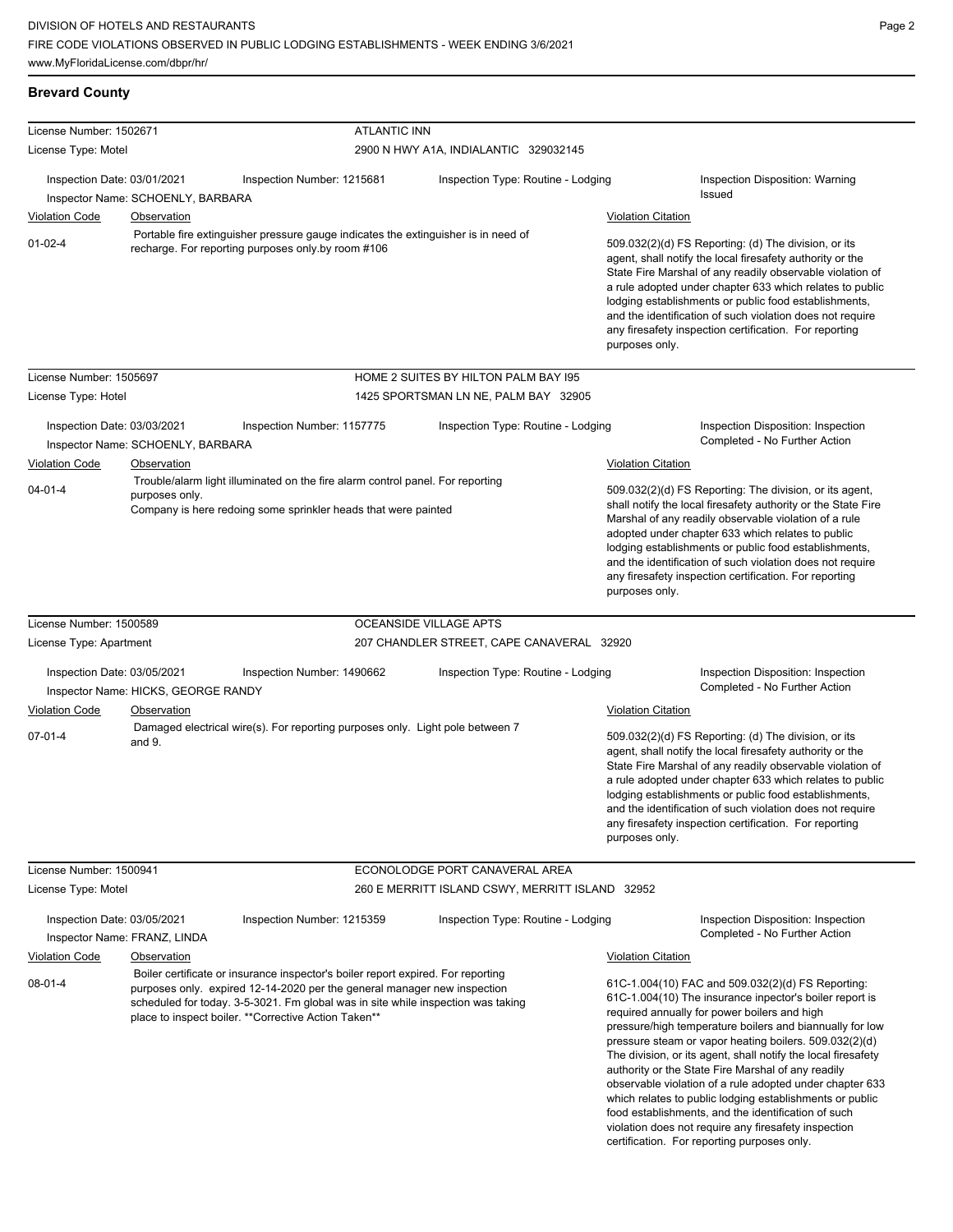ATLANTIC INN

violation does not require any firesafety inspection certification. For reporting purposes only.

| License Type: Motel                                         |                                                                                                                                                                                                                                                                                                           |                        | 2900 N HWY A1A, INDIALANTIC 329032145           |                           |                                                                                                                                                                                                                                                                                                                                                                                                                                                                                                                                                                                          |
|-------------------------------------------------------------|-----------------------------------------------------------------------------------------------------------------------------------------------------------------------------------------------------------------------------------------------------------------------------------------------------------|------------------------|-------------------------------------------------|---------------------------|------------------------------------------------------------------------------------------------------------------------------------------------------------------------------------------------------------------------------------------------------------------------------------------------------------------------------------------------------------------------------------------------------------------------------------------------------------------------------------------------------------------------------------------------------------------------------------------|
| Inspection Date: 03/01/2021                                 | Inspection Number: 1215681<br>Inspector Name: SCHOENLY, BARBARA                                                                                                                                                                                                                                           |                        | Inspection Type: Routine - Lodging              |                           | Inspection Disposition: Warning<br>Issued                                                                                                                                                                                                                                                                                                                                                                                                                                                                                                                                                |
| <b>Violation Code</b>                                       | <b>Observation</b>                                                                                                                                                                                                                                                                                        |                        |                                                 | <b>Violation Citation</b> |                                                                                                                                                                                                                                                                                                                                                                                                                                                                                                                                                                                          |
| $01 - 02 - 4$                                               | Portable fire extinguisher pressure gauge indicates the extinguisher is in need of<br>recharge. For reporting purposes only by room #106                                                                                                                                                                  |                        |                                                 | purposes only.            | 509.032(2)(d) FS Reporting: (d) The division, or its<br>agent, shall notify the local firesafety authority or the<br>State Fire Marshal of any readily observable violation of<br>a rule adopted under chapter 633 which relates to public<br>lodging establishments or public food establishments,<br>and the identification of such violation does not require<br>any firesafety inspection certification. For reporting                                                                                                                                                               |
| License Number: 1505697                                     |                                                                                                                                                                                                                                                                                                           |                        | HOME 2 SUITES BY HILTON PALM BAY 195            |                           |                                                                                                                                                                                                                                                                                                                                                                                                                                                                                                                                                                                          |
| License Type: Hotel                                         |                                                                                                                                                                                                                                                                                                           |                        | 1425 SPORTSMAN LN NE, PALM BAY 32905            |                           |                                                                                                                                                                                                                                                                                                                                                                                                                                                                                                                                                                                          |
| Inspection Date: 03/03/2021                                 | Inspection Number: 1157775<br>Inspector Name: SCHOENLY, BARBARA                                                                                                                                                                                                                                           |                        | Inspection Type: Routine - Lodging              |                           | Inspection Disposition: Inspection<br>Completed - No Further Action                                                                                                                                                                                                                                                                                                                                                                                                                                                                                                                      |
| <b>Violation Code</b>                                       | Observation                                                                                                                                                                                                                                                                                               |                        |                                                 | <b>Violation Citation</b> |                                                                                                                                                                                                                                                                                                                                                                                                                                                                                                                                                                                          |
| $04 - 01 - 4$                                               | Trouble/alarm light illuminated on the fire alarm control panel. For reporting<br>purposes only.<br>Company is here redoing some sprinkler heads that were painted                                                                                                                                        |                        |                                                 | purposes only.            | 509.032(2)(d) FS Reporting: The division, or its agent,<br>shall notify the local firesafety authority or the State Fire<br>Marshal of any readily observable violation of a rule<br>adopted under chapter 633 which relates to public<br>lodging establishments or public food establishments,<br>and the identification of such violation does not require<br>any firesafety inspection certification. For reporting                                                                                                                                                                   |
| License Number: 1500589                                     |                                                                                                                                                                                                                                                                                                           | OCEANSIDE VILLAGE APTS |                                                 |                           |                                                                                                                                                                                                                                                                                                                                                                                                                                                                                                                                                                                          |
| License Type: Apartment                                     |                                                                                                                                                                                                                                                                                                           |                        | 207 CHANDLER STREET, CAPE CANAVERAL 32920       |                           |                                                                                                                                                                                                                                                                                                                                                                                                                                                                                                                                                                                          |
| Inspection Date: 03/05/2021                                 | Inspection Number: 1490662<br>Inspector Name: HICKS, GEORGE RANDY                                                                                                                                                                                                                                         |                        | Inspection Type: Routine - Lodging              |                           | Inspection Disposition: Inspection<br>Completed - No Further Action                                                                                                                                                                                                                                                                                                                                                                                                                                                                                                                      |
| <b>Violation Code</b>                                       | Observation                                                                                                                                                                                                                                                                                               |                        |                                                 | <b>Violation Citation</b> |                                                                                                                                                                                                                                                                                                                                                                                                                                                                                                                                                                                          |
| $07 - 01 - 4$                                               | Damaged electrical wire(s). For reporting purposes only. Light pole between 7<br>and 9.                                                                                                                                                                                                                   |                        |                                                 | purposes only.            | 509.032(2)(d) FS Reporting: (d) The division, or its<br>agent, shall notify the local firesafety authority or the<br>State Fire Marshal of any readily observable violation of<br>a rule adopted under chapter 633 which relates to public<br>lodging establishments or public food establishments,<br>and the identification of such violation does not require<br>any firesafety inspection certification. For reporting                                                                                                                                                               |
| License Number: 1500941                                     |                                                                                                                                                                                                                                                                                                           |                        | ECONOLODGE PORT CANAVERAL AREA                  |                           |                                                                                                                                                                                                                                                                                                                                                                                                                                                                                                                                                                                          |
| License Type: Motel                                         |                                                                                                                                                                                                                                                                                                           |                        | 260 E MERRITT ISLAND CSWY, MERRITT ISLAND 32952 |                           |                                                                                                                                                                                                                                                                                                                                                                                                                                                                                                                                                                                          |
| Inspection Date: 03/05/2021<br>Inspector Name: FRANZ, LINDA | Inspection Number: 1215359                                                                                                                                                                                                                                                                                |                        | Inspection Type: Routine - Lodging              |                           | Inspection Disposition: Inspection<br>Completed - No Further Action                                                                                                                                                                                                                                                                                                                                                                                                                                                                                                                      |
| <b>Violation Code</b>                                       | Observation                                                                                                                                                                                                                                                                                               |                        |                                                 | <b>Violation Citation</b> |                                                                                                                                                                                                                                                                                                                                                                                                                                                                                                                                                                                          |
| $08 - 01 - 4$                                               | Boiler certificate or insurance inspector's boiler report expired. For reporting<br>purposes only. expired 12-14-2020 per the general manager new inspection<br>scheduled for today. 3-5-3021. Fm global was in site while inspection was taking<br>place to inspect boiler. ** Corrective Action Taken** |                        |                                                 |                           | 61C-1.004(10) FAC and 509.032(2)(d) FS Reporting:<br>61C-1.004(10) The insurance inpector's boiler report is<br>required annually for power boilers and high<br>pressure/high temperature boilers and biannually for low<br>pressure steam or vapor heating boilers. 509.032(2)(d)<br>The division, or its agent, shall notify the local firesafety<br>authority or the State Fire Marshal of any readily<br>observable violation of a rule adopted under chapter 633<br>which relates to public lodging establishments or public<br>food establishments, and the identification of such |

# **Brevard County**

License Number: 1502671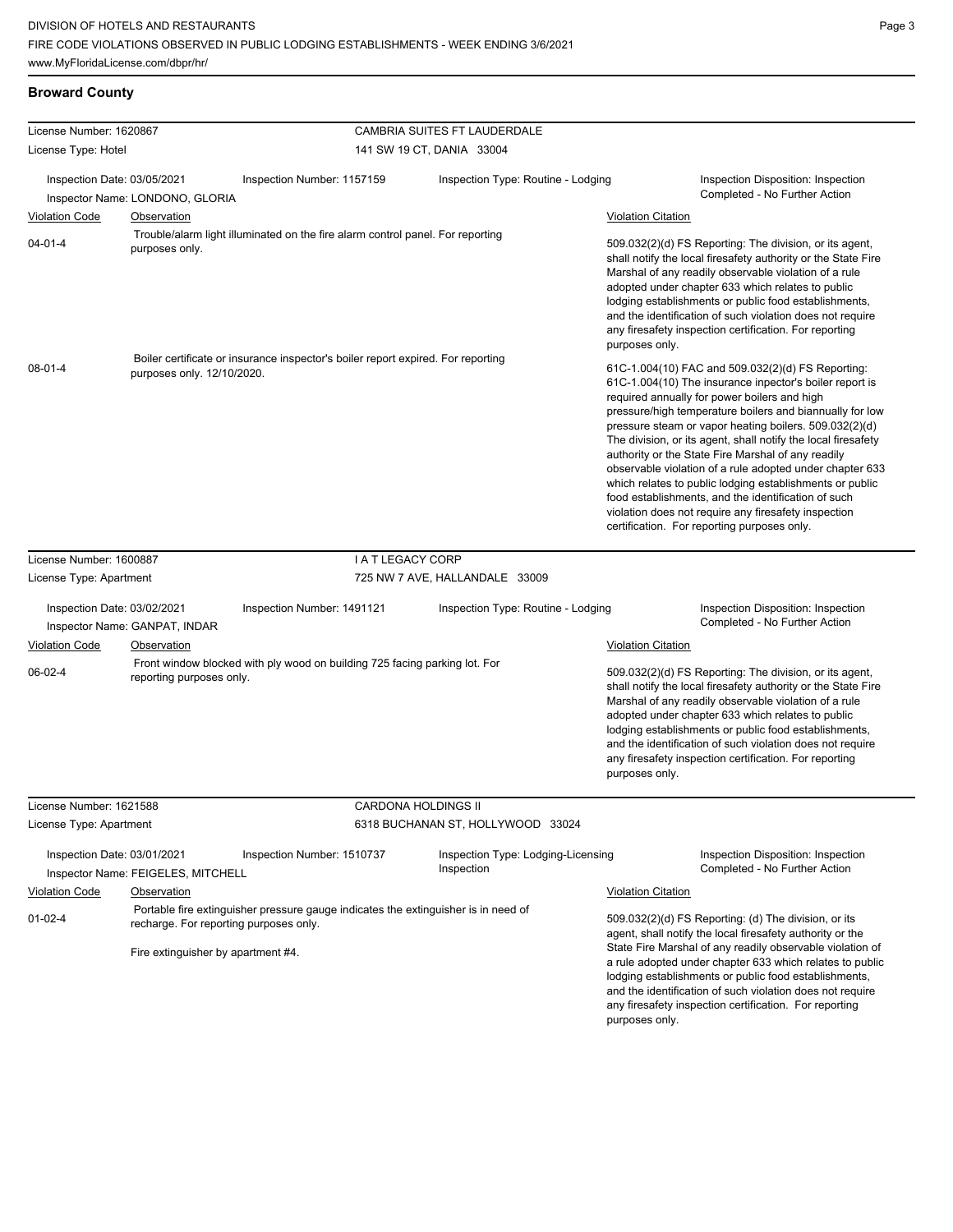#### **Broward County**

| License Number: 1620867     |                                                                              |                                                                                    | CAMBRIA SUITES FT LAUDERDALE                     |                           |                                                                                                                                                                                                                                                                                                                                                                                                                                                                                                                                                                                                                                                                                                 |
|-----------------------------|------------------------------------------------------------------------------|------------------------------------------------------------------------------------|--------------------------------------------------|---------------------------|-------------------------------------------------------------------------------------------------------------------------------------------------------------------------------------------------------------------------------------------------------------------------------------------------------------------------------------------------------------------------------------------------------------------------------------------------------------------------------------------------------------------------------------------------------------------------------------------------------------------------------------------------------------------------------------------------|
| License Type: Hotel         |                                                                              |                                                                                    | 141 SW 19 CT, DANIA 33004                        |                           |                                                                                                                                                                                                                                                                                                                                                                                                                                                                                                                                                                                                                                                                                                 |
| Inspection Date: 03/05/2021 | Inspector Name: LONDONO, GLORIA                                              | Inspection Number: 1157159                                                         | Inspection Type: Routine - Lodging               |                           | Inspection Disposition: Inspection<br>Completed - No Further Action                                                                                                                                                                                                                                                                                                                                                                                                                                                                                                                                                                                                                             |
| <b>Violation Code</b>       | Observation                                                                  |                                                                                    |                                                  | <b>Violation Citation</b> |                                                                                                                                                                                                                                                                                                                                                                                                                                                                                                                                                                                                                                                                                                 |
| $04 - 01 - 4$               | purposes only.                                                               | Trouble/alarm light illuminated on the fire alarm control panel. For reporting     |                                                  | purposes only.            | 509.032(2)(d) FS Reporting: The division, or its agent,<br>shall notify the local firesafety authority or the State Fire<br>Marshal of any readily observable violation of a rule<br>adopted under chapter 633 which relates to public<br>lodging establishments or public food establishments,<br>and the identification of such violation does not require<br>any firesafety inspection certification. For reporting                                                                                                                                                                                                                                                                          |
| $08 - 01 - 4$               | purposes only. 12/10/2020.                                                   | Boiler certificate or insurance inspector's boiler report expired. For reporting   |                                                  |                           | 61C-1.004(10) FAC and 509.032(2)(d) FS Reporting:<br>61C-1.004(10) The insurance inpector's boiler report is<br>required annually for power boilers and high<br>pressure/high temperature boilers and biannually for low<br>pressure steam or vapor heating boilers. 509.032(2)(d)<br>The division, or its agent, shall notify the local firesafety<br>authority or the State Fire Marshal of any readily<br>observable violation of a rule adopted under chapter 633<br>which relates to public lodging establishments or public<br>food establishments, and the identification of such<br>violation does not require any firesafety inspection<br>certification. For reporting purposes only. |
| License Number: 1600887     |                                                                              | <b>I A T LEGACY CORP</b>                                                           |                                                  |                           |                                                                                                                                                                                                                                                                                                                                                                                                                                                                                                                                                                                                                                                                                                 |
| License Type: Apartment     |                                                                              |                                                                                    | 725 NW 7 AVE, HALLANDALE 33009                   |                           |                                                                                                                                                                                                                                                                                                                                                                                                                                                                                                                                                                                                                                                                                                 |
|                             |                                                                              |                                                                                    |                                                  |                           |                                                                                                                                                                                                                                                                                                                                                                                                                                                                                                                                                                                                                                                                                                 |
| Inspection Date: 03/02/2021 | Inspector Name: GANPAT, INDAR                                                | Inspection Number: 1491121                                                         | Inspection Type: Routine - Lodging               |                           | Inspection Disposition: Inspection<br>Completed - No Further Action                                                                                                                                                                                                                                                                                                                                                                                                                                                                                                                                                                                                                             |
| <b>Violation Code</b>       | Observation                                                                  |                                                                                    |                                                  | <b>Violation Citation</b> |                                                                                                                                                                                                                                                                                                                                                                                                                                                                                                                                                                                                                                                                                                 |
| 06-02-4                     | reporting purposes only.                                                     | Front window blocked with ply wood on building 725 facing parking lot. For         |                                                  | purposes only.            | 509.032(2)(d) FS Reporting: The division, or its agent,<br>shall notify the local firesafety authority or the State Fire<br>Marshal of any readily observable violation of a rule<br>adopted under chapter 633 which relates to public<br>lodging establishments or public food establishments,<br>and the identification of such violation does not require<br>any firesafety inspection certification. For reporting                                                                                                                                                                                                                                                                          |
| License Number: 1621588     |                                                                              | CARDONA HOLDINGS II                                                                |                                                  |                           |                                                                                                                                                                                                                                                                                                                                                                                                                                                                                                                                                                                                                                                                                                 |
| License Type: Apartment     |                                                                              |                                                                                    | 6318 BUCHANAN ST, HOLLYWOOD 33024                |                           |                                                                                                                                                                                                                                                                                                                                                                                                                                                                                                                                                                                                                                                                                                 |
| Inspection Date: 03/01/2021 | Inspector Name: FEIGELES, MITCHELL                                           | Inspection Number: 1510737                                                         | Inspection Type: Lodging-Licensing<br>Inspection |                           | Inspection Disposition: Inspection<br>Completed - No Further Action                                                                                                                                                                                                                                                                                                                                                                                                                                                                                                                                                                                                                             |
| <b>Violation Code</b>       | Observation                                                                  |                                                                                    |                                                  | <b>Violation Citation</b> |                                                                                                                                                                                                                                                                                                                                                                                                                                                                                                                                                                                                                                                                                                 |
| $01 - 02 - 4$               | recharge. For reporting purposes only.<br>Fire extinguisher by apartment #4. | Portable fire extinguisher pressure gauge indicates the extinguisher is in need of |                                                  |                           | 509.032(2)(d) FS Reporting: (d) The division, or its<br>agent, shall notify the local firesafety authority or the<br>State Fire Marshal of any readily observable violation of<br>a rule adopted under chapter 633 which relates to public<br>lodging establishments or public food establishments,<br>and the identification of such violation does not require<br>any firesafety inspection certification. For reporting                                                                                                                                                                                                                                                                      |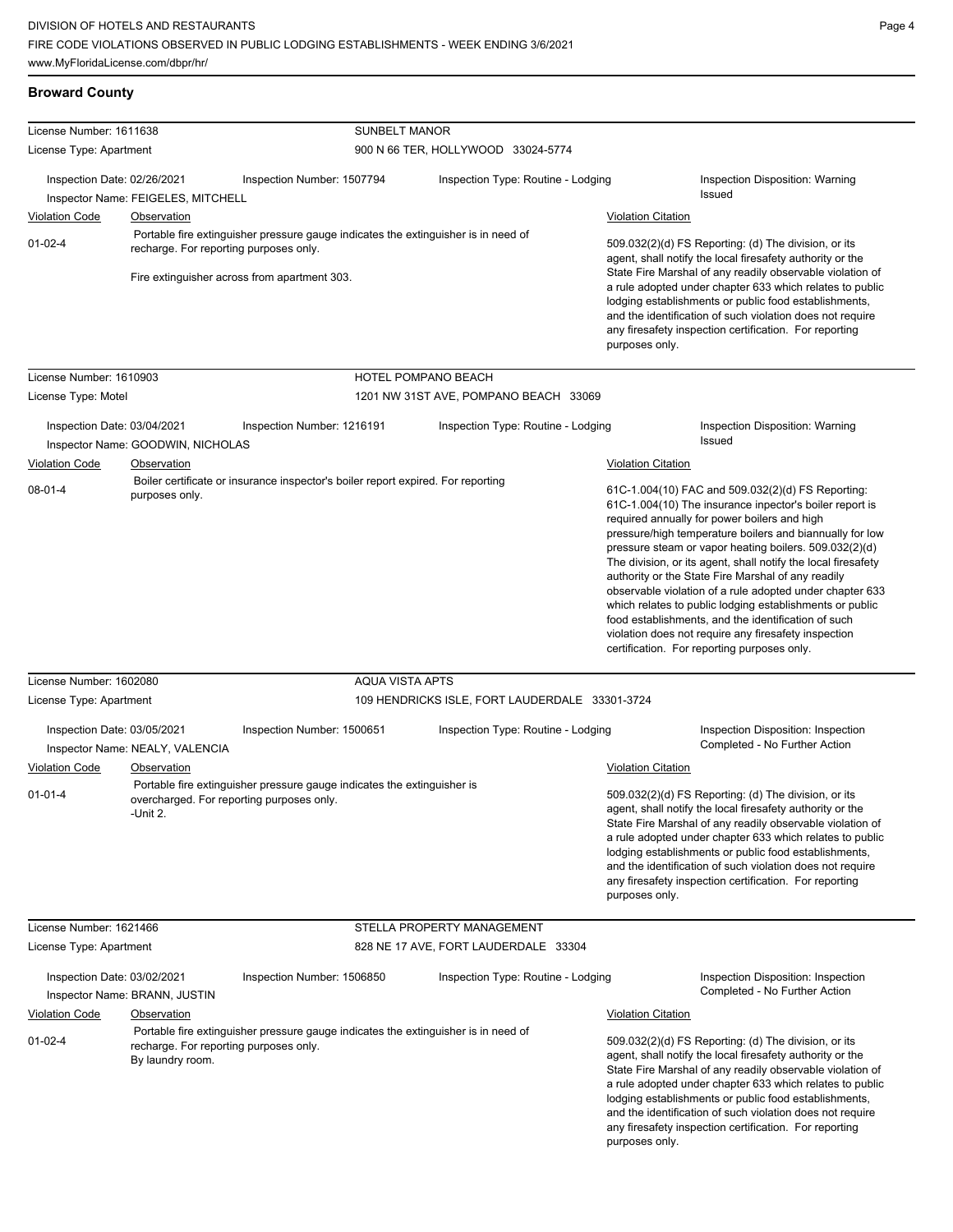#### **Broward County**

| License Number: 1611638<br>License Type: Apartment   |                                                                                                    | <b>SUNBELT MANOR</b>                                                                                                               | 900 N 66 TER, HOLLYWOOD 33024-5774             |                                                                                                                                                                                                                                                                                                                                                                                                                                                                                                                                                                                                                                                                                                 |                                                                                                                                                                                                                                                                                                                                                                                                                            |  |
|------------------------------------------------------|----------------------------------------------------------------------------------------------------|------------------------------------------------------------------------------------------------------------------------------------|------------------------------------------------|-------------------------------------------------------------------------------------------------------------------------------------------------------------------------------------------------------------------------------------------------------------------------------------------------------------------------------------------------------------------------------------------------------------------------------------------------------------------------------------------------------------------------------------------------------------------------------------------------------------------------------------------------------------------------------------------------|----------------------------------------------------------------------------------------------------------------------------------------------------------------------------------------------------------------------------------------------------------------------------------------------------------------------------------------------------------------------------------------------------------------------------|--|
|                                                      |                                                                                                    |                                                                                                                                    |                                                |                                                                                                                                                                                                                                                                                                                                                                                                                                                                                                                                                                                                                                                                                                 |                                                                                                                                                                                                                                                                                                                                                                                                                            |  |
| Inspection Date: 02/26/2021                          | Inspector Name: FEIGELES, MITCHELL                                                                 | Inspection Number: 1507794                                                                                                         | Inspection Type: Routine - Lodging             |                                                                                                                                                                                                                                                                                                                                                                                                                                                                                                                                                                                                                                                                                                 | Inspection Disposition: Warning<br>Issued                                                                                                                                                                                                                                                                                                                                                                                  |  |
| <b>Violation Code</b>                                | Observation                                                                                        |                                                                                                                                    |                                                | <b>Violation Citation</b>                                                                                                                                                                                                                                                                                                                                                                                                                                                                                                                                                                                                                                                                       |                                                                                                                                                                                                                                                                                                                                                                                                                            |  |
| $01 - 02 - 4$                                        | recharge. For reporting purposes only.                                                             | Portable fire extinguisher pressure gauge indicates the extinguisher is in need of<br>Fire extinguisher across from apartment 303. |                                                | 509.032(2)(d) FS Reporting: (d) The division, or its<br>agent, shall notify the local firesafety authority or the<br>State Fire Marshal of any readily observable violation of<br>a rule adopted under chapter 633 which relates to public<br>lodging establishments or public food establishments,<br>and the identification of such violation does not require<br>any firesafety inspection certification. For reporting<br>purposes only.                                                                                                                                                                                                                                                    |                                                                                                                                                                                                                                                                                                                                                                                                                            |  |
| License Number: 1610903                              |                                                                                                    |                                                                                                                                    | HOTEL POMPANO BEACH                            |                                                                                                                                                                                                                                                                                                                                                                                                                                                                                                                                                                                                                                                                                                 |                                                                                                                                                                                                                                                                                                                                                                                                                            |  |
| License Type: Motel                                  |                                                                                                    |                                                                                                                                    | 1201 NW 31ST AVE, POMPANO BEACH 33069          |                                                                                                                                                                                                                                                                                                                                                                                                                                                                                                                                                                                                                                                                                                 |                                                                                                                                                                                                                                                                                                                                                                                                                            |  |
| Inspection Date: 03/04/2021<br><b>Violation Code</b> | Inspector Name: GOODWIN, NICHOLAS<br>Observation                                                   | Inspection Number: 1216191                                                                                                         | Inspection Type: Routine - Lodging             | <b>Violation Citation</b>                                                                                                                                                                                                                                                                                                                                                                                                                                                                                                                                                                                                                                                                       | Inspection Disposition: Warning<br>Issued                                                                                                                                                                                                                                                                                                                                                                                  |  |
|                                                      |                                                                                                    |                                                                                                                                    |                                                |                                                                                                                                                                                                                                                                                                                                                                                                                                                                                                                                                                                                                                                                                                 |                                                                                                                                                                                                                                                                                                                                                                                                                            |  |
| $08 - 01 - 4$                                        | Boiler certificate or insurance inspector's boiler report expired. For reporting<br>purposes only. |                                                                                                                                    |                                                | 61C-1.004(10) FAC and 509.032(2)(d) FS Reporting:<br>61C-1.004(10) The insurance inpector's boiler report is<br>required annually for power boilers and high<br>pressure/high temperature boilers and biannually for low<br>pressure steam or vapor heating boilers. 509.032(2)(d)<br>The division, or its agent, shall notify the local firesafety<br>authority or the State Fire Marshal of any readily<br>observable violation of a rule adopted under chapter 633<br>which relates to public lodging establishments or public<br>food establishments, and the identification of such<br>violation does not require any firesafety inspection<br>certification. For reporting purposes only. |                                                                                                                                                                                                                                                                                                                                                                                                                            |  |
| License Number: 1602080                              |                                                                                                    | AQUA VISTA APTS                                                                                                                    |                                                |                                                                                                                                                                                                                                                                                                                                                                                                                                                                                                                                                                                                                                                                                                 |                                                                                                                                                                                                                                                                                                                                                                                                                            |  |
| License Type: Apartment                              |                                                                                                    |                                                                                                                                    | 109 HENDRICKS ISLE, FORT LAUDERDALE 33301-3724 |                                                                                                                                                                                                                                                                                                                                                                                                                                                                                                                                                                                                                                                                                                 |                                                                                                                                                                                                                                                                                                                                                                                                                            |  |
| Inspection Date: 03/05/2021                          |                                                                                                    | Inspection Number: 1500651                                                                                                         | Inspection Type: Routine - Lodging             |                                                                                                                                                                                                                                                                                                                                                                                                                                                                                                                                                                                                                                                                                                 | Inspection Disposition: Inspection                                                                                                                                                                                                                                                                                                                                                                                         |  |
|                                                      | Inspector Name: NEALY, VALENCIA                                                                    |                                                                                                                                    |                                                |                                                                                                                                                                                                                                                                                                                                                                                                                                                                                                                                                                                                                                                                                                 | Completed - No Further Action                                                                                                                                                                                                                                                                                                                                                                                              |  |
| <b>Violation Code</b>                                | Observation                                                                                        |                                                                                                                                    |                                                | <b>Violation Citation</b>                                                                                                                                                                                                                                                                                                                                                                                                                                                                                                                                                                                                                                                                       |                                                                                                                                                                                                                                                                                                                                                                                                                            |  |
| $01 - 01 - 4$                                        | -Unit 2.                                                                                           | Portable fire extinguisher pressure gauge indicates the extinguisher is<br>overcharged. For reporting purposes only.               |                                                | purposes only.                                                                                                                                                                                                                                                                                                                                                                                                                                                                                                                                                                                                                                                                                  | 509.032(2)(d) FS Reporting: (d) The division, or its<br>agent, shall notify the local firesafety authority or the<br>State Fire Marshal of any readily observable violation of<br>a rule adopted under chapter 633 which relates to public<br>lodging establishments or public food establishments,<br>and the identification of such violation does not require<br>any firesafety inspection certification. For reporting |  |
| License Number: 1621466                              |                                                                                                    |                                                                                                                                    | STELLA PROPERTY MANAGEMENT                     |                                                                                                                                                                                                                                                                                                                                                                                                                                                                                                                                                                                                                                                                                                 |                                                                                                                                                                                                                                                                                                                                                                                                                            |  |
| License Type: Apartment                              |                                                                                                    |                                                                                                                                    | 828 NE 17 AVE, FORT LAUDERDALE 33304           |                                                                                                                                                                                                                                                                                                                                                                                                                                                                                                                                                                                                                                                                                                 |                                                                                                                                                                                                                                                                                                                                                                                                                            |  |
| Inspection Date: 03/02/2021                          | Inspector Name: BRANN, JUSTIN                                                                      | Inspection Number: 1506850                                                                                                         | Inspection Type: Routine - Lodging             |                                                                                                                                                                                                                                                                                                                                                                                                                                                                                                                                                                                                                                                                                                 | Inspection Disposition: Inspection<br>Completed - No Further Action                                                                                                                                                                                                                                                                                                                                                        |  |
| <b>Violation Code</b>                                | Observation                                                                                        |                                                                                                                                    |                                                | <b>Violation Citation</b>                                                                                                                                                                                                                                                                                                                                                                                                                                                                                                                                                                                                                                                                       |                                                                                                                                                                                                                                                                                                                                                                                                                            |  |
| $01 - 02 - 4$                                        | By laundry room.                                                                                   | Portable fire extinguisher pressure gauge indicates the extinguisher is in need of<br>recharge. For reporting purposes only.       |                                                | purposes only.                                                                                                                                                                                                                                                                                                                                                                                                                                                                                                                                                                                                                                                                                  | 509.032(2)(d) FS Reporting: (d) The division, or its<br>agent, shall notify the local firesafety authority or the<br>State Fire Marshal of any readily observable violation of<br>a rule adopted under chapter 633 which relates to public<br>lodging establishments or public food establishments,<br>and the identification of such violation does not require<br>any firesafety inspection certification. For reporting |  |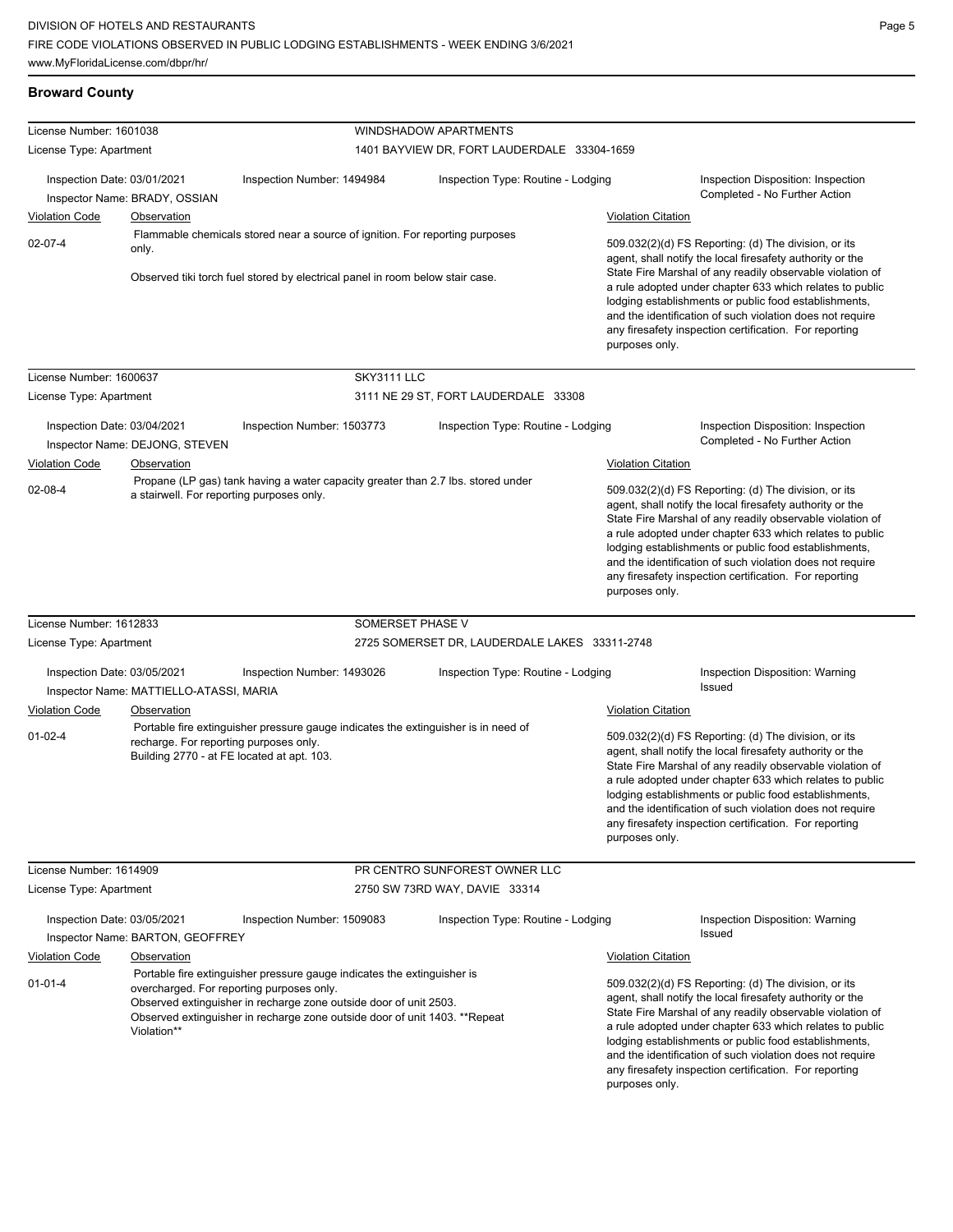## **Broward County**

| License Number: 1601038                              |                                               |                                                                                                                                                                                                                                                                         | <b>WINDSHADOW APARTMENTS</b>                  |                           |                                                                                                                                                                                                                                                                                                                                                                                                                            |
|------------------------------------------------------|-----------------------------------------------|-------------------------------------------------------------------------------------------------------------------------------------------------------------------------------------------------------------------------------------------------------------------------|-----------------------------------------------|---------------------------|----------------------------------------------------------------------------------------------------------------------------------------------------------------------------------------------------------------------------------------------------------------------------------------------------------------------------------------------------------------------------------------------------------------------------|
| License Type: Apartment                              |                                               |                                                                                                                                                                                                                                                                         | 1401 BAYVIEW DR, FORT LAUDERDALE 33304-1659   |                           |                                                                                                                                                                                                                                                                                                                                                                                                                            |
| Inspection Date: 03/01/2021                          | Inspector Name: BRADY, OSSIAN                 | Inspection Number: 1494984                                                                                                                                                                                                                                              | Inspection Type: Routine - Lodging            |                           | Inspection Disposition: Inspection<br>Completed - No Further Action                                                                                                                                                                                                                                                                                                                                                        |
| <b>Violation Code</b>                                | <b>Observation</b>                            |                                                                                                                                                                                                                                                                         |                                               | <b>Violation Citation</b> |                                                                                                                                                                                                                                                                                                                                                                                                                            |
| $02 - 07 - 4$                                        | only.                                         | Flammable chemicals stored near a source of ignition. For reporting purposes<br>Observed tiki torch fuel stored by electrical panel in room below stair case.                                                                                                           |                                               | purposes only.            | 509.032(2)(d) FS Reporting: (d) The division, or its<br>agent, shall notify the local firesafety authority or the<br>State Fire Marshal of any readily observable violation of<br>a rule adopted under chapter 633 which relates to public<br>lodging establishments or public food establishments,<br>and the identification of such violation does not require<br>any firesafety inspection certification. For reporting |
| License Number: 1600637                              |                                               | SKY3111 LLC                                                                                                                                                                                                                                                             |                                               |                           |                                                                                                                                                                                                                                                                                                                                                                                                                            |
| License Type: Apartment                              |                                               |                                                                                                                                                                                                                                                                         | 3111 NE 29 ST, FORT LAUDERDALE 33308          |                           |                                                                                                                                                                                                                                                                                                                                                                                                                            |
| Inspection Date: 03/04/2021<br><b>Violation Code</b> | Inspector Name: DEJONG, STEVEN<br>Observation | Inspection Number: 1503773                                                                                                                                                                                                                                              | Inspection Type: Routine - Lodging            | <b>Violation Citation</b> | Inspection Disposition: Inspection<br>Completed - No Further Action                                                                                                                                                                                                                                                                                                                                                        |
| 02-08-4                                              | a stairwell. For reporting purposes only.     | Propane (LP gas) tank having a water capacity greater than 2.7 lbs. stored under                                                                                                                                                                                        |                                               | purposes only.            | 509.032(2)(d) FS Reporting: (d) The division, or its<br>agent, shall notify the local firesafety authority or the<br>State Fire Marshal of any readily observable violation of<br>a rule adopted under chapter 633 which relates to public<br>lodging establishments or public food establishments,<br>and the identification of such violation does not require<br>any firesafety inspection certification. For reporting |
| License Number: 1612833                              |                                               | SOMERSET PHASE V                                                                                                                                                                                                                                                        |                                               |                           |                                                                                                                                                                                                                                                                                                                                                                                                                            |
| License Type: Apartment                              |                                               |                                                                                                                                                                                                                                                                         | 2725 SOMERSET DR, LAUDERDALE LAKES 33311-2748 |                           |                                                                                                                                                                                                                                                                                                                                                                                                                            |
| Inspection Date: 03/05/2021                          | Inspector Name: MATTIELLO-ATASSI, MARIA       | Inspection Number: 1493026                                                                                                                                                                                                                                              | Inspection Type: Routine - Lodging            |                           | <b>Inspection Disposition: Warning</b><br><b>Issued</b>                                                                                                                                                                                                                                                                                                                                                                    |
| <b>Violation Code</b>                                | Observation                                   |                                                                                                                                                                                                                                                                         |                                               | <b>Violation Citation</b> |                                                                                                                                                                                                                                                                                                                                                                                                                            |
| $01 - 02 - 4$                                        | recharge. For reporting purposes only.        | Portable fire extinguisher pressure gauge indicates the extinguisher is in need of<br>Building 2770 - at FE located at apt. 103.                                                                                                                                        |                                               | purposes only.            | 509.032(2)(d) FS Reporting: (d) The division, or its<br>agent, shall notify the local firesafety authority or the<br>State Fire Marshal of any readily observable violation of<br>a rule adopted under chapter 633 which relates to public<br>lodging establishments or public food establishments,<br>and the identification of such violation does not require<br>any firesafety inspection certification. For reporting |
| License Number: 1614909                              |                                               |                                                                                                                                                                                                                                                                         | PR CENTRO SUNFOREST OWNER LLC                 |                           |                                                                                                                                                                                                                                                                                                                                                                                                                            |
| License Type: Apartment                              |                                               |                                                                                                                                                                                                                                                                         | 2750 SW 73RD WAY, DAVIE 33314                 |                           |                                                                                                                                                                                                                                                                                                                                                                                                                            |
| Inspection Date: 03/05/2021                          | Inspector Name: BARTON, GEOFFREY              | Inspection Number: 1509083                                                                                                                                                                                                                                              | Inspection Type: Routine - Lodging            |                           | Inspection Disposition: Warning<br>Issued                                                                                                                                                                                                                                                                                                                                                                                  |
| <b>Violation Code</b>                                | <b>Observation</b>                            |                                                                                                                                                                                                                                                                         |                                               | <b>Violation Citation</b> |                                                                                                                                                                                                                                                                                                                                                                                                                            |
| $01 - 01 - 4$                                        | Violation**                                   | Portable fire extinguisher pressure gauge indicates the extinguisher is<br>overcharged. For reporting purposes only.<br>Observed extinguisher in recharge zone outside door of unit 2503.<br>Observed extinguisher in recharge zone outside door of unit 1403. **Repeat |                                               | purposes only.            | 509.032(2)(d) FS Reporting: (d) The division, or its<br>agent, shall notify the local firesafety authority or the<br>State Fire Marshal of any readily observable violation of<br>a rule adopted under chapter 633 which relates to public<br>lodging establishments or public food establishments,<br>and the identification of such violation does not require<br>any firesafety inspection certification. For reporting |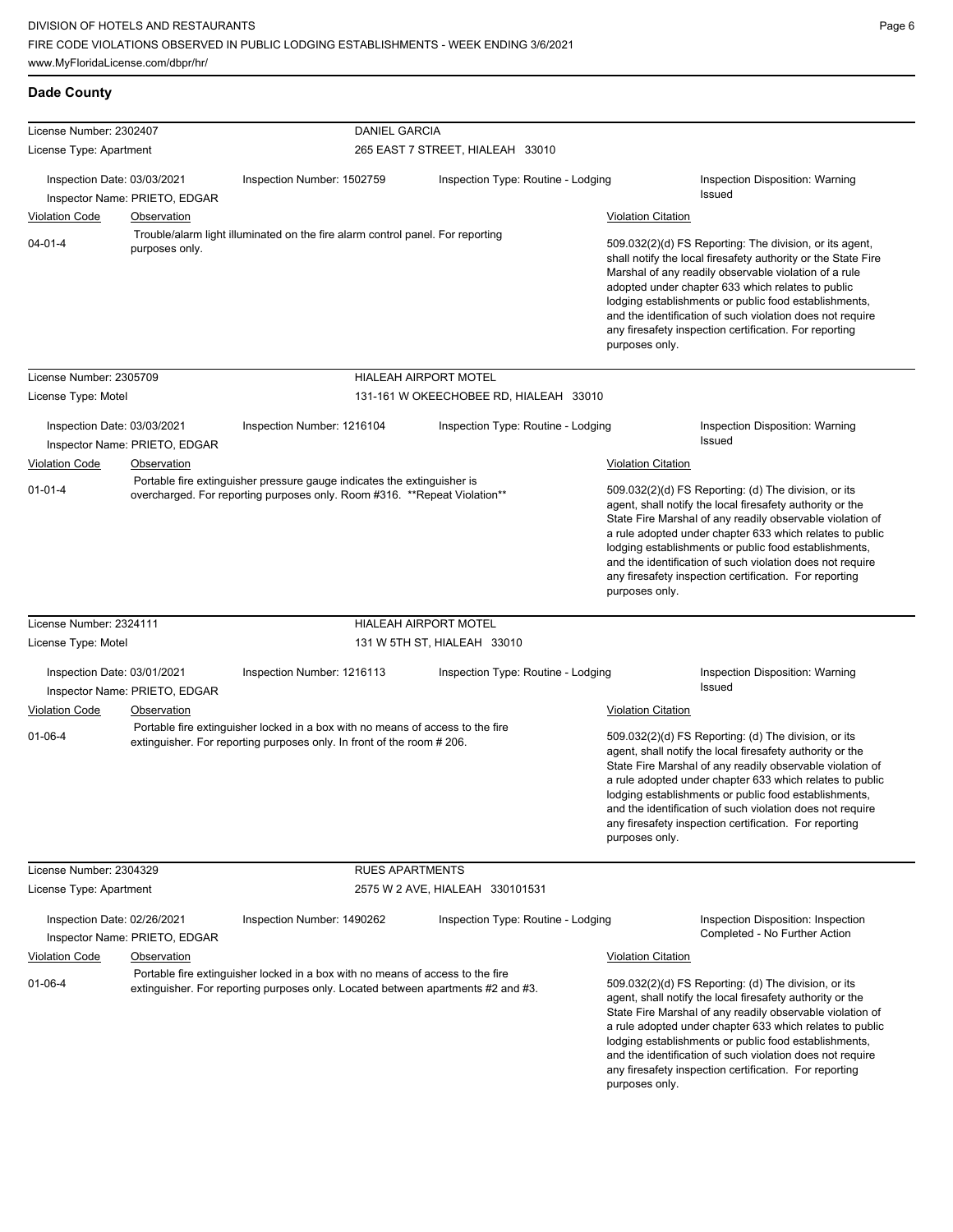| License Number: 2302407     |                               | <b>DANIEL GARCIA</b>                                                                                                                                               |                                        |                           |                                                                                                                                                                                                                                                                                                                                                                                                                            |
|-----------------------------|-------------------------------|--------------------------------------------------------------------------------------------------------------------------------------------------------------------|----------------------------------------|---------------------------|----------------------------------------------------------------------------------------------------------------------------------------------------------------------------------------------------------------------------------------------------------------------------------------------------------------------------------------------------------------------------------------------------------------------------|
| License Type: Apartment     |                               |                                                                                                                                                                    | 265 EAST 7 STREET, HIALEAH 33010       |                           |                                                                                                                                                                                                                                                                                                                                                                                                                            |
|                             |                               |                                                                                                                                                                    |                                        |                           |                                                                                                                                                                                                                                                                                                                                                                                                                            |
| Inspection Date: 03/03/2021 | Inspector Name: PRIETO, EDGAR | Inspection Number: 1502759                                                                                                                                         | Inspection Type: Routine - Lodging     |                           | Inspection Disposition: Warning<br><b>Issued</b>                                                                                                                                                                                                                                                                                                                                                                           |
| <b>Violation Code</b>       | <b>Observation</b>            |                                                                                                                                                                    |                                        | <b>Violation Citation</b> |                                                                                                                                                                                                                                                                                                                                                                                                                            |
| 04-01-4                     | purposes only.                | Trouble/alarm light illuminated on the fire alarm control panel. For reporting                                                                                     |                                        | purposes only.            | 509.032(2)(d) FS Reporting: The division, or its agent,<br>shall notify the local firesafety authority or the State Fire<br>Marshal of any readily observable violation of a rule<br>adopted under chapter 633 which relates to public<br>lodging establishments or public food establishments,<br>and the identification of such violation does not require<br>any firesafety inspection certification. For reporting     |
| License Number: 2305709     |                               |                                                                                                                                                                    | <b>HIALEAH AIRPORT MOTEL</b>           |                           |                                                                                                                                                                                                                                                                                                                                                                                                                            |
| License Type: Motel         |                               |                                                                                                                                                                    | 131-161 W OKEECHOBEE RD, HIALEAH 33010 |                           |                                                                                                                                                                                                                                                                                                                                                                                                                            |
|                             |                               |                                                                                                                                                                    |                                        |                           |                                                                                                                                                                                                                                                                                                                                                                                                                            |
| Inspection Date: 03/03/2021 |                               | Inspection Number: 1216104                                                                                                                                         | Inspection Type: Routine - Lodging     |                           | Inspection Disposition: Warning<br>Issued                                                                                                                                                                                                                                                                                                                                                                                  |
|                             | Inspector Name: PRIETO, EDGAR |                                                                                                                                                                    |                                        |                           |                                                                                                                                                                                                                                                                                                                                                                                                                            |
| Violation Code              | Observation                   | Portable fire extinguisher pressure gauge indicates the extinguisher is                                                                                            |                                        | <b>Violation Citation</b> |                                                                                                                                                                                                                                                                                                                                                                                                                            |
| 01-01-4                     |                               | overcharged. For reporting purposes only. Room #316. ** Repeat Violation**                                                                                         |                                        | purposes only.            | 509.032(2)(d) FS Reporting: (d) The division, or its<br>agent, shall notify the local firesafety authority or the<br>State Fire Marshal of any readily observable violation of<br>a rule adopted under chapter 633 which relates to public<br>lodging establishments or public food establishments,<br>and the identification of such violation does not require<br>any firesafety inspection certification. For reporting |
| License Number: 2324111     |                               |                                                                                                                                                                    | <b>HIALEAH AIRPORT MOTEL</b>           |                           |                                                                                                                                                                                                                                                                                                                                                                                                                            |
| License Type: Motel         |                               |                                                                                                                                                                    | 131 W 5TH ST, HIALEAH 33010            |                           |                                                                                                                                                                                                                                                                                                                                                                                                                            |
| Inspection Date: 03/01/2021 |                               | Inspection Number: 1216113                                                                                                                                         | Inspection Type: Routine - Lodging     |                           | Inspection Disposition: Warning<br>Issued                                                                                                                                                                                                                                                                                                                                                                                  |
|                             | Inspector Name: PRIETO, EDGAR |                                                                                                                                                                    |                                        |                           |                                                                                                                                                                                                                                                                                                                                                                                                                            |
| Violation Code              | Observation                   |                                                                                                                                                                    |                                        | <b>Violation Citation</b> |                                                                                                                                                                                                                                                                                                                                                                                                                            |
| 01-06-4                     |                               | Portable fire extinguisher locked in a box with no means of access to the fire<br>extinguisher. For reporting purposes only. In front of the room #206.            |                                        | purposes only.            | 509.032(2)(d) FS Reporting: (d) The division, or its<br>agent, shall notify the local firesafety authority or the<br>State Fire Marshal of any readily observable violation of<br>a rule adopted under chapter 633 which relates to public<br>lodging establishments or public food establishments,<br>and the identification of such violation does not require<br>any firesafety inspection certification. For reporting |
| License Number: 2304329     |                               | <b>RUES APARTMENTS</b>                                                                                                                                             |                                        |                           |                                                                                                                                                                                                                                                                                                                                                                                                                            |
| License Type: Apartment     |                               |                                                                                                                                                                    | 2575 W 2 AVE, HIALEAH 330101531        |                           |                                                                                                                                                                                                                                                                                                                                                                                                                            |
| Inspection Date: 02/26/2021 |                               | Inspection Number: 1490262                                                                                                                                         | Inspection Type: Routine - Lodging     |                           | Inspection Disposition: Inspection                                                                                                                                                                                                                                                                                                                                                                                         |
|                             | Inspector Name: PRIETO, EDGAR |                                                                                                                                                                    |                                        |                           | Completed - No Further Action                                                                                                                                                                                                                                                                                                                                                                                              |
| <b>Violation Code</b>       | Observation                   |                                                                                                                                                                    |                                        | <b>Violation Citation</b> |                                                                                                                                                                                                                                                                                                                                                                                                                            |
| 01-06-4                     |                               | Portable fire extinguisher locked in a box with no means of access to the fire<br>extinguisher. For reporting purposes only. Located between apartments #2 and #3. |                                        |                           | 509.032(2)(d) FS Reporting: (d) The division, or its<br>agent, shall notify the local firesafety authority or the<br>State Fire Marshal of any readily observable violation of<br>a rule adopted under chapter 633 which relates to public<br>lodging establishments or public food establishments,<br>and the identification of such violation does not require<br>any firesafety inspection certification. For reporting |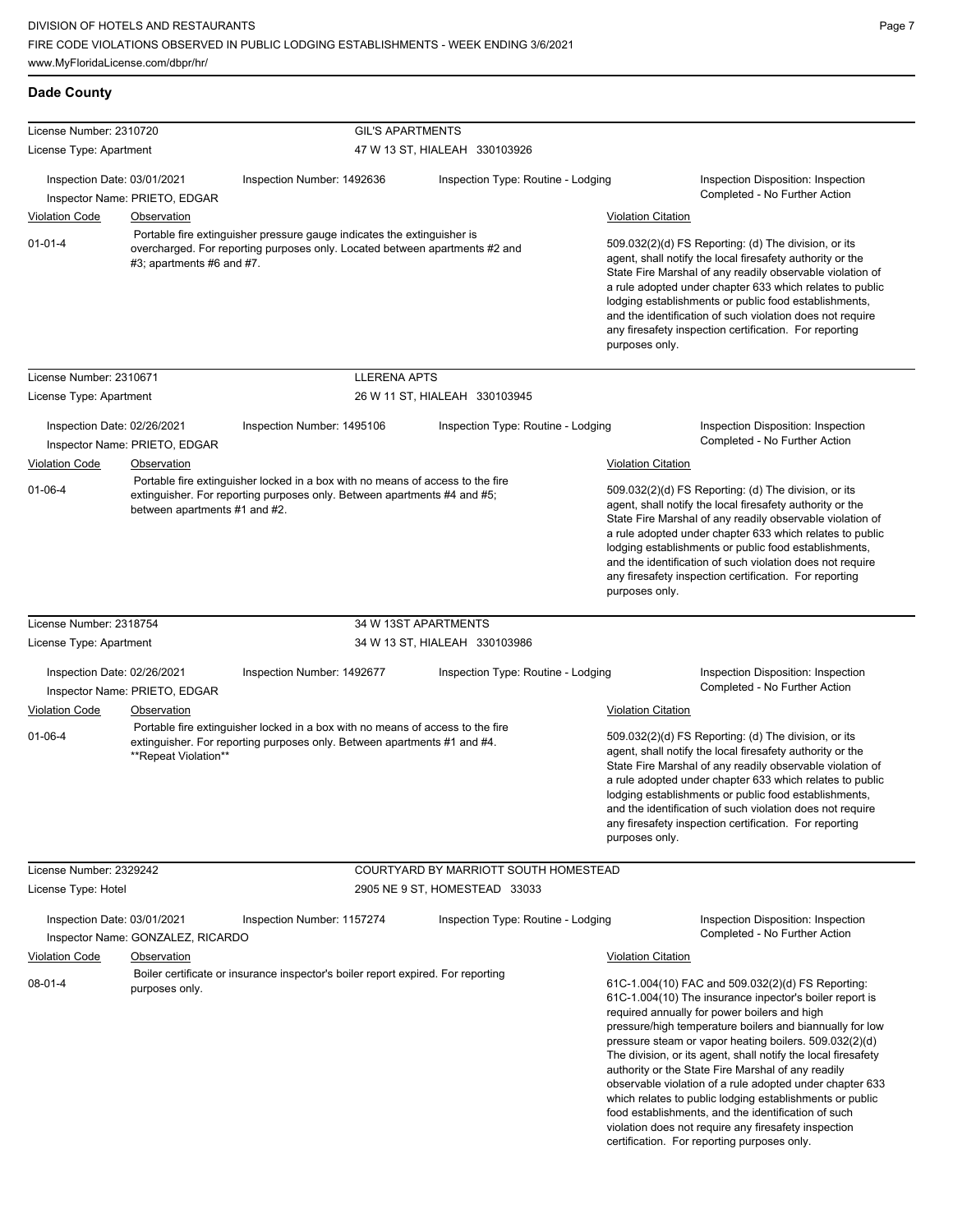| License Number: 2310720                              |                                              | <b>GIL'S APARTMENTS</b>                                                                                                                                    |                                       |                                                                                                                                                                                                                                                                                                                                                                                                                                              |                                                                                                                                                                                                                                                                                                                                                                                                                                                                                                                                                                                                                                                                                                 |
|------------------------------------------------------|----------------------------------------------|------------------------------------------------------------------------------------------------------------------------------------------------------------|---------------------------------------|----------------------------------------------------------------------------------------------------------------------------------------------------------------------------------------------------------------------------------------------------------------------------------------------------------------------------------------------------------------------------------------------------------------------------------------------|-------------------------------------------------------------------------------------------------------------------------------------------------------------------------------------------------------------------------------------------------------------------------------------------------------------------------------------------------------------------------------------------------------------------------------------------------------------------------------------------------------------------------------------------------------------------------------------------------------------------------------------------------------------------------------------------------|
| License Type: Apartment                              |                                              |                                                                                                                                                            | 47 W 13 ST, HIALEAH 330103926         |                                                                                                                                                                                                                                                                                                                                                                                                                                              |                                                                                                                                                                                                                                                                                                                                                                                                                                                                                                                                                                                                                                                                                                 |
| Inspection Date: 03/01/2021                          | Inspector Name: PRIETO, EDGAR                | Inspection Number: 1492636                                                                                                                                 | Inspection Type: Routine - Lodging    |                                                                                                                                                                                                                                                                                                                                                                                                                                              | Inspection Disposition: Inspection<br>Completed - No Further Action                                                                                                                                                                                                                                                                                                                                                                                                                                                                                                                                                                                                                             |
| <b>Violation Code</b>                                | Observation                                  |                                                                                                                                                            |                                       | <b>Violation Citation</b>                                                                                                                                                                                                                                                                                                                                                                                                                    |                                                                                                                                                                                                                                                                                                                                                                                                                                                                                                                                                                                                                                                                                                 |
| $01 - 01 - 4$<br>#3; apartments #6 and #7.           |                                              | Portable fire extinguisher pressure gauge indicates the extinguisher is<br>overcharged. For reporting purposes only. Located between apartments #2 and     |                                       | 509.032(2)(d) FS Reporting: (d) The division, or its<br>agent, shall notify the local firesafety authority or the<br>State Fire Marshal of any readily observable violation of<br>a rule adopted under chapter 633 which relates to public<br>lodging establishments or public food establishments,<br>and the identification of such violation does not require<br>any firesafety inspection certification. For reporting<br>purposes only. |                                                                                                                                                                                                                                                                                                                                                                                                                                                                                                                                                                                                                                                                                                 |
| License Number: 2310671                              |                                              | <b>LLERENA APTS</b>                                                                                                                                        |                                       |                                                                                                                                                                                                                                                                                                                                                                                                                                              |                                                                                                                                                                                                                                                                                                                                                                                                                                                                                                                                                                                                                                                                                                 |
| License Type: Apartment                              |                                              |                                                                                                                                                            | 26 W 11 ST, HIALEAH 330103945         |                                                                                                                                                                                                                                                                                                                                                                                                                                              |                                                                                                                                                                                                                                                                                                                                                                                                                                                                                                                                                                                                                                                                                                 |
| Inspection Date: 02/26/2021<br><b>Violation Code</b> | Inspector Name: PRIETO, EDGAR<br>Observation | Inspection Number: 1495106                                                                                                                                 | Inspection Type: Routine - Lodging    | <b>Violation Citation</b>                                                                                                                                                                                                                                                                                                                                                                                                                    | Inspection Disposition: Inspection<br>Completed - No Further Action                                                                                                                                                                                                                                                                                                                                                                                                                                                                                                                                                                                                                             |
| $01 - 06 - 4$                                        | between apartments #1 and #2.                | Portable fire extinguisher locked in a box with no means of access to the fire<br>extinguisher. For reporting purposes only. Between apartments #4 and #5; |                                       | purposes only.                                                                                                                                                                                                                                                                                                                                                                                                                               | 509.032(2)(d) FS Reporting: (d) The division, or its<br>agent, shall notify the local firesafety authority or the<br>State Fire Marshal of any readily observable violation of<br>a rule adopted under chapter 633 which relates to public<br>lodging establishments or public food establishments,<br>and the identification of such violation does not require<br>any firesafety inspection certification. For reporting                                                                                                                                                                                                                                                                      |
| License Number: 2318754                              |                                              |                                                                                                                                                            | 34 W 13ST APARTMENTS                  |                                                                                                                                                                                                                                                                                                                                                                                                                                              |                                                                                                                                                                                                                                                                                                                                                                                                                                                                                                                                                                                                                                                                                                 |
| License Type: Apartment                              |                                              |                                                                                                                                                            | 34 W 13 ST, HIALEAH 330103986         |                                                                                                                                                                                                                                                                                                                                                                                                                                              |                                                                                                                                                                                                                                                                                                                                                                                                                                                                                                                                                                                                                                                                                                 |
| Inspection Date: 02/26/2021                          | Inspector Name: PRIETO, EDGAR                | Inspection Number: 1492677                                                                                                                                 | Inspection Type: Routine - Lodging    |                                                                                                                                                                                                                                                                                                                                                                                                                                              | Inspection Disposition: Inspection<br>Completed - No Further Action                                                                                                                                                                                                                                                                                                                                                                                                                                                                                                                                                                                                                             |
| Violation Code                                       | Observation                                  |                                                                                                                                                            |                                       | <b>Violation Citation</b>                                                                                                                                                                                                                                                                                                                                                                                                                    |                                                                                                                                                                                                                                                                                                                                                                                                                                                                                                                                                                                                                                                                                                 |
| $01 - 06 - 4$                                        | **Repeat Violation**                         | Portable fire extinguisher locked in a box with no means of access to the fire<br>extinguisher. For reporting purposes only. Between apartments #1 and #4. |                                       | purposes only.                                                                                                                                                                                                                                                                                                                                                                                                                               | 509.032(2)(d) FS Reporting: (d) The division, or its<br>agent, shall notify the local firesafety authority or the<br>State Fire Marshal of any readily observable violation of<br>a rule adopted under chapter 633 which relates to public<br>lodging establishments or public food establishments,<br>and the identification of such violation does not require<br>any firesafety inspection certification. For reporting                                                                                                                                                                                                                                                                      |
| License Number: 2329242                              |                                              |                                                                                                                                                            | COURTYARD BY MARRIOTT SOUTH HOMESTEAD |                                                                                                                                                                                                                                                                                                                                                                                                                                              |                                                                                                                                                                                                                                                                                                                                                                                                                                                                                                                                                                                                                                                                                                 |
| License Type: Hotel                                  |                                              |                                                                                                                                                            | 2905 NE 9 ST, HOMESTEAD 33033         |                                                                                                                                                                                                                                                                                                                                                                                                                                              |                                                                                                                                                                                                                                                                                                                                                                                                                                                                                                                                                                                                                                                                                                 |
| Inspection Date: 03/01/2021                          | Inspector Name: GONZALEZ, RICARDO            | Inspection Number: 1157274                                                                                                                                 | Inspection Type: Routine - Lodging    |                                                                                                                                                                                                                                                                                                                                                                                                                                              | Inspection Disposition: Inspection<br>Completed - No Further Action                                                                                                                                                                                                                                                                                                                                                                                                                                                                                                                                                                                                                             |
| <b>Violation Code</b>                                | <b>Observation</b>                           |                                                                                                                                                            |                                       | <b>Violation Citation</b>                                                                                                                                                                                                                                                                                                                                                                                                                    |                                                                                                                                                                                                                                                                                                                                                                                                                                                                                                                                                                                                                                                                                                 |
| $08 - 01 - 4$                                        | purposes only.                               | Boiler certificate or insurance inspector's boiler report expired. For reporting                                                                           |                                       |                                                                                                                                                                                                                                                                                                                                                                                                                                              | 61C-1.004(10) FAC and 509.032(2)(d) FS Reporting:<br>61C-1.004(10) The insurance inpector's boiler report is<br>required annually for power boilers and high<br>pressure/high temperature boilers and biannually for low<br>pressure steam or vapor heating boilers. 509.032(2)(d)<br>The division, or its agent, shall notify the local firesafety<br>authority or the State Fire Marshal of any readily<br>observable violation of a rule adopted under chapter 633<br>which relates to public lodging establishments or public<br>food establishments, and the identification of such<br>violation does not require any firesafety inspection<br>certification. For reporting purposes only. |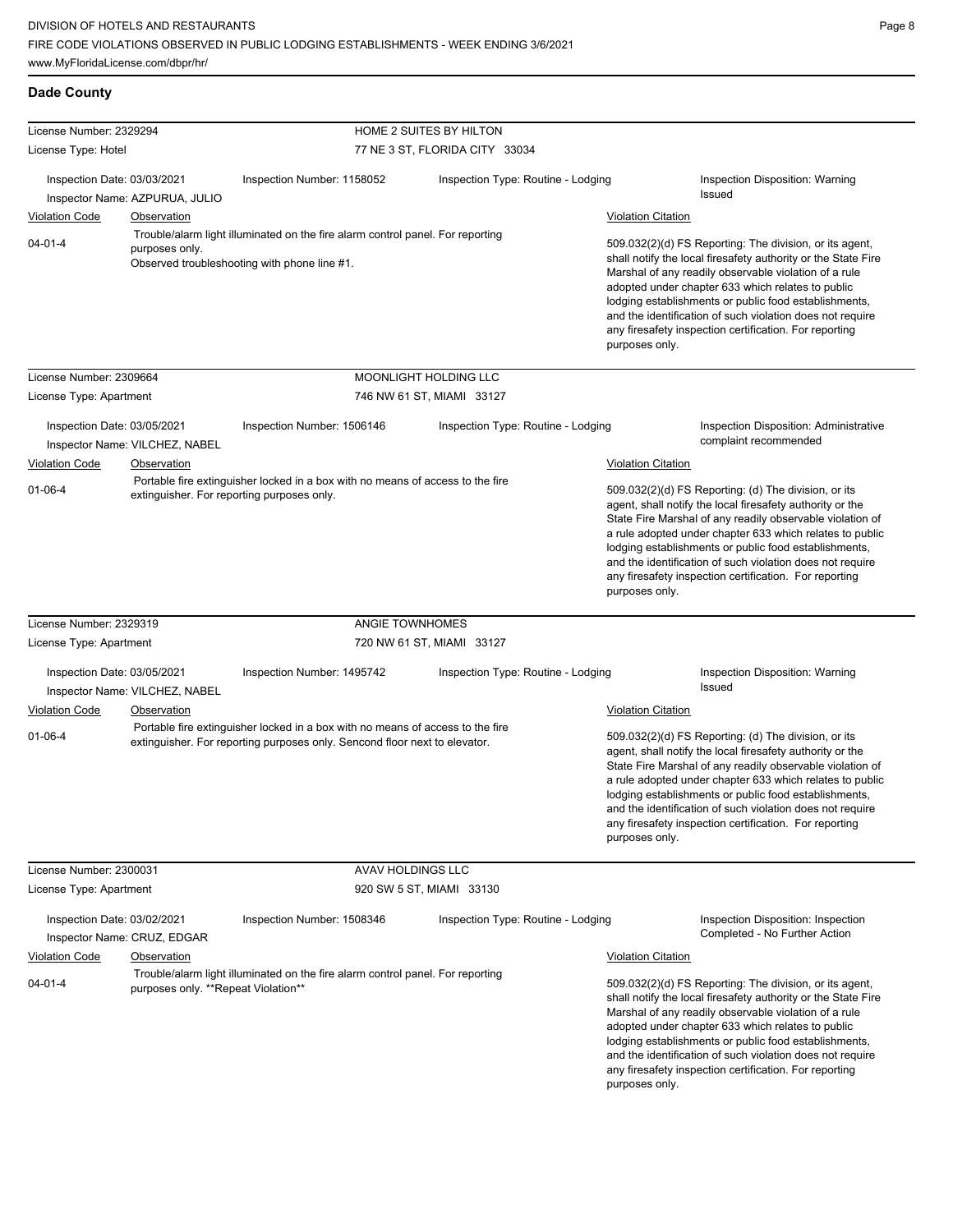| <b>Dade County</b> |
|--------------------|

| HOME 2 SUITES BY HILTON                                                                                                                                                                                                                                                                                                                                                                                                                                                                                                                                                                                                                                                                                     |
|-------------------------------------------------------------------------------------------------------------------------------------------------------------------------------------------------------------------------------------------------------------------------------------------------------------------------------------------------------------------------------------------------------------------------------------------------------------------------------------------------------------------------------------------------------------------------------------------------------------------------------------------------------------------------------------------------------------|
| 77 NE 3 ST, FLORIDA CITY 33034                                                                                                                                                                                                                                                                                                                                                                                                                                                                                                                                                                                                                                                                              |
| Inspection Number: 1158052<br>Inspection Type: Routine - Lodging<br>Inspection Disposition: Warning<br>Issued<br>Inspector Name: AZPURUA, JULIO                                                                                                                                                                                                                                                                                                                                                                                                                                                                                                                                                             |
| <b>Violation Citation</b><br>Observation                                                                                                                                                                                                                                                                                                                                                                                                                                                                                                                                                                                                                                                                    |
| Trouble/alarm light illuminated on the fire alarm control panel. For reporting<br>509.032(2)(d) FS Reporting: The division, or its agent,<br>purposes only.<br>shall notify the local firesafety authority or the State Fire<br>Observed troubleshooting with phone line #1.<br>Marshal of any readily observable violation of a rule<br>adopted under chapter 633 which relates to public<br>lodging establishments or public food establishments,<br>and the identification of such violation does not require<br>any firesafety inspection certification. For reporting<br>purposes only.                                                                                                                |
| MOONLIGHT HOLDING LLC                                                                                                                                                                                                                                                                                                                                                                                                                                                                                                                                                                                                                                                                                       |
| 746 NW 61 ST, MIAMI 33127                                                                                                                                                                                                                                                                                                                                                                                                                                                                                                                                                                                                                                                                                   |
| Inspection Number: 1506146<br>Inspection Type: Routine - Lodging<br>Inspection Disposition: Administrative<br>complaint recommended<br>Inspector Name: VILCHEZ, NABEL                                                                                                                                                                                                                                                                                                                                                                                                                                                                                                                                       |
| <b>Violation Citation</b><br><b>Observation</b><br>Portable fire extinguisher locked in a box with no means of access to the fire<br>509.032(2)(d) FS Reporting: (d) The division, or its<br>extinguisher. For reporting purposes only.<br>agent, shall notify the local firesafety authority or the<br>State Fire Marshal of any readily observable violation of<br>a rule adopted under chapter 633 which relates to public<br>lodging establishments or public food establishments,<br>and the identification of such violation does not require<br>any firesafety inspection certification. For reporting<br>purposes only.                                                                             |
| ANGIE TOWNHOMES                                                                                                                                                                                                                                                                                                                                                                                                                                                                                                                                                                                                                                                                                             |
| 720 NW 61 ST, MIAMI 33127                                                                                                                                                                                                                                                                                                                                                                                                                                                                                                                                                                                                                                                                                   |
| Inspection Number: 1495742<br>Inspection Type: Routine - Lodging<br>Inspection Disposition: Warning<br>Issued<br>Inspector Name: VILCHEZ, NABEL<br>Observation<br><b>Violation Citation</b>                                                                                                                                                                                                                                                                                                                                                                                                                                                                                                                 |
| Portable fire extinguisher locked in a box with no means of access to the fire<br>509.032(2)(d) FS Reporting: (d) The division, or its<br>extinguisher. For reporting purposes only. Sencond floor next to elevator.<br>agent, shall notify the local firesafety authority or the<br>State Fire Marshal of any readily observable violation of<br>a rule adopted under chapter 633 which relates to public<br>lodging establishments or public food establishments,<br>and the identification of such violation does not require<br>any firesafety inspection certification. For reporting<br>purposes only.                                                                                                |
|                                                                                                                                                                                                                                                                                                                                                                                                                                                                                                                                                                                                                                                                                                             |
| 920 SW 5 ST, MIAMI 33130                                                                                                                                                                                                                                                                                                                                                                                                                                                                                                                                                                                                                                                                                    |
| Inspection Number: 1508346<br>Inspection Type: Routine - Lodging<br>Inspection Disposition: Inspection<br>Completed - No Further Action<br>Inspector Name: CRUZ, EDGAR<br>Observation<br><b>Violation Citation</b><br>Trouble/alarm light illuminated on the fire alarm control panel. For reporting<br>509.032(2)(d) FS Reporting: The division, or its agent,<br>purposes only. **Repeat Violation**<br>shall notify the local firesafety authority or the State Fire<br>Marshal of any readily observable violation of a rule<br>adopted under chapter 633 which relates to public<br>lodging establishments or public food establishments,<br>and the identification of such violation does not require |
| AVAV HOLDINGS LLC<br>any firesafety inspection certification. For reporting<br>purposes only.                                                                                                                                                                                                                                                                                                                                                                                                                                                                                                                                                                                                               |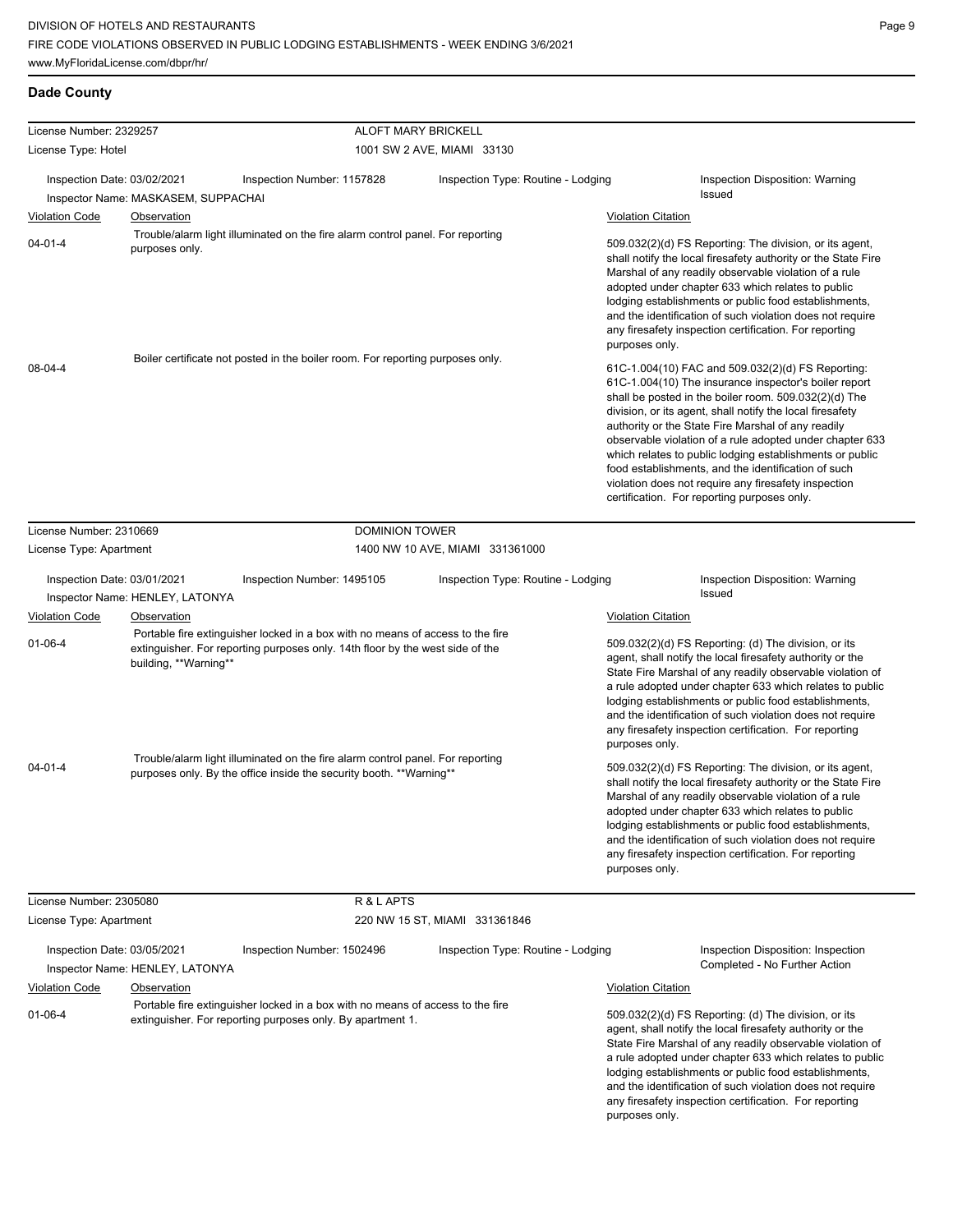| License Number: 2329257     |                                                                                                                                                                                          | <b>ALOFT MARY BRICKELL</b> |                                    |                                                                                                                                                                                                                                                                                                                                                                                                                                                                                                                                                                              |  |
|-----------------------------|------------------------------------------------------------------------------------------------------------------------------------------------------------------------------------------|----------------------------|------------------------------------|------------------------------------------------------------------------------------------------------------------------------------------------------------------------------------------------------------------------------------------------------------------------------------------------------------------------------------------------------------------------------------------------------------------------------------------------------------------------------------------------------------------------------------------------------------------------------|--|
| License Type: Hotel         |                                                                                                                                                                                          |                            | 1001 SW 2 AVE, MIAMI 33130         |                                                                                                                                                                                                                                                                                                                                                                                                                                                                                                                                                                              |  |
| Inspection Date: 03/02/2021 | Inspection Number: 1157828<br>Inspector Name: MASKASEM, SUPPACHAI                                                                                                                        |                            | Inspection Type: Routine - Lodging | <b>Inspection Disposition: Warning</b><br>Issued                                                                                                                                                                                                                                                                                                                                                                                                                                                                                                                             |  |
| <b>Violation Code</b>       | Observation                                                                                                                                                                              |                            |                                    | <b>Violation Citation</b>                                                                                                                                                                                                                                                                                                                                                                                                                                                                                                                                                    |  |
| $04 - 01 - 4$               | Trouble/alarm light illuminated on the fire alarm control panel. For reporting<br>purposes only.                                                                                         |                            |                                    | 509.032(2)(d) FS Reporting: The division, or its agent,<br>shall notify the local firesafety authority or the State Fire<br>Marshal of any readily observable violation of a rule<br>adopted under chapter 633 which relates to public<br>lodging establishments or public food establishments,<br>and the identification of such violation does not require<br>any firesafety inspection certification. For reporting<br>purposes only.                                                                                                                                     |  |
| 08-04-4                     | Boiler certificate not posted in the boiler room. For reporting purposes only.                                                                                                           |                            |                                    | 61C-1.004(10) FAC and 509.032(2)(d) FS Reporting:<br>61C-1.004(10) The insurance inspector's boiler report<br>shall be posted in the boiler room. 509.032(2)(d) The<br>division, or its agent, shall notify the local firesafety<br>authority or the State Fire Marshal of any readily<br>observable violation of a rule adopted under chapter 633<br>which relates to public lodging establishments or public<br>food establishments, and the identification of such<br>violation does not require any firesafety inspection<br>certification. For reporting purposes only. |  |
| License Number: 2310669     |                                                                                                                                                                                          | <b>DOMINION TOWER</b>      |                                    |                                                                                                                                                                                                                                                                                                                                                                                                                                                                                                                                                                              |  |
| License Type: Apartment     |                                                                                                                                                                                          |                            | 1400 NW 10 AVE, MIAMI 331361000    |                                                                                                                                                                                                                                                                                                                                                                                                                                                                                                                                                                              |  |
| Inspection Date: 03/01/2021 | Inspection Number: 1495105<br>Inspector Name: HENLEY, LATONYA                                                                                                                            |                            | Inspection Type: Routine - Lodging | <b>Inspection Disposition: Warning</b><br>Issued                                                                                                                                                                                                                                                                                                                                                                                                                                                                                                                             |  |
| <b>Violation Code</b>       | Observation                                                                                                                                                                              |                            |                                    | <b>Violation Citation</b>                                                                                                                                                                                                                                                                                                                                                                                                                                                                                                                                                    |  |
| $01 - 06 - 4$               | Portable fire extinguisher locked in a box with no means of access to the fire<br>extinguisher. For reporting purposes only. 14th floor by the west side of the<br>building, **Warning** |                            |                                    | 509.032(2)(d) FS Reporting: (d) The division, or its<br>agent, shall notify the local firesafety authority or the<br>State Fire Marshal of any readily observable violation of<br>a rule adopted under chapter 633 which relates to public<br>lodging establishments or public food establishments,<br>and the identification of such violation does not require<br>any firesafety inspection certification. For reporting<br>purposes only.                                                                                                                                 |  |
| $04 - 01 - 4$               | Trouble/alarm light illuminated on the fire alarm control panel. For reporting<br>purposes only. By the office inside the security booth. **Warning**                                    |                            |                                    | 509.032(2)(d) FS Reporting: The division, or its agent,<br>shall notify the local firesafety authority or the State Fire<br>Marshal of any readily observable violation of a rule<br>adopted under chapter 633 which relates to public<br>lodging establishments or public food establishments,<br>and the identification of such violation does not require<br>any firesafety inspection certification. For reporting<br>purposes only.                                                                                                                                     |  |
| License Number: 2305080     |                                                                                                                                                                                          | R & L APTS                 |                                    |                                                                                                                                                                                                                                                                                                                                                                                                                                                                                                                                                                              |  |
| License Type: Apartment     |                                                                                                                                                                                          |                            | 220 NW 15 ST, MIAMI 331361846      |                                                                                                                                                                                                                                                                                                                                                                                                                                                                                                                                                                              |  |
| Inspection Date: 03/05/2021 | Inspection Number: 1502496<br>Inspector Name: HENLEY, LATONYA                                                                                                                            |                            | Inspection Type: Routine - Lodging | Inspection Disposition: Inspection<br>Completed - No Further Action                                                                                                                                                                                                                                                                                                                                                                                                                                                                                                          |  |
| <b>Violation Code</b>       | <b>Observation</b>                                                                                                                                                                       |                            |                                    | <b>Violation Citation</b>                                                                                                                                                                                                                                                                                                                                                                                                                                                                                                                                                    |  |
| $01 - 06 - 4$               | Portable fire extinguisher locked in a box with no means of access to the fire<br>extinguisher. For reporting purposes only. By apartment 1.                                             |                            |                                    | 509.032(2)(d) FS Reporting: (d) The division, or its<br>agent, shall notify the local firesafety authority or the<br>State Fire Marshal of any readily observable violation of<br>a rule adopted under chapter 633 which relates to public<br>lodging establishments or public food establishments,<br>and the identification of such violation does not require<br>any firesafety inspection certification. For reporting<br>purposes only.                                                                                                                                 |  |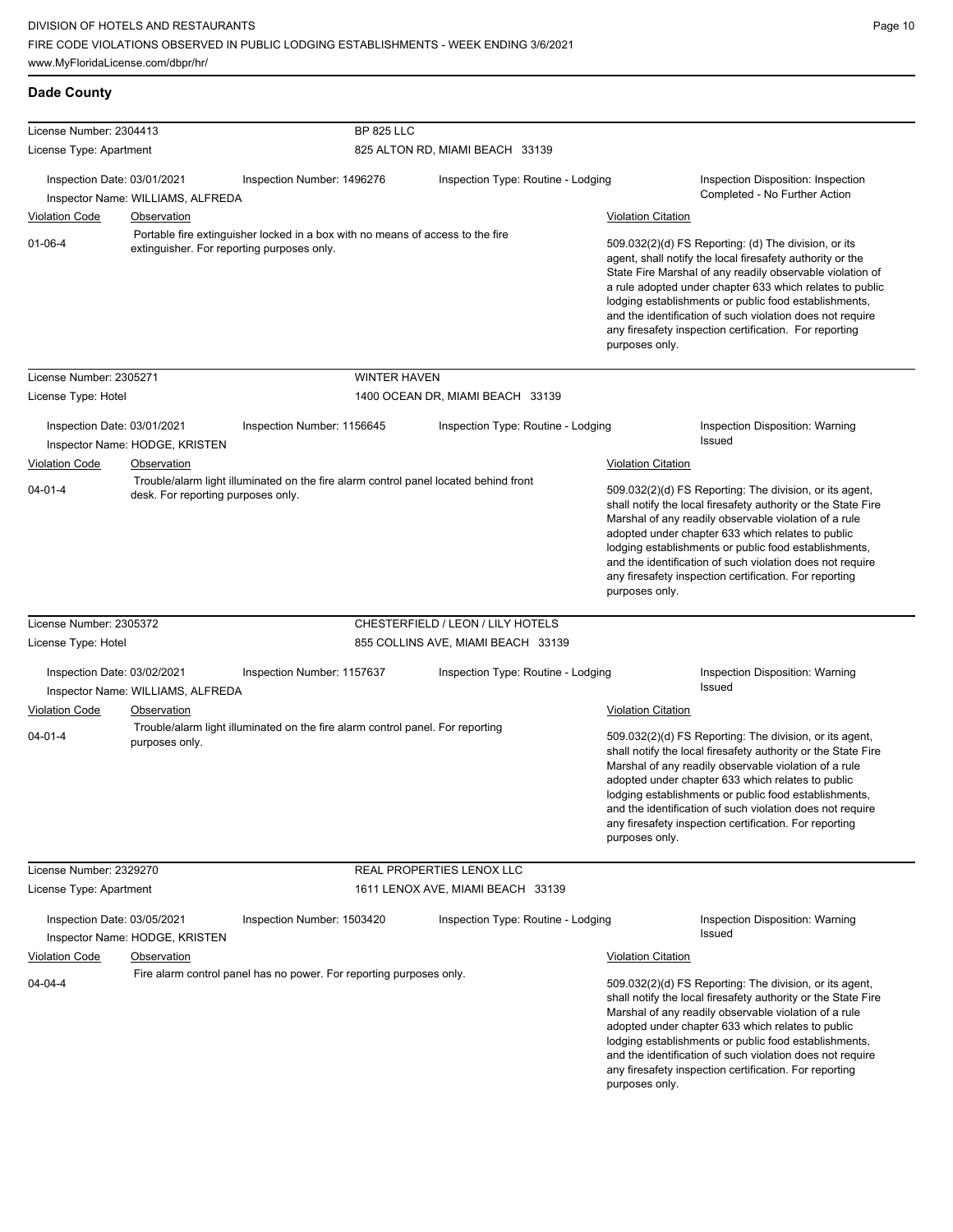| <b>Dade County</b>                                                                                                                            |                                    |                                                                                      |                                    |                                                                                                                                                                                                                                                                                                                                                                                                                                          |                                                                                                                                                                                                                                                                                                                                                                                                                                              |  |
|-----------------------------------------------------------------------------------------------------------------------------------------------|------------------------------------|--------------------------------------------------------------------------------------|------------------------------------|------------------------------------------------------------------------------------------------------------------------------------------------------------------------------------------------------------------------------------------------------------------------------------------------------------------------------------------------------------------------------------------------------------------------------------------|----------------------------------------------------------------------------------------------------------------------------------------------------------------------------------------------------------------------------------------------------------------------------------------------------------------------------------------------------------------------------------------------------------------------------------------------|--|
| License Number: 2304413                                                                                                                       |                                    | <b>BP 825 LLC</b>                                                                    |                                    |                                                                                                                                                                                                                                                                                                                                                                                                                                          |                                                                                                                                                                                                                                                                                                                                                                                                                                              |  |
| License Type: Apartment                                                                                                                       |                                    |                                                                                      | 825 ALTON RD, MIAMI BEACH 33139    |                                                                                                                                                                                                                                                                                                                                                                                                                                          |                                                                                                                                                                                                                                                                                                                                                                                                                                              |  |
| Inspection Date: 03/01/2021                                                                                                                   |                                    | Inspection Number: 1496276                                                           | Inspection Type: Routine - Lodging |                                                                                                                                                                                                                                                                                                                                                                                                                                          | Inspection Disposition: Inspection                                                                                                                                                                                                                                                                                                                                                                                                           |  |
| Inspector Name: WILLIAMS, ALFREDA                                                                                                             |                                    |                                                                                      |                                    |                                                                                                                                                                                                                                                                                                                                                                                                                                          | Completed - No Further Action                                                                                                                                                                                                                                                                                                                                                                                                                |  |
| <b>Violation Code</b>                                                                                                                         | Observation                        |                                                                                      |                                    | <b>Violation Citation</b>                                                                                                                                                                                                                                                                                                                                                                                                                |                                                                                                                                                                                                                                                                                                                                                                                                                                              |  |
| Portable fire extinguisher locked in a box with no means of access to the fire<br>$01 - 06 - 4$<br>extinguisher. For reporting purposes only. |                                    |                                                                                      |                                    |                                                                                                                                                                                                                                                                                                                                                                                                                                          | 509.032(2)(d) FS Reporting: (d) The division, or its<br>agent, shall notify the local firesafety authority or the<br>State Fire Marshal of any readily observable violation of<br>a rule adopted under chapter 633 which relates to public<br>lodging establishments or public food establishments,<br>and the identification of such violation does not require<br>any firesafety inspection certification. For reporting<br>purposes only. |  |
| License Number: 2305271                                                                                                                       |                                    | <b>WINTER HAVEN</b>                                                                  |                                    |                                                                                                                                                                                                                                                                                                                                                                                                                                          |                                                                                                                                                                                                                                                                                                                                                                                                                                              |  |
| License Type: Hotel                                                                                                                           |                                    |                                                                                      | 1400 OCEAN DR, MIAMI BEACH 33139   |                                                                                                                                                                                                                                                                                                                                                                                                                                          |                                                                                                                                                                                                                                                                                                                                                                                                                                              |  |
| Inspection Date: 03/01/2021                                                                                                                   | Inspector Name: HODGE, KRISTEN     | Inspection Number: 1156645                                                           | Inspection Type: Routine - Lodging |                                                                                                                                                                                                                                                                                                                                                                                                                                          | Inspection Disposition: Warning<br>Issued                                                                                                                                                                                                                                                                                                                                                                                                    |  |
| Violation Code                                                                                                                                | Observation                        |                                                                                      |                                    | <b>Violation Citation</b>                                                                                                                                                                                                                                                                                                                                                                                                                |                                                                                                                                                                                                                                                                                                                                                                                                                                              |  |
| $04 - 01 - 4$                                                                                                                                 | desk. For reporting purposes only. | Trouble/alarm light illuminated on the fire alarm control panel located behind front |                                    | 509.032(2)(d) FS Reporting: The division, or its agent,<br>shall notify the local firesafety authority or the State Fire<br>Marshal of any readily observable violation of a rule<br>adopted under chapter 633 which relates to public<br>lodging establishments or public food establishments,<br>and the identification of such violation does not require<br>any firesafety inspection certification. For reporting<br>purposes only. |                                                                                                                                                                                                                                                                                                                                                                                                                                              |  |
| License Number: 2305372                                                                                                                       |                                    |                                                                                      | CHESTERFIELD / LEON / LILY HOTELS  |                                                                                                                                                                                                                                                                                                                                                                                                                                          |                                                                                                                                                                                                                                                                                                                                                                                                                                              |  |
| License Type: Hotel                                                                                                                           |                                    |                                                                                      | 855 COLLINS AVE, MIAMI BEACH 33139 |                                                                                                                                                                                                                                                                                                                                                                                                                                          |                                                                                                                                                                                                                                                                                                                                                                                                                                              |  |
| Inspection Date: 03/02/2021                                                                                                                   | Inspector Name: WILLIAMS, ALFREDA  | Inspection Number: 1157637                                                           | Inspection Type: Routine - Lodging |                                                                                                                                                                                                                                                                                                                                                                                                                                          | Inspection Disposition: Warning<br><b>Issued</b>                                                                                                                                                                                                                                                                                                                                                                                             |  |
| Violation Code                                                                                                                                | Observation                        |                                                                                      |                                    | Violation Citation                                                                                                                                                                                                                                                                                                                                                                                                                       |                                                                                                                                                                                                                                                                                                                                                                                                                                              |  |
| $04 - 01 - 4$                                                                                                                                 | purposes only.                     | Trouble/alarm light illuminated on the fire alarm control panel. For reporting       |                                    | purposes only.                                                                                                                                                                                                                                                                                                                                                                                                                           | 509.032(2)(d) FS Reporting: The division, or its agent,<br>shall notify the local firesafety authority or the State Fire<br>Marshal of any readily observable violation of a rule<br>adopted under chapter 633 which relates to public<br>lodging establishments or public food establishments,<br>and the identification of such violation does not require<br>any firesafety inspection certification. For reporting                       |  |
| License Number: 2329270                                                                                                                       |                                    |                                                                                      | REAL PROPERTIES LENOX LLC          |                                                                                                                                                                                                                                                                                                                                                                                                                                          |                                                                                                                                                                                                                                                                                                                                                                                                                                              |  |
| License Type: Apartment                                                                                                                       |                                    |                                                                                      | 1611 LENOX AVE, MIAMI BEACH 33139  |                                                                                                                                                                                                                                                                                                                                                                                                                                          |                                                                                                                                                                                                                                                                                                                                                                                                                                              |  |
| Inspection Date: 03/05/2021                                                                                                                   | Inspector Name: HODGE, KRISTEN     | Inspection Number: 1503420                                                           | Inspection Type: Routine - Lodging |                                                                                                                                                                                                                                                                                                                                                                                                                                          | Inspection Disposition: Warning<br><b>Issued</b>                                                                                                                                                                                                                                                                                                                                                                                             |  |
| <b>Violation Code</b>                                                                                                                         | Observation                        |                                                                                      |                                    | <b>Violation Citation</b>                                                                                                                                                                                                                                                                                                                                                                                                                |                                                                                                                                                                                                                                                                                                                                                                                                                                              |  |
| $04 - 04 - 4$                                                                                                                                 |                                    | Fire alarm control panel has no power. For reporting purposes only.                  |                                    | purposes only.                                                                                                                                                                                                                                                                                                                                                                                                                           | 509.032(2)(d) FS Reporting: The division, or its agent,<br>shall notify the local firesafety authority or the State Fire<br>Marshal of any readily observable violation of a rule<br>adopted under chapter 633 which relates to public<br>lodging establishments or public food establishments,<br>and the identification of such violation does not require<br>any firesafety inspection certification. For reporting                       |  |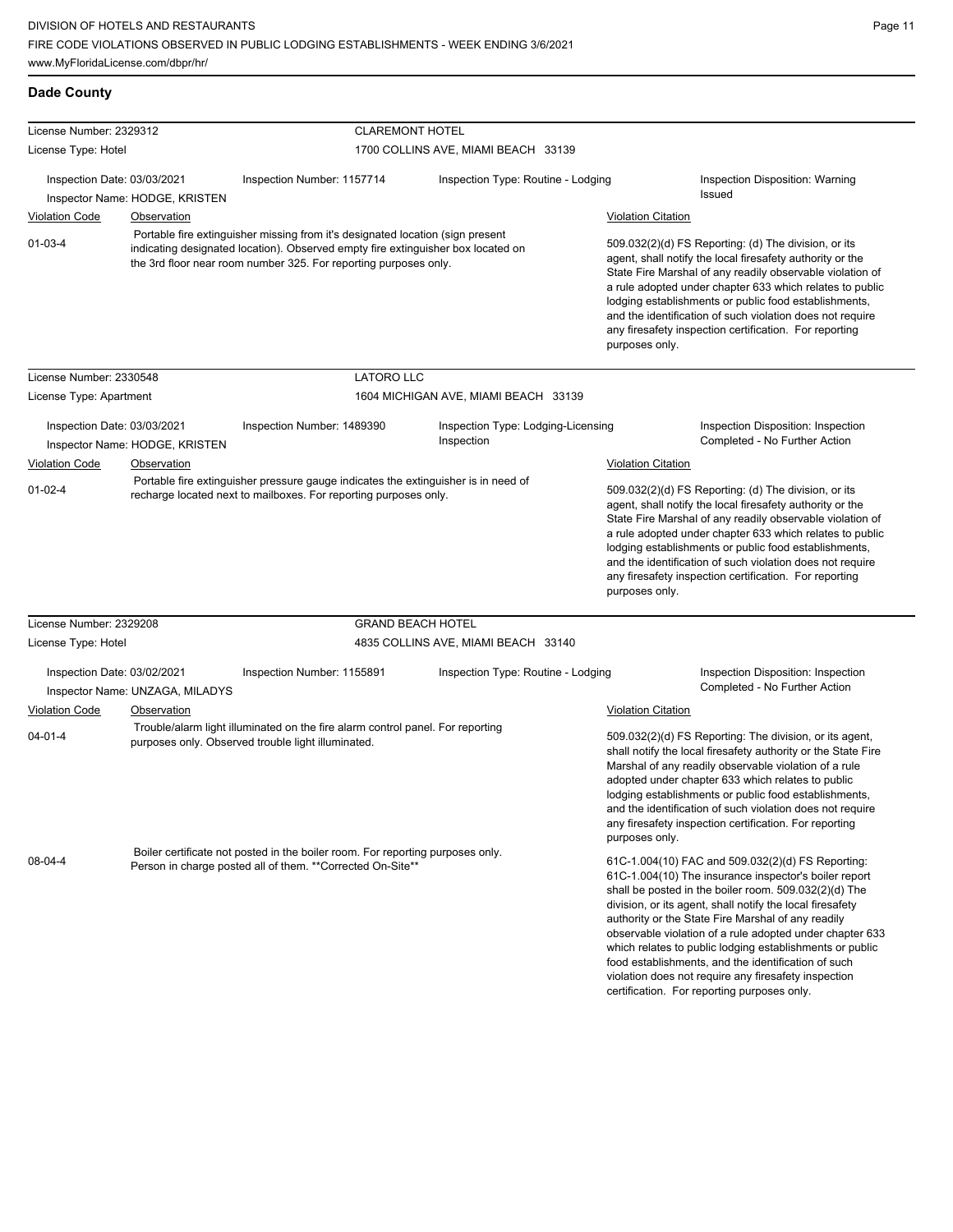| <b>Dade County</b>                   |                                                                                                                                                        |                                                                                                                                                      |                                                  |                                                                                                                                                                                                                                                                                                                                                                                                                                              |                                                                                                                                                                                                                                                                                                                                                                                                                                                                                                                                                                              |  |
|--------------------------------------|--------------------------------------------------------------------------------------------------------------------------------------------------------|------------------------------------------------------------------------------------------------------------------------------------------------------|--------------------------------------------------|----------------------------------------------------------------------------------------------------------------------------------------------------------------------------------------------------------------------------------------------------------------------------------------------------------------------------------------------------------------------------------------------------------------------------------------------|------------------------------------------------------------------------------------------------------------------------------------------------------------------------------------------------------------------------------------------------------------------------------------------------------------------------------------------------------------------------------------------------------------------------------------------------------------------------------------------------------------------------------------------------------------------------------|--|
| License Number: 2329312              |                                                                                                                                                        | <b>CLAREMONT HOTEL</b>                                                                                                                               |                                                  |                                                                                                                                                                                                                                                                                                                                                                                                                                              |                                                                                                                                                                                                                                                                                                                                                                                                                                                                                                                                                                              |  |
| License Type: Hotel                  |                                                                                                                                                        | 1700 COLLINS AVE, MIAMI BEACH 33139                                                                                                                  |                                                  |                                                                                                                                                                                                                                                                                                                                                                                                                                              |                                                                                                                                                                                                                                                                                                                                                                                                                                                                                                                                                                              |  |
| Inspection Date: 03/03/2021          | Inspector Name: HODGE, KRISTEN                                                                                                                         | Inspection Number: 1157714                                                                                                                           | Inspection Type: Routine - Lodging               |                                                                                                                                                                                                                                                                                                                                                                                                                                              | Inspection Disposition: Warning<br><b>Issued</b>                                                                                                                                                                                                                                                                                                                                                                                                                                                                                                                             |  |
| <b>Violation Code</b>                | <b>Observation</b>                                                                                                                                     |                                                                                                                                                      |                                                  | <b>Violation Citation</b>                                                                                                                                                                                                                                                                                                                                                                                                                    |                                                                                                                                                                                                                                                                                                                                                                                                                                                                                                                                                                              |  |
|                                      |                                                                                                                                                        | Portable fire extinguisher missing from it's designated location (sign present                                                                       |                                                  |                                                                                                                                                                                                                                                                                                                                                                                                                                              |                                                                                                                                                                                                                                                                                                                                                                                                                                                                                                                                                                              |  |
| $01 - 03 - 4$                        |                                                                                                                                                        | indicating designated location). Observed empty fire extinguisher box located on<br>the 3rd floor near room number 325. For reporting purposes only. |                                                  | purposes only.                                                                                                                                                                                                                                                                                                                                                                                                                               | 509.032(2)(d) FS Reporting: (d) The division, or its<br>agent, shall notify the local firesafety authority or the<br>State Fire Marshal of any readily observable violation of<br>a rule adopted under chapter 633 which relates to public<br>lodging establishments or public food establishments,<br>and the identification of such violation does not require<br>any firesafety inspection certification. For reporting                                                                                                                                                   |  |
| License Number: 2330548              |                                                                                                                                                        | <b>LATORO LLC</b>                                                                                                                                    |                                                  |                                                                                                                                                                                                                                                                                                                                                                                                                                              |                                                                                                                                                                                                                                                                                                                                                                                                                                                                                                                                                                              |  |
| License Type: Apartment              |                                                                                                                                                        |                                                                                                                                                      | 1604 MICHIGAN AVE, MIAMI BEACH 33139             |                                                                                                                                                                                                                                                                                                                                                                                                                                              |                                                                                                                                                                                                                                                                                                                                                                                                                                                                                                                                                                              |  |
| Inspection Date: 03/03/2021          | Inspector Name: HODGE, KRISTEN                                                                                                                         | Inspection Number: 1489390                                                                                                                           | Inspection Type: Lodging-Licensing<br>Inspection |                                                                                                                                                                                                                                                                                                                                                                                                                                              | Inspection Disposition: Inspection<br>Completed - No Further Action                                                                                                                                                                                                                                                                                                                                                                                                                                                                                                          |  |
| <b>Violation Code</b><br>Observation |                                                                                                                                                        |                                                                                                                                                      |                                                  | <b>Violation Citation</b>                                                                                                                                                                                                                                                                                                                                                                                                                    |                                                                                                                                                                                                                                                                                                                                                                                                                                                                                                                                                                              |  |
| $01 - 02 - 4$                        | Portable fire extinguisher pressure gauge indicates the extinguisher is in need of<br>recharge located next to mailboxes. For reporting purposes only. |                                                                                                                                                      |                                                  | 509.032(2)(d) FS Reporting: (d) The division, or its<br>agent, shall notify the local firesafety authority or the<br>State Fire Marshal of any readily observable violation of<br>a rule adopted under chapter 633 which relates to public<br>lodging establishments or public food establishments,<br>and the identification of such violation does not require<br>any firesafety inspection certification. For reporting<br>purposes only. |                                                                                                                                                                                                                                                                                                                                                                                                                                                                                                                                                                              |  |
| License Number: 2329208              |                                                                                                                                                        | <b>GRAND BEACH HOTEL</b>                                                                                                                             |                                                  |                                                                                                                                                                                                                                                                                                                                                                                                                                              |                                                                                                                                                                                                                                                                                                                                                                                                                                                                                                                                                                              |  |
| License Type: Hotel                  |                                                                                                                                                        |                                                                                                                                                      | 4835 COLLINS AVE, MIAMI BEACH 33140              |                                                                                                                                                                                                                                                                                                                                                                                                                                              |                                                                                                                                                                                                                                                                                                                                                                                                                                                                                                                                                                              |  |
| Inspection Date: 03/02/2021          | Inspector Name: UNZAGA, MILADYS                                                                                                                        | Inspection Number: 1155891                                                                                                                           | Inspection Type: Routine - Lodging               |                                                                                                                                                                                                                                                                                                                                                                                                                                              | Inspection Disposition: Inspection<br>Completed - No Further Action                                                                                                                                                                                                                                                                                                                                                                                                                                                                                                          |  |
| <b>Violation Code</b>                | Observation                                                                                                                                            |                                                                                                                                                      |                                                  | <b>Violation Citation</b>                                                                                                                                                                                                                                                                                                                                                                                                                    |                                                                                                                                                                                                                                                                                                                                                                                                                                                                                                                                                                              |  |
| $04 - 01 - 4$                        |                                                                                                                                                        | Trouble/alarm light illuminated on the fire alarm control panel. For reporting<br>purposes only. Observed trouble light illuminated.                 |                                                  | purposes only.                                                                                                                                                                                                                                                                                                                                                                                                                               | 509.032(2)(d) FS Reporting: The division, or its agent,<br>shall notify the local firesafety authority or the State Fire<br>Marshal of any readily observable violation of a rule<br>adopted under chapter 633 which relates to public<br>lodging establishments or public food establishments,<br>and the identification of such violation does not require<br>any firesafety inspection certification. For reporting                                                                                                                                                       |  |
| 08-04-4                              |                                                                                                                                                        | Boiler certificate not posted in the boiler room. For reporting purposes only.<br>Person in charge posted all of them. **Corrected On-Site**         |                                                  |                                                                                                                                                                                                                                                                                                                                                                                                                                              | 61C-1.004(10) FAC and 509.032(2)(d) FS Reporting:<br>61C-1.004(10) The insurance inspector's boiler report<br>shall be posted in the boiler room. 509.032(2)(d) The<br>division, or its agent, shall notify the local firesafety<br>authority or the State Fire Marshal of any readily<br>observable violation of a rule adopted under chapter 633<br>which relates to public lodging establishments or public<br>food establishments, and the identification of such<br>violation does not require any firesafety inspection<br>certification. For reporting purposes only. |  |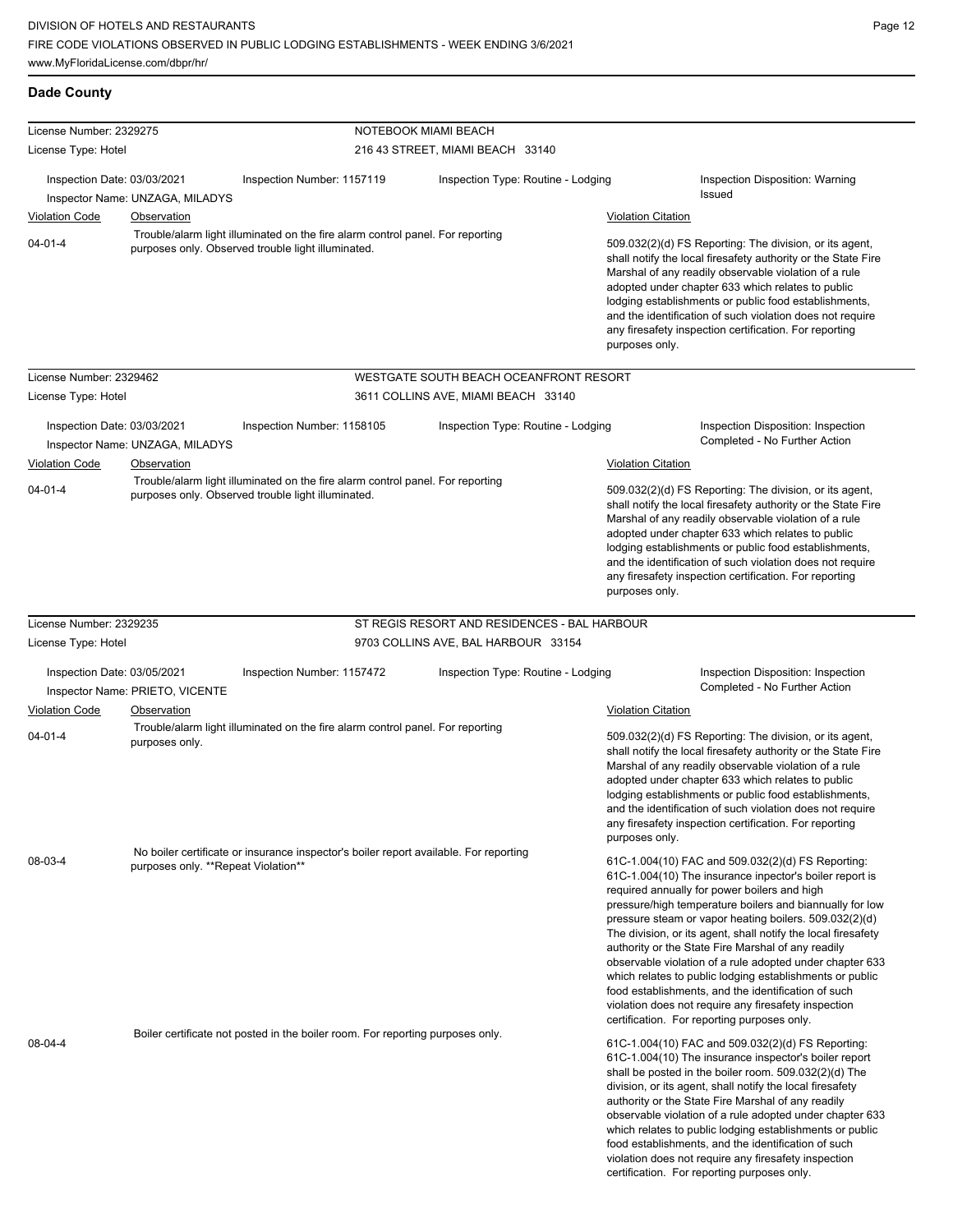| <b>Dade County</b>                                   |                                                |                                                                                                                                      |                                              |                                             |                                                                                                                                                                                                                                                                                                                                                                                                                                                                                                                                                                                                                                                                                                 |
|------------------------------------------------------|------------------------------------------------|--------------------------------------------------------------------------------------------------------------------------------------|----------------------------------------------|---------------------------------------------|-------------------------------------------------------------------------------------------------------------------------------------------------------------------------------------------------------------------------------------------------------------------------------------------------------------------------------------------------------------------------------------------------------------------------------------------------------------------------------------------------------------------------------------------------------------------------------------------------------------------------------------------------------------------------------------------------|
| License Number: 2329275                              |                                                |                                                                                                                                      | NOTEBOOK MIAMI BEACH                         |                                             |                                                                                                                                                                                                                                                                                                                                                                                                                                                                                                                                                                                                                                                                                                 |
| License Type: Hotel                                  |                                                |                                                                                                                                      | 216 43 STREET, MIAMI BEACH 33140             |                                             |                                                                                                                                                                                                                                                                                                                                                                                                                                                                                                                                                                                                                                                                                                 |
| Inspection Date: 03/03/2021<br><b>Violation Code</b> | Inspector Name: UNZAGA, MILADYS<br>Observation | Inspection Number: 1157119                                                                                                           | Inspection Type: Routine - Lodging           | <b>Violation Citation</b>                   | Inspection Disposition: Warning<br>Issued                                                                                                                                                                                                                                                                                                                                                                                                                                                                                                                                                                                                                                                       |
| $04 - 01 - 4$                                        |                                                | Trouble/alarm light illuminated on the fire alarm control panel. For reporting<br>purposes only. Observed trouble light illuminated. |                                              | purposes only.                              | 509.032(2)(d) FS Reporting: The division, or its agent,<br>shall notify the local firesafety authority or the State Fire<br>Marshal of any readily observable violation of a rule<br>adopted under chapter 633 which relates to public<br>lodging establishments or public food establishments,<br>and the identification of such violation does not require<br>any firesafety inspection certification. For reporting                                                                                                                                                                                                                                                                          |
| License Number: 2329462                              |                                                |                                                                                                                                      | WESTGATE SOUTH BEACH OCEANFRONT RESORT       |                                             |                                                                                                                                                                                                                                                                                                                                                                                                                                                                                                                                                                                                                                                                                                 |
| License Type: Hotel                                  |                                                |                                                                                                                                      | 3611 COLLINS AVE, MIAMI BEACH 33140          |                                             |                                                                                                                                                                                                                                                                                                                                                                                                                                                                                                                                                                                                                                                                                                 |
| Inspection Date: 03/03/2021                          | Inspector Name: UNZAGA, MILADYS                | Inspection Number: 1158105                                                                                                           | Inspection Type: Routine - Lodging           |                                             | Inspection Disposition: Inspection<br>Completed - No Further Action                                                                                                                                                                                                                                                                                                                                                                                                                                                                                                                                                                                                                             |
| <b>Violation Code</b><br>$04 - 01 - 4$               | Observation                                    | Trouble/alarm light illuminated on the fire alarm control panel. For reporting<br>purposes only. Observed trouble light illuminated. |                                              | <b>Violation Citation</b><br>purposes only. | 509.032(2)(d) FS Reporting: The division, or its agent,<br>shall notify the local firesafety authority or the State Fire<br>Marshal of any readily observable violation of a rule<br>adopted under chapter 633 which relates to public<br>lodging establishments or public food establishments,<br>and the identification of such violation does not require<br>any firesafety inspection certification. For reporting                                                                                                                                                                                                                                                                          |
| License Number: 2329235                              |                                                |                                                                                                                                      | ST REGIS RESORT AND RESIDENCES - BAL HARBOUR |                                             |                                                                                                                                                                                                                                                                                                                                                                                                                                                                                                                                                                                                                                                                                                 |
| License Type: Hotel                                  |                                                |                                                                                                                                      | 9703 COLLINS AVE, BAL HARBOUR 33154          |                                             |                                                                                                                                                                                                                                                                                                                                                                                                                                                                                                                                                                                                                                                                                                 |
| Inspection Date: 03/05/2021                          | Inspector Name: PRIETO, VICENTE                | Inspection Number: 1157472                                                                                                           | Inspection Type: Routine - Lodging           |                                             | Inspection Disposition: Inspection<br>Completed - No Further Action                                                                                                                                                                                                                                                                                                                                                                                                                                                                                                                                                                                                                             |
| <b>Violation Code</b>                                | Observation                                    |                                                                                                                                      |                                              | <b>Violation Citation</b>                   |                                                                                                                                                                                                                                                                                                                                                                                                                                                                                                                                                                                                                                                                                                 |
| $04 - 01 - 4$                                        | purposes only.                                 | Trouble/alarm light illuminated on the fire alarm control panel. For reporting                                                       |                                              | purposes only.                              | 509.032(2)(d) FS Reporting: The division, or its agent,<br>shall notify the local firesafety authority or the State Fire<br>Marshal of any readily observable violation of a rule<br>adopted under chapter 633 which relates to public<br>lodging establishments or public food establishments,<br>and the identification of such violation does not require<br>any firesafety inspection certification. For reporting                                                                                                                                                                                                                                                                          |
| 08-03-4                                              | purposes only. **Repeat Violation**            | No boiler certificate or insurance inspector's boiler report available. For reporting                                                |                                              |                                             | 61C-1.004(10) FAC and 509.032(2)(d) FS Reporting:<br>61C-1.004(10) The insurance inpector's boiler report is<br>required annually for power boilers and high<br>pressure/high temperature boilers and biannually for low<br>pressure steam or vapor heating boilers. 509.032(2)(d)<br>The division, or its agent, shall notify the local firesafety<br>authority or the State Fire Marshal of any readily<br>observable violation of a rule adopted under chapter 633<br>which relates to public lodging establishments or public<br>food establishments, and the identification of such<br>violation does not require any firesafety inspection<br>certification. For reporting purposes only. |
| 08-04-4                                              |                                                | Boiler certificate not posted in the boiler room. For reporting purposes only.                                                       |                                              |                                             | 61C-1.004(10) FAC and 509.032(2)(d) FS Reporting:<br>61C-1.004(10) The insurance inspector's boiler report<br>shall be posted in the boiler room. 509.032(2)(d) The<br>division, or its agent, shall notify the local firesafety<br>authority or the State Fire Marshal of any readily<br>observable violation of a rule adopted under chapter 633<br>which relates to public lodging establishments or public<br>food establishments, and the identification of such<br>violation does not require any firesafety inspection                                                                                                                                                                   |

certification. For reporting purposes only.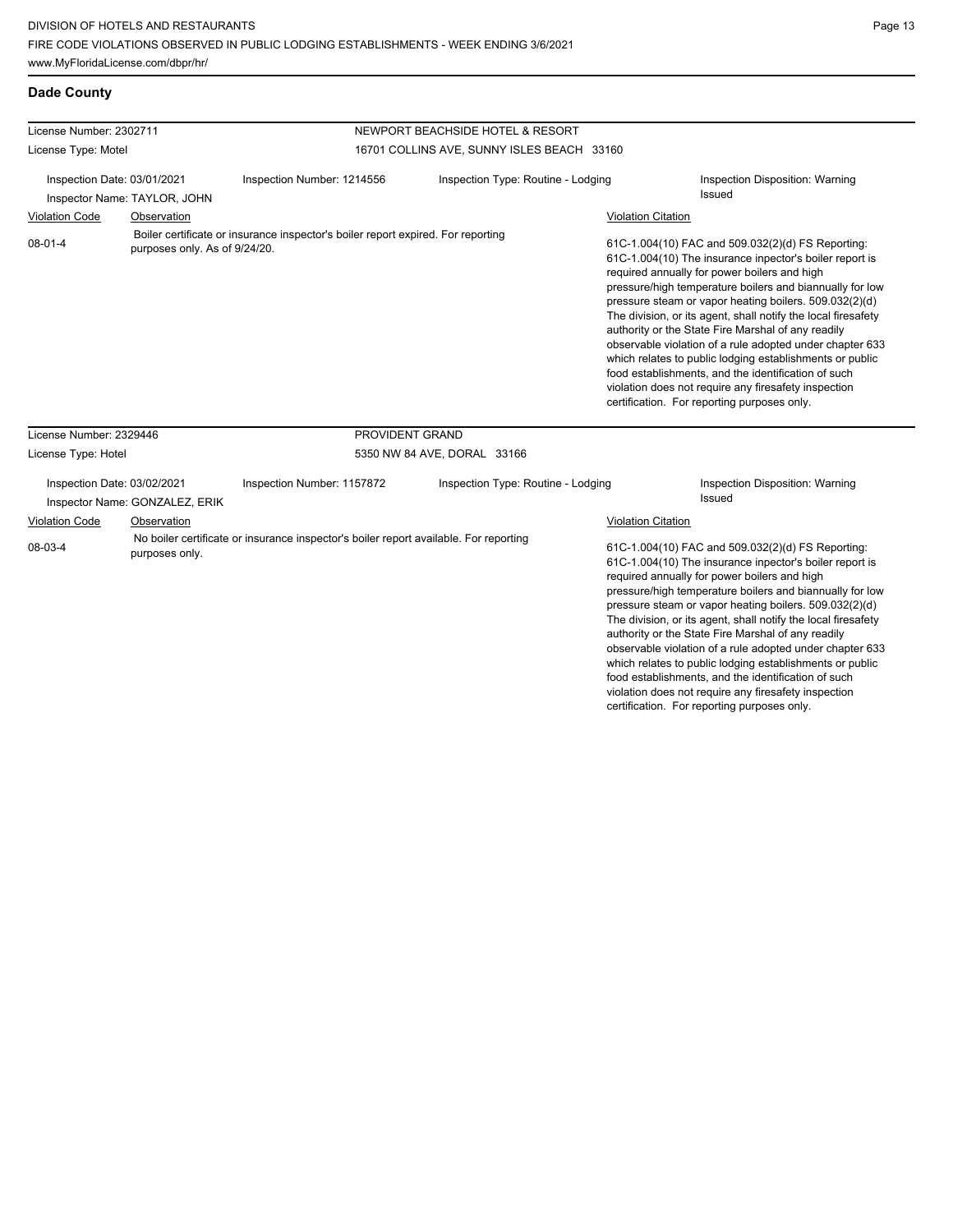| License Number: 2302711     |                                                               | NEWPORT BEACHSIDE HOTEL & RESORT                                                      |                                            |                           |                                                                                                                                                                                                                                                                                                                                                                                                                                                                                                                                                                                                                                                                                                 |  |  |
|-----------------------------|---------------------------------------------------------------|---------------------------------------------------------------------------------------|--------------------------------------------|---------------------------|-------------------------------------------------------------------------------------------------------------------------------------------------------------------------------------------------------------------------------------------------------------------------------------------------------------------------------------------------------------------------------------------------------------------------------------------------------------------------------------------------------------------------------------------------------------------------------------------------------------------------------------------------------------------------------------------------|--|--|
| License Type: Motel         |                                                               |                                                                                       | 16701 COLLINS AVE, SUNNY ISLES BEACH 33160 |                           |                                                                                                                                                                                                                                                                                                                                                                                                                                                                                                                                                                                                                                                                                                 |  |  |
| Inspection Date: 03/01/2021 |                                                               | Inspection Number: 1214556                                                            | Inspection Type: Routine - Lodging         |                           | Inspection Disposition: Warning<br><b>Issued</b>                                                                                                                                                                                                                                                                                                                                                                                                                                                                                                                                                                                                                                                |  |  |
|                             | Inspector Name: TAYLOR, JOHN                                  |                                                                                       |                                            |                           |                                                                                                                                                                                                                                                                                                                                                                                                                                                                                                                                                                                                                                                                                                 |  |  |
| <b>Violation Code</b>       | Observation                                                   |                                                                                       |                                            | <b>Violation Citation</b> |                                                                                                                                                                                                                                                                                                                                                                                                                                                                                                                                                                                                                                                                                                 |  |  |
| $08-01-4$                   | purposes only. As of 9/24/20.                                 | Boiler certificate or insurance inspector's boiler report expired. For reporting      |                                            |                           | 61C-1.004(10) FAC and 509.032(2)(d) FS Reporting:<br>61C-1.004(10) The insurance inpector's boiler report is<br>required annually for power boilers and high<br>pressure/high temperature boilers and biannually for low<br>pressure steam or vapor heating boilers. 509.032(2)(d)<br>The division, or its agent, shall notify the local firesafety<br>authority or the State Fire Marshal of any readily<br>observable violation of a rule adopted under chapter 633<br>which relates to public lodging establishments or public<br>food establishments, and the identification of such<br>violation does not require any firesafety inspection<br>certification. For reporting purposes only. |  |  |
| License Number: 2329446     |                                                               | PROVIDENT GRAND                                                                       |                                            |                           |                                                                                                                                                                                                                                                                                                                                                                                                                                                                                                                                                                                                                                                                                                 |  |  |
| License Type: Hotel         |                                                               |                                                                                       | 5350 NW 84 AVE, DORAL 33166                |                           |                                                                                                                                                                                                                                                                                                                                                                                                                                                                                                                                                                                                                                                                                                 |  |  |
|                             | Inspection Date: 03/02/2021<br>Inspector Name: GONZALEZ, ERIK | Inspection Number: 1157872                                                            | Inspection Type: Routine - Lodging         |                           | Inspection Disposition: Warning<br><b>Issued</b>                                                                                                                                                                                                                                                                                                                                                                                                                                                                                                                                                                                                                                                |  |  |
| <b>Violation Code</b>       | Observation                                                   |                                                                                       |                                            | <b>Violation Citation</b> |                                                                                                                                                                                                                                                                                                                                                                                                                                                                                                                                                                                                                                                                                                 |  |  |
| 08-03-4                     | purposes only.                                                | No boiler certificate or insurance inspector's boiler report available. For reporting |                                            |                           | 61C-1.004(10) FAC and 509.032(2)(d) FS Reporting:<br>61C-1.004(10) The insurance inpector's boiler report is<br>required annually for power boilers and high<br>pressure/high temperature boilers and biannually for low<br>pressure steam or vapor heating boilers. 509.032(2)(d)<br>The division, or its agent, shall notify the local firesafety<br>authority or the State Fire Marshal of any readily<br>observable violation of a rule adopted under chapter 633                                                                                                                                                                                                                           |  |  |

which relates to public lodging establishments or public food establishments, and the identification of such violation does not require any firesafety inspection certification. For reporting purposes only.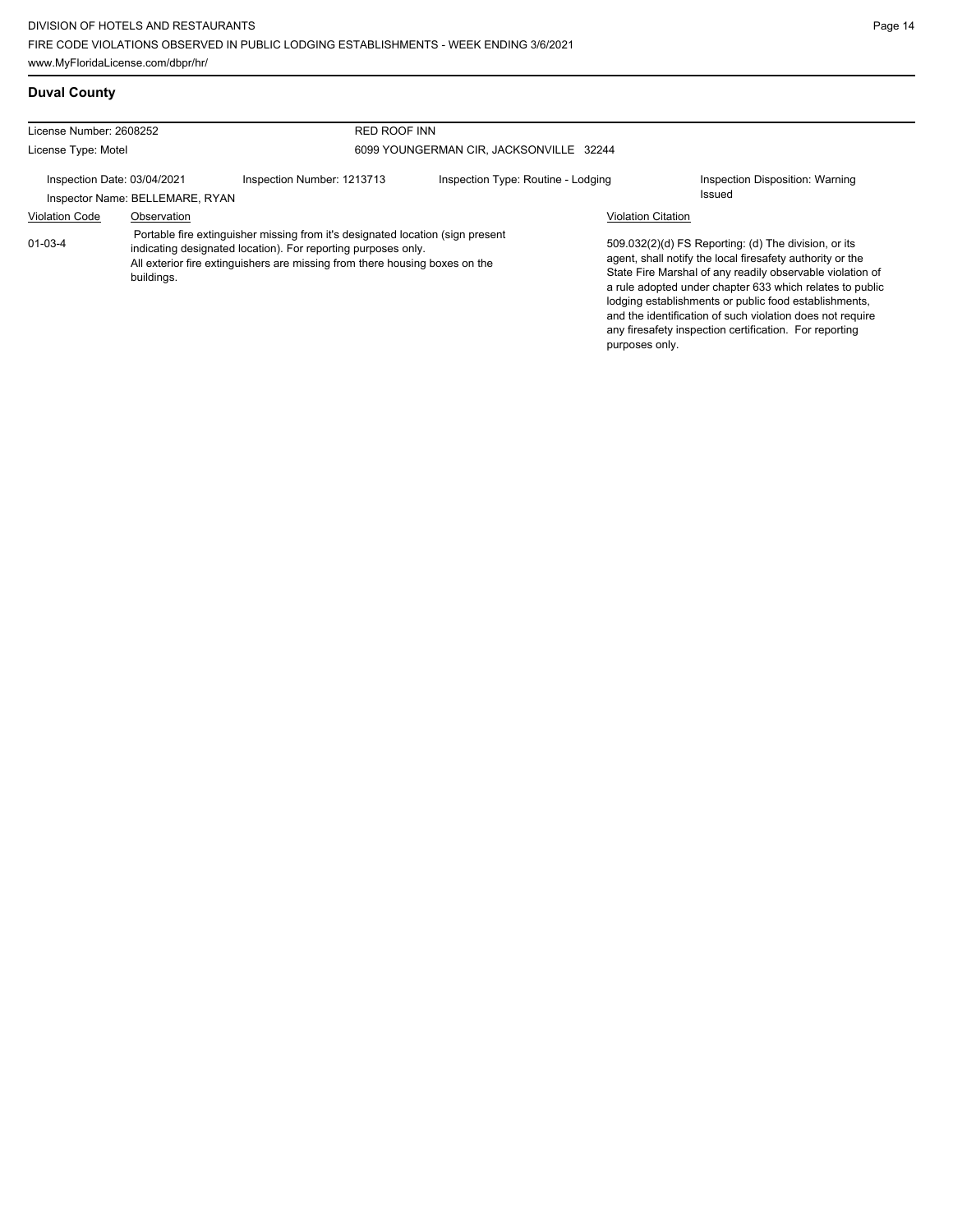**Duval County**

| License Number: 2608252                                        |                             | <b>RED ROOF INN</b>                                                                                                                                                                                                            |                                    |                           |                                                                                                                                                                             |
|----------------------------------------------------------------|-----------------------------|--------------------------------------------------------------------------------------------------------------------------------------------------------------------------------------------------------------------------------|------------------------------------|---------------------------|-----------------------------------------------------------------------------------------------------------------------------------------------------------------------------|
| 6099 YOUNGERMAN CIR, JACKSONVILLE 32244<br>License Type: Motel |                             |                                                                                                                                                                                                                                |                                    |                           |                                                                                                                                                                             |
|                                                                | Inspection Date: 03/04/2021 | Inspection Number: 1213713                                                                                                                                                                                                     | Inspection Type: Routine - Lodging |                           | Inspection Disposition: Warning                                                                                                                                             |
| Inspector Name: BELLEMARE, RYAN                                |                             |                                                                                                                                                                                                                                |                                    |                           | Issued                                                                                                                                                                      |
| <b>Violation Code</b>                                          | Observation                 |                                                                                                                                                                                                                                |                                    | <b>Violation Citation</b> |                                                                                                                                                                             |
| $01 - 03 - 4$                                                  | buildings.                  | Portable fire extinguisher missing from it's designated location (sign present<br>indicating designated location). For reporting purposes only.<br>All exterior fire extinguishers are missing from there housing boxes on the |                                    |                           | 509.032(2)(d) FS Reporting: (d) The division, or its<br>agent, shall notify the local firesafety authority or the<br>State Fire Marshal of any readily observable violation |

ng: (d) The division, or its al firesafety authority or the readily observable violation of a rule adopted under chapter 633 which relates to public lodging establishments or public food establishments, and the identification of such violation does not require any firesafety inspection certification. For reporting purposes only.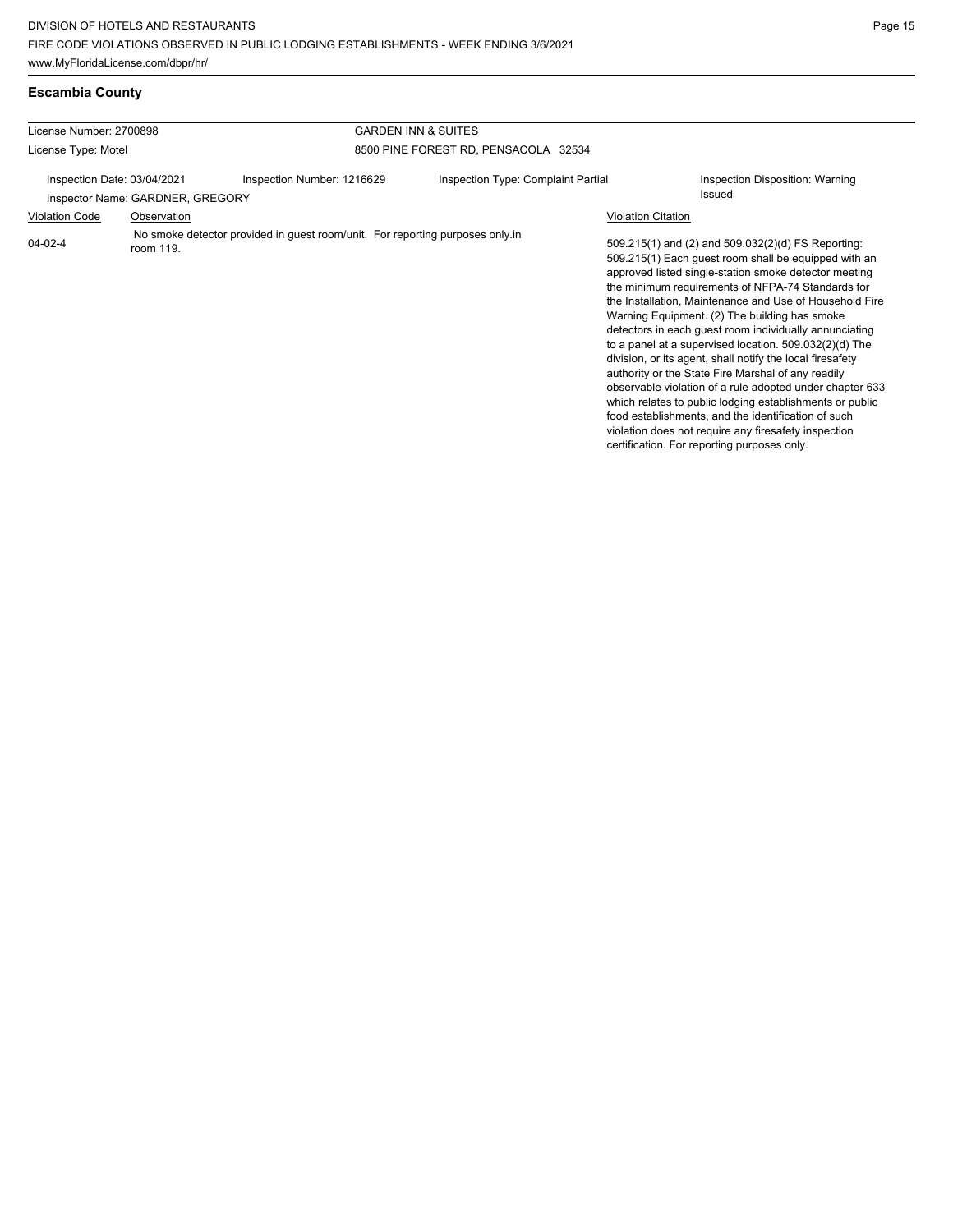## **Escambia County**

| License Number: 2700898     |                                  |                                                                               | <b>GARDEN INN &amp; SUITES</b>       |                                                                                                                                                                                                                                                                                                                                                                                                                                                                                                                                                                                                                                                                                                                                                                                                                                                                   |  |  |
|-----------------------------|----------------------------------|-------------------------------------------------------------------------------|--------------------------------------|-------------------------------------------------------------------------------------------------------------------------------------------------------------------------------------------------------------------------------------------------------------------------------------------------------------------------------------------------------------------------------------------------------------------------------------------------------------------------------------------------------------------------------------------------------------------------------------------------------------------------------------------------------------------------------------------------------------------------------------------------------------------------------------------------------------------------------------------------------------------|--|--|
| License Type: Motel         |                                  |                                                                               | 8500 PINE FOREST RD, PENSACOLA 32534 |                                                                                                                                                                                                                                                                                                                                                                                                                                                                                                                                                                                                                                                                                                                                                                                                                                                                   |  |  |
| Inspection Date: 03/04/2021 | Inspector Name: GARDNER, GREGORY | Inspection Number: 1216629                                                    | Inspection Type: Complaint Partial   | Inspection Disposition: Warning<br>Issued                                                                                                                                                                                                                                                                                                                                                                                                                                                                                                                                                                                                                                                                                                                                                                                                                         |  |  |
| <b>Violation Code</b>       | Observation                      |                                                                               |                                      | <b>Violation Citation</b>                                                                                                                                                                                                                                                                                                                                                                                                                                                                                                                                                                                                                                                                                                                                                                                                                                         |  |  |
| $04 - 02 - 4$               | room 119.                        | No smoke detector provided in guest room/unit. For reporting purposes only in |                                      | 509.215(1) and (2) and 509.032(2)(d) FS Reporting:<br>509.215(1) Each guest room shall be equipped with an<br>approved listed single-station smoke detector meeting<br>the minimum requirements of NFPA-74 Standards for<br>the Installation, Maintenance and Use of Household Fire<br>Warning Equipment. (2) The building has smoke<br>detectors in each guest room individually annunciating<br>to a panel at a supervised location. 509.032(2)(d) The<br>division, or its agent, shall notify the local firesafety<br>authority or the State Fire Marshal of any readily<br>observable violation of a rule adopted under chapter 633<br>which relates to public lodging establishments or public<br>food establishments, and the identification of such<br>violation does not require any firesafety inspection<br>certification. For reporting purposes only. |  |  |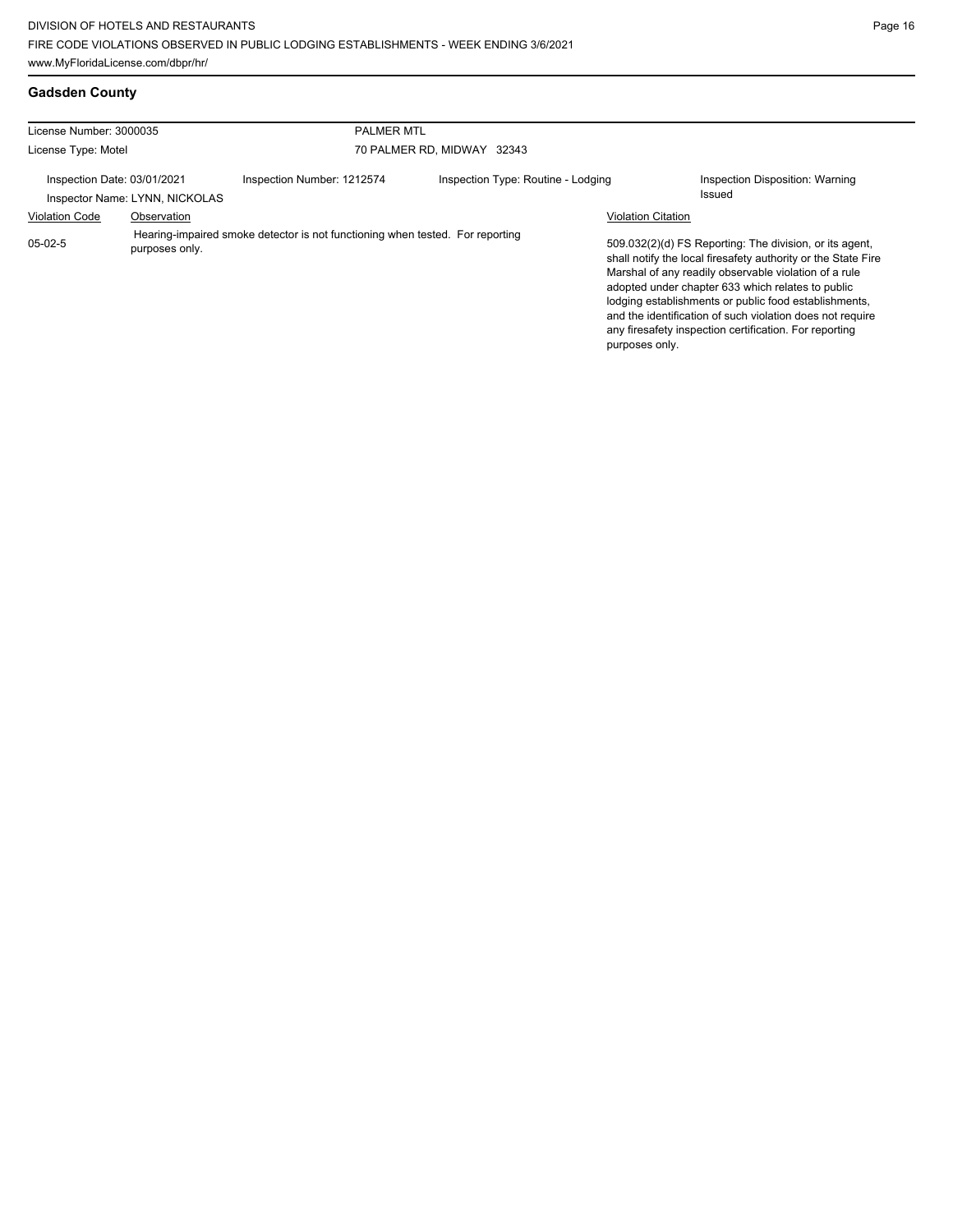| License Number: 3000035     |                                | <b>PALMER MTL</b>                                                             |                                    |                           |                                                                                                                                                                                                                                                                                                                                                                                                                        |
|-----------------------------|--------------------------------|-------------------------------------------------------------------------------|------------------------------------|---------------------------|------------------------------------------------------------------------------------------------------------------------------------------------------------------------------------------------------------------------------------------------------------------------------------------------------------------------------------------------------------------------------------------------------------------------|
| License Type: Motel         |                                |                                                                               | 70 PALMER RD. MIDWAY 32343         |                           |                                                                                                                                                                                                                                                                                                                                                                                                                        |
| Inspection Date: 03/01/2021 | Inspector Name: LYNN, NICKOLAS | Inspection Number: 1212574                                                    | Inspection Type: Routine - Lodging |                           | Inspection Disposition: Warning<br>Issued                                                                                                                                                                                                                                                                                                                                                                              |
| <b>Violation Code</b>       | Observation                    |                                                                               |                                    | <b>Violation Citation</b> |                                                                                                                                                                                                                                                                                                                                                                                                                        |
| $05-02-5$                   | purposes only.                 | Hearing-impaired smoke detector is not functioning when tested. For reporting |                                    | purposes only.            | 509.032(2)(d) FS Reporting: The division, or its agent,<br>shall notify the local firesafety authority or the State Fire<br>Marshal of any readily observable violation of a rule<br>adopted under chapter 633 which relates to public<br>lodging establishments or public food establishments.<br>and the identification of such violation does not require<br>any firesafety inspection certification. For reporting |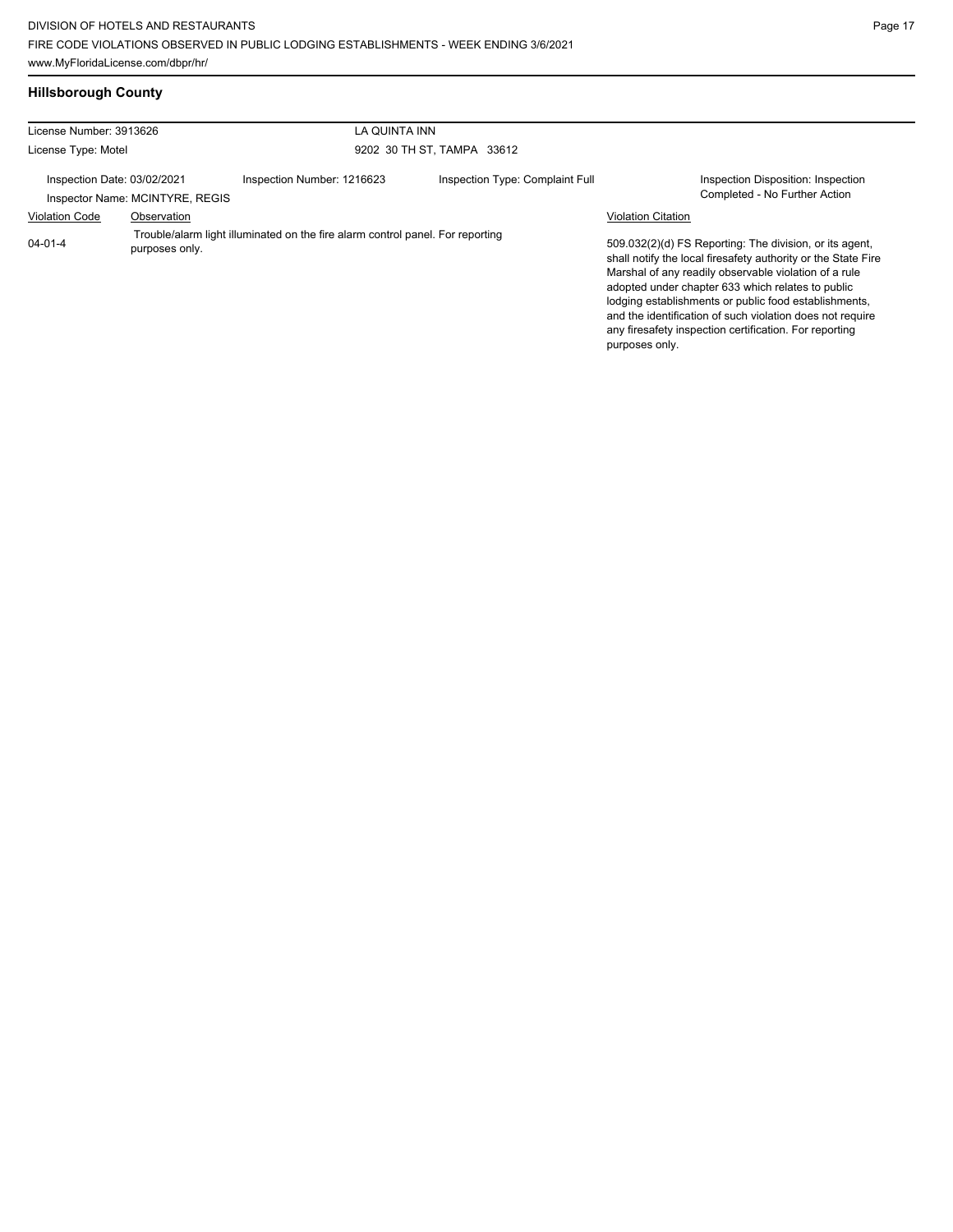## **Hillsborough County**

| License Number: 3913626<br>License Type: Motel                                                                    |                                 | LA QUINTA INN              |                                 |                                                                                                                                                                                                                                                                                                                                                                                                                                          |
|-------------------------------------------------------------------------------------------------------------------|---------------------------------|----------------------------|---------------------------------|------------------------------------------------------------------------------------------------------------------------------------------------------------------------------------------------------------------------------------------------------------------------------------------------------------------------------------------------------------------------------------------------------------------------------------------|
|                                                                                                                   |                                 |                            | 9202 30 TH ST, TAMPA 33612      |                                                                                                                                                                                                                                                                                                                                                                                                                                          |
| Inspection Date: 03/02/2021                                                                                       | Inspector Name: MCINTYRE, REGIS | Inspection Number: 1216623 | Inspection Type: Complaint Full | Inspection Disposition: Inspection<br>Completed - No Further Action                                                                                                                                                                                                                                                                                                                                                                      |
| <b>Violation Code</b>                                                                                             | Observation                     |                            |                                 | <b>Violation Citation</b>                                                                                                                                                                                                                                                                                                                                                                                                                |
| Trouble/alarm light illuminated on the fire alarm control panel. For reporting<br>$04 - 01 - 4$<br>purposes only. |                                 |                            |                                 | 509.032(2)(d) FS Reporting: The division, or its agent,<br>shall notify the local firesafety authority or the State Fire<br>Marshal of any readily observable violation of a rule<br>adopted under chapter 633 which relates to public<br>lodging establishments or public food establishments,<br>and the identification of such violation does not require<br>any firesafety inspection certification. For reporting<br>purposes only. |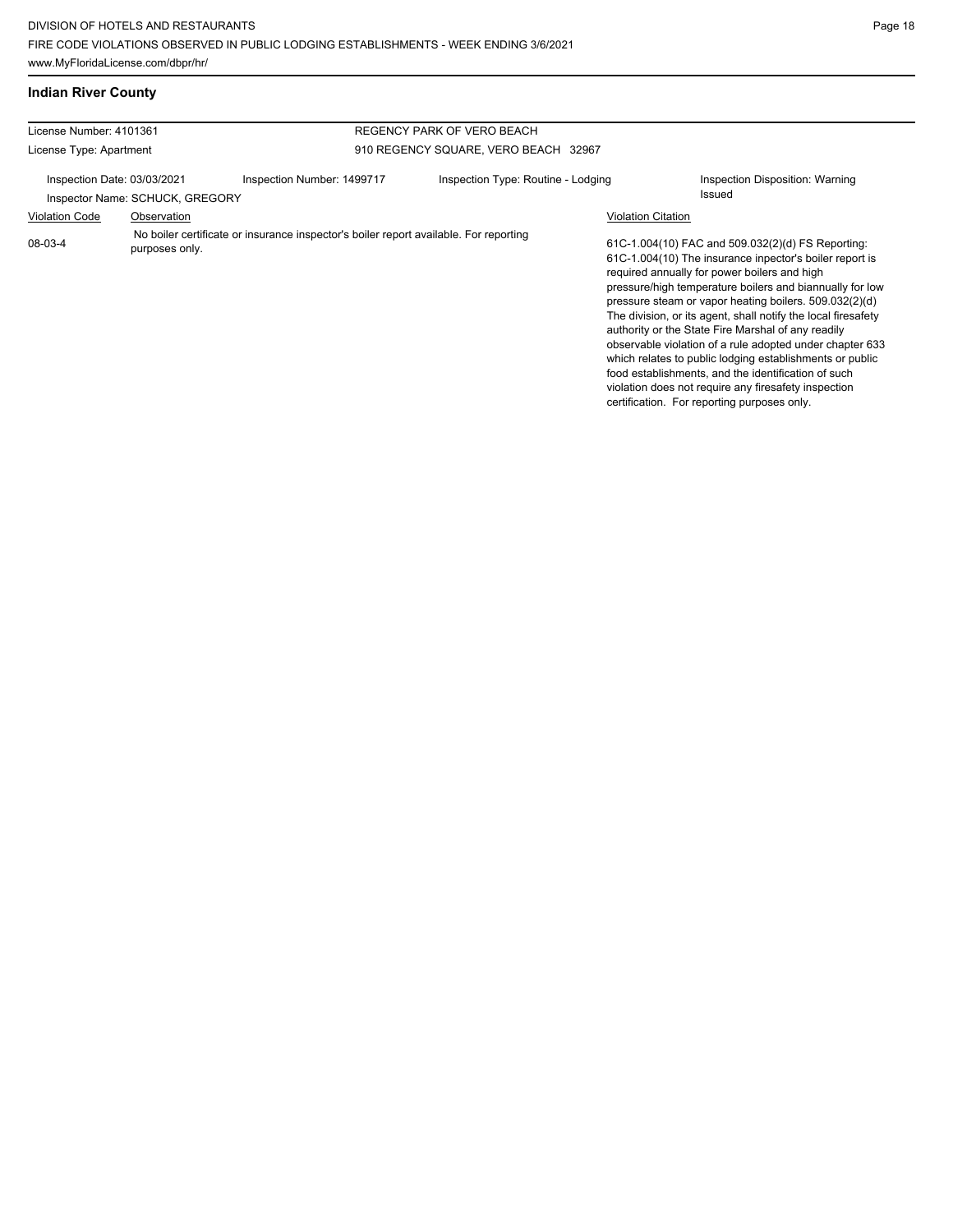#### **Indian River County**

| License Number: 4101361                                        |                |                                                                                       | REGENCY PARK OF VERO BEACH           |                           |                                                                                                                                                                                                                                                                                                                                                                                                                                                                                                                                                                                                                                                                                                 |
|----------------------------------------------------------------|----------------|---------------------------------------------------------------------------------------|--------------------------------------|---------------------------|-------------------------------------------------------------------------------------------------------------------------------------------------------------------------------------------------------------------------------------------------------------------------------------------------------------------------------------------------------------------------------------------------------------------------------------------------------------------------------------------------------------------------------------------------------------------------------------------------------------------------------------------------------------------------------------------------|
| License Type: Apartment                                        |                |                                                                                       | 910 REGENCY SQUARE, VERO BEACH 32967 |                           |                                                                                                                                                                                                                                                                                                                                                                                                                                                                                                                                                                                                                                                                                                 |
| Inspection Date: 03/03/2021<br>Inspector Name: SCHUCK, GREGORY |                | Inspection Number: 1499717                                                            | Inspection Type: Routine - Lodging   |                           | Inspection Disposition: Warning<br>Issued                                                                                                                                                                                                                                                                                                                                                                                                                                                                                                                                                                                                                                                       |
| <b>Violation Code</b>                                          | Observation    |                                                                                       |                                      | <b>Violation Citation</b> |                                                                                                                                                                                                                                                                                                                                                                                                                                                                                                                                                                                                                                                                                                 |
| 08-03-4                                                        | purposes only. | No boiler certificate or insurance inspector's boiler report available. For reporting |                                      |                           | 61C-1.004(10) FAC and 509.032(2)(d) FS Reporting:<br>61C-1.004(10) The insurance inpector's boiler report is<br>required annually for power boilers and high<br>pressure/high temperature boilers and biannually for low<br>pressure steam or vapor heating boilers. 509.032(2)(d)<br>The division, or its agent, shall notify the local firesafety<br>authority or the State Fire Marshal of any readily<br>observable violation of a rule adopted under chapter 633<br>which relates to public lodging establishments or public<br>food establishments, and the identification of such<br>violation does not require any firesafety inspection<br>certification. For reporting purposes only. |
|                                                                |                |                                                                                       |                                      |                           |                                                                                                                                                                                                                                                                                                                                                                                                                                                                                                                                                                                                                                                                                                 |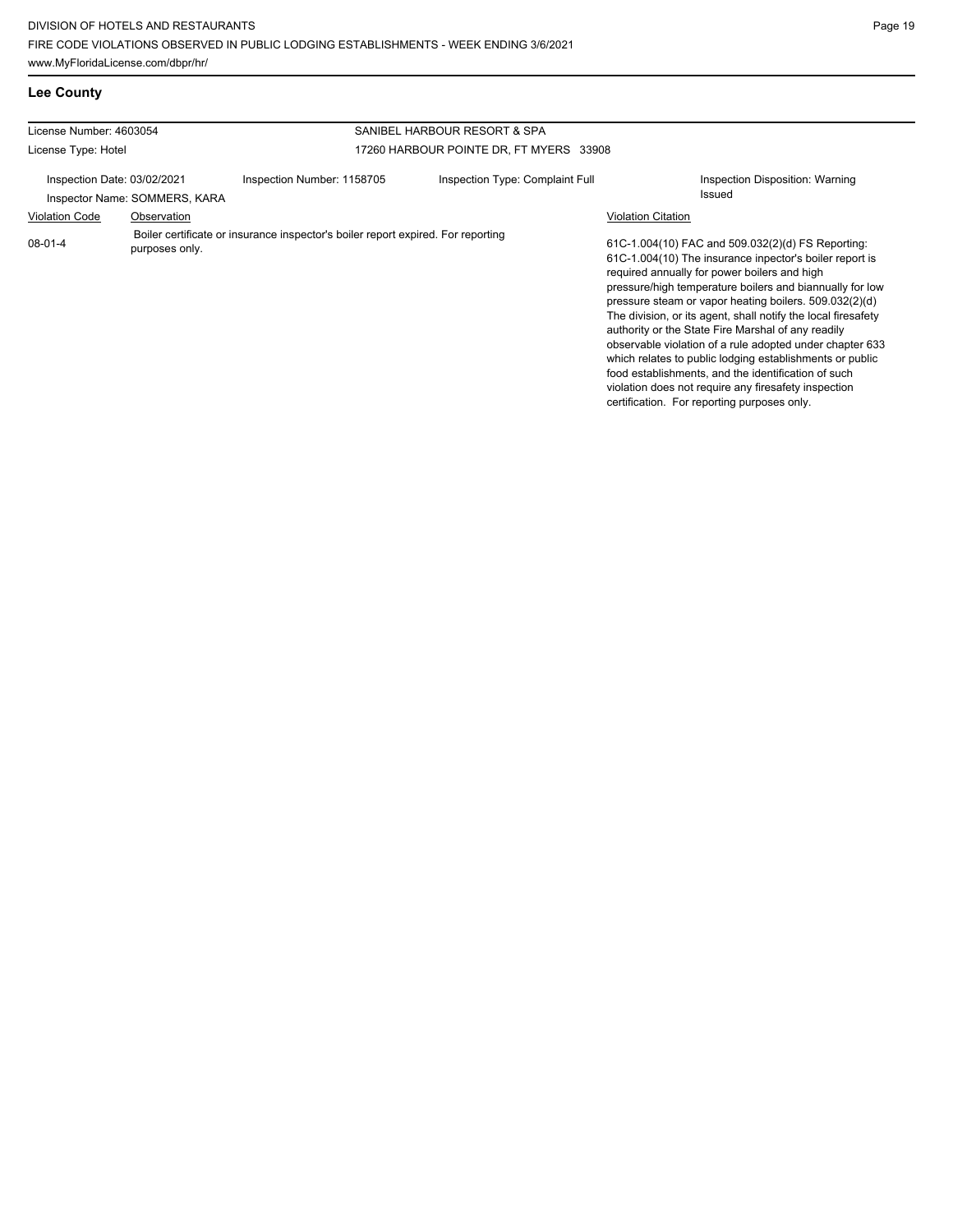**Lee County**

| License Number: 4603054                                      |                |                                                                                  | SANIBEL HARBOUR RESORT & SPA            |                                                                                                                                                                                                                                                                                                                                                                                                                                                                                                                                                                                                                                                                                                 |
|--------------------------------------------------------------|----------------|----------------------------------------------------------------------------------|-----------------------------------------|-------------------------------------------------------------------------------------------------------------------------------------------------------------------------------------------------------------------------------------------------------------------------------------------------------------------------------------------------------------------------------------------------------------------------------------------------------------------------------------------------------------------------------------------------------------------------------------------------------------------------------------------------------------------------------------------------|
| License Type: Hotel                                          |                |                                                                                  | 17260 HARBOUR POINTE DR, FT MYERS 33908 |                                                                                                                                                                                                                                                                                                                                                                                                                                                                                                                                                                                                                                                                                                 |
| Inspection Date: 03/02/2021<br>Inspector Name: SOMMERS, KARA |                | Inspection Number: 1158705                                                       | Inspection Type: Complaint Full         | Inspection Disposition: Warning<br>Issued                                                                                                                                                                                                                                                                                                                                                                                                                                                                                                                                                                                                                                                       |
| <b>Violation Code</b>                                        | Observation    |                                                                                  |                                         | <b>Violation Citation</b>                                                                                                                                                                                                                                                                                                                                                                                                                                                                                                                                                                                                                                                                       |
| $08 - 01 - 4$                                                | purposes only. | Boiler certificate or insurance inspector's boiler report expired. For reporting |                                         | 61C-1.004(10) FAC and 509.032(2)(d) FS Reporting:<br>61C-1.004(10) The insurance inpector's boiler report is<br>required annually for power boilers and high<br>pressure/high temperature boilers and biannually for low<br>pressure steam or vapor heating boilers. 509.032(2)(d)<br>The division, or its agent, shall notify the local firesafety<br>authority or the State Fire Marshal of any readily<br>observable violation of a rule adopted under chapter 633<br>which relates to public lodging establishments or public<br>food establishments, and the identification of such<br>violation does not require any firesafety inspection<br>certification. For reporting purposes only. |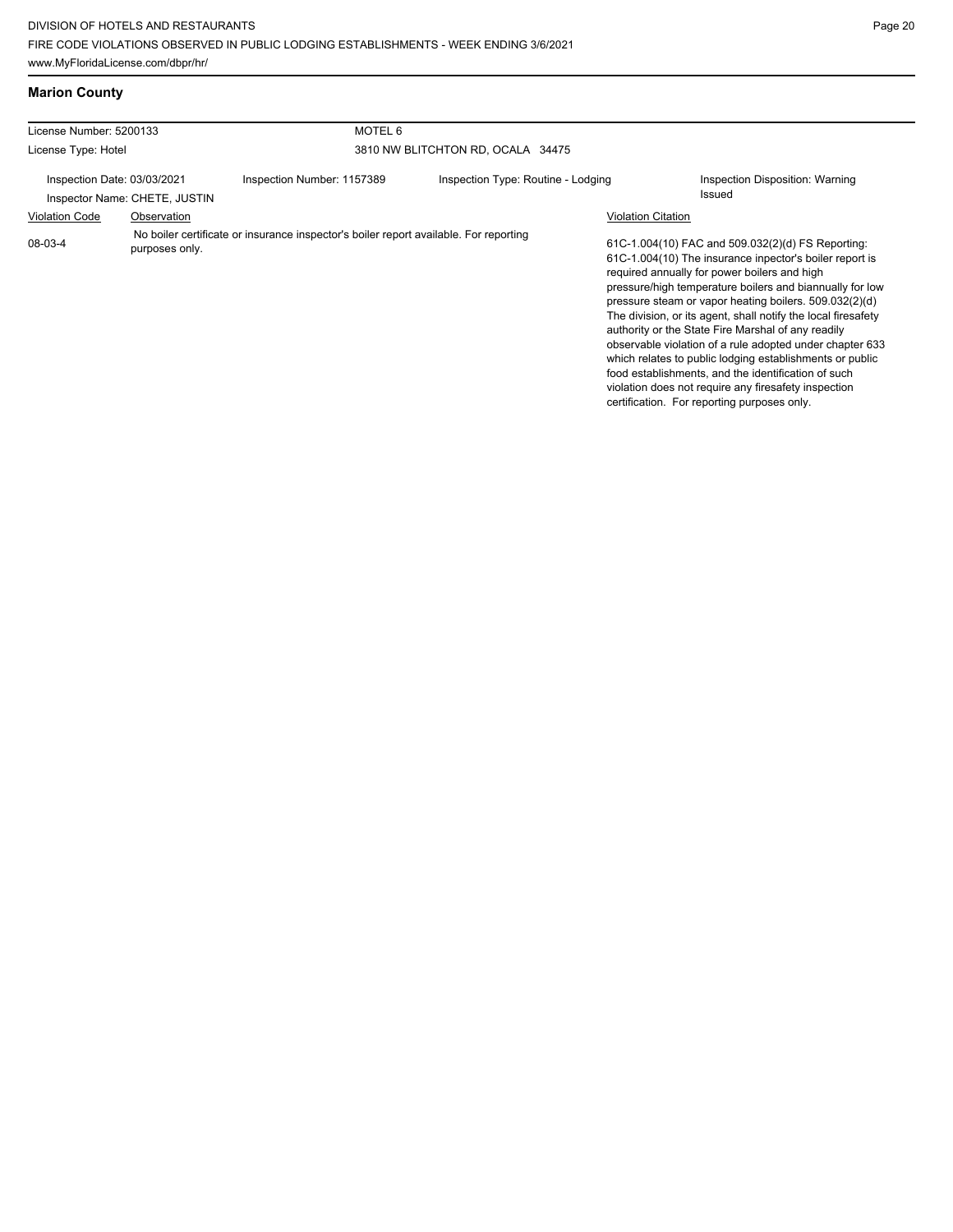▁

#### **Marion County**

| License Number: 5200133                                      |                | MOTEL <sub>6</sub>                                                                    |                                    |                           |                                                                                                                                                                                                                                                                                                                                                                                                                                                                                                                                                                                                                                                                                                 |  |  |
|--------------------------------------------------------------|----------------|---------------------------------------------------------------------------------------|------------------------------------|---------------------------|-------------------------------------------------------------------------------------------------------------------------------------------------------------------------------------------------------------------------------------------------------------------------------------------------------------------------------------------------------------------------------------------------------------------------------------------------------------------------------------------------------------------------------------------------------------------------------------------------------------------------------------------------------------------------------------------------|--|--|
| License Type: Hotel                                          |                |                                                                                       | 3810 NW BLITCHTON RD, OCALA 34475  |                           |                                                                                                                                                                                                                                                                                                                                                                                                                                                                                                                                                                                                                                                                                                 |  |  |
| Inspection Date: 03/03/2021<br>Inspector Name: CHETE, JUSTIN |                | Inspection Number: 1157389                                                            | Inspection Type: Routine - Lodging |                           | Inspection Disposition: Warning<br>Issued                                                                                                                                                                                                                                                                                                                                                                                                                                                                                                                                                                                                                                                       |  |  |
| <b>Violation Code</b>                                        | Observation    |                                                                                       |                                    | <b>Violation Citation</b> |                                                                                                                                                                                                                                                                                                                                                                                                                                                                                                                                                                                                                                                                                                 |  |  |
| 08-03-4                                                      | purposes only. | No boiler certificate or insurance inspector's boiler report available. For reporting |                                    |                           | 61C-1.004(10) FAC and 509.032(2)(d) FS Reporting:<br>61C-1.004(10) The insurance inpector's boiler report is<br>required annually for power boilers and high<br>pressure/high temperature boilers and biannually for low<br>pressure steam or vapor heating boilers. 509.032(2)(d)<br>The division, or its agent, shall notify the local firesafety<br>authority or the State Fire Marshal of any readily<br>observable violation of a rule adopted under chapter 633<br>which relates to public lodging establishments or public<br>food establishments, and the identification of such<br>violation does not require any firesafety inspection<br>certification. For reporting purposes only. |  |  |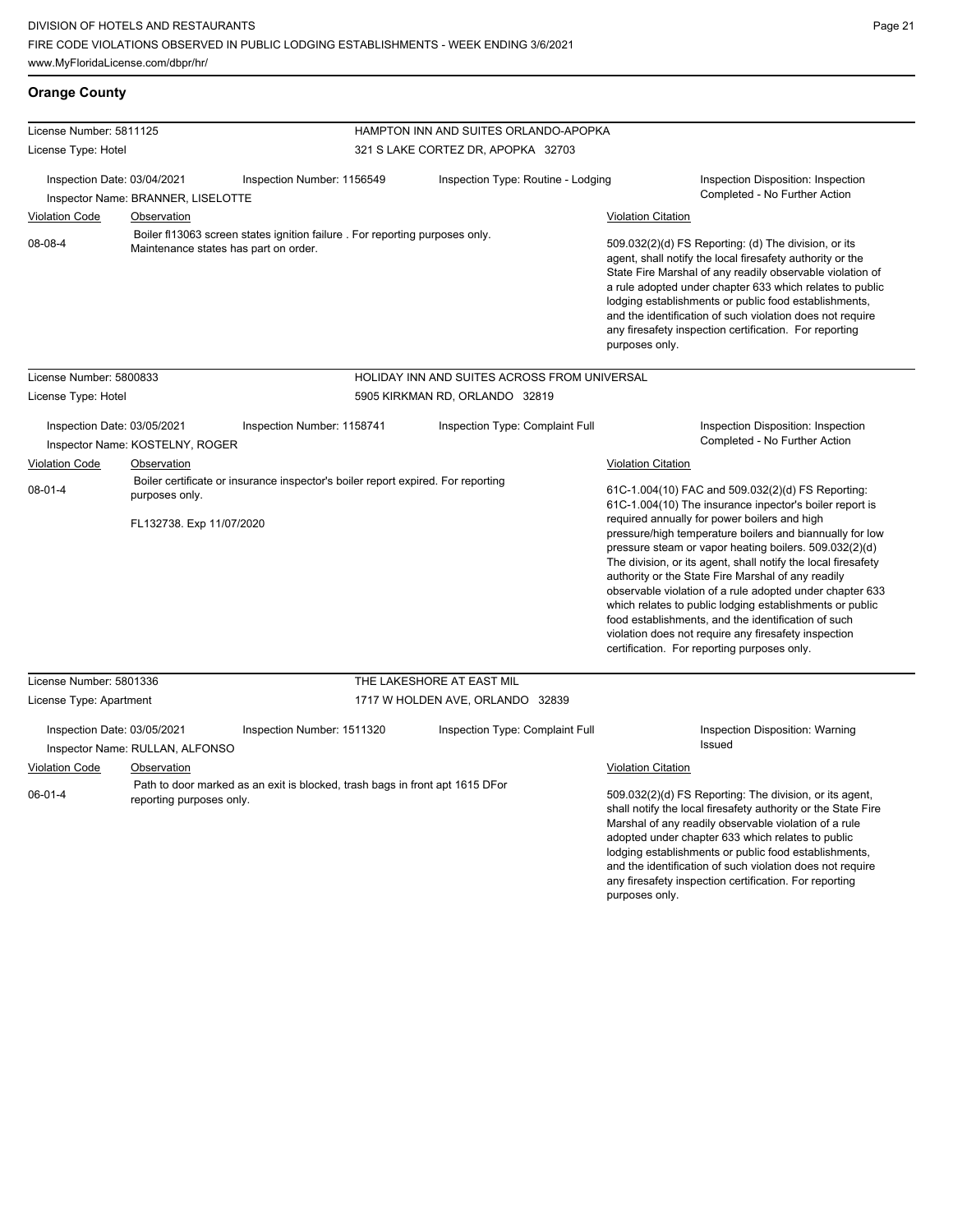**Orange County**

| License Number: 5811125                                                                                                          |                                                |                                                                                  | HAMPTON INN AND SUITES ORLANDO-APOPKA |                                                                                                                                                                                                                                                                                                                                                                                                                                              |                                                                                                                                                                                                                                                                                                                                                                                                                                                                                                                                                                                                                                                                                                 |  |  |
|----------------------------------------------------------------------------------------------------------------------------------|------------------------------------------------|----------------------------------------------------------------------------------|---------------------------------------|----------------------------------------------------------------------------------------------------------------------------------------------------------------------------------------------------------------------------------------------------------------------------------------------------------------------------------------------------------------------------------------------------------------------------------------------|-------------------------------------------------------------------------------------------------------------------------------------------------------------------------------------------------------------------------------------------------------------------------------------------------------------------------------------------------------------------------------------------------------------------------------------------------------------------------------------------------------------------------------------------------------------------------------------------------------------------------------------------------------------------------------------------------|--|--|
| License Type: Hotel                                                                                                              |                                                |                                                                                  | 321 S LAKE CORTEZ DR, APOPKA 32703    |                                                                                                                                                                                                                                                                                                                                                                                                                                              |                                                                                                                                                                                                                                                                                                                                                                                                                                                                                                                                                                                                                                                                                                 |  |  |
| Inspection Date: 03/04/2021                                                                                                      | Inspector Name: BRANNER, LISELOTTE             | Inspection Number: 1156549                                                       |                                       | Inspection Type: Routine - Lodging                                                                                                                                                                                                                                                                                                                                                                                                           | Inspection Disposition: Inspection<br>Completed - No Further Action                                                                                                                                                                                                                                                                                                                                                                                                                                                                                                                                                                                                                             |  |  |
| <b>Violation Code</b>                                                                                                            | Observation                                    |                                                                                  |                                       |                                                                                                                                                                                                                                                                                                                                                                                                                                              | <b>Violation Citation</b>                                                                                                                                                                                                                                                                                                                                                                                                                                                                                                                                                                                                                                                                       |  |  |
| Boiler f113063 screen states ignition failure . For reporting purposes only.<br>08-08-4<br>Maintenance states has part on order. |                                                |                                                                                  |                                       | 509.032(2)(d) FS Reporting: (d) The division, or its<br>agent, shall notify the local firesafety authority or the<br>State Fire Marshal of any readily observable violation of<br>a rule adopted under chapter 633 which relates to public<br>lodging establishments or public food establishments,<br>and the identification of such violation does not require<br>any firesafety inspection certification. For reporting<br>purposes only. |                                                                                                                                                                                                                                                                                                                                                                                                                                                                                                                                                                                                                                                                                                 |  |  |
| License Number: 5800833                                                                                                          |                                                |                                                                                  |                                       | HOLIDAY INN AND SUITES ACROSS FROM UNIVERSAL                                                                                                                                                                                                                                                                                                                                                                                                 |                                                                                                                                                                                                                                                                                                                                                                                                                                                                                                                                                                                                                                                                                                 |  |  |
| License Type: Hotel                                                                                                              |                                                |                                                                                  |                                       | 5905 KIRKMAN RD, ORLANDO 32819                                                                                                                                                                                                                                                                                                                                                                                                               |                                                                                                                                                                                                                                                                                                                                                                                                                                                                                                                                                                                                                                                                                                 |  |  |
| Inspection Date: 03/05/2021                                                                                                      | Inspector Name: KOSTELNY, ROGER                | Inspection Number: 1158741                                                       |                                       | Inspection Type: Complaint Full                                                                                                                                                                                                                                                                                                                                                                                                              | Inspection Disposition: Inspection<br>Completed - No Further Action                                                                                                                                                                                                                                                                                                                                                                                                                                                                                                                                                                                                                             |  |  |
| <b>Violation Code</b>                                                                                                            | Observation                                    |                                                                                  |                                       |                                                                                                                                                                                                                                                                                                                                                                                                                                              | <b>Violation Citation</b>                                                                                                                                                                                                                                                                                                                                                                                                                                                                                                                                                                                                                                                                       |  |  |
| $08-01-4$                                                                                                                        | purposes only.<br>FL132738. Exp 11/07/2020     | Boiler certificate or insurance inspector's boiler report expired. For reporting |                                       |                                                                                                                                                                                                                                                                                                                                                                                                                                              | 61C-1.004(10) FAC and 509.032(2)(d) FS Reporting:<br>61C-1.004(10) The insurance inpector's boiler report is<br>required annually for power boilers and high<br>pressure/high temperature boilers and biannually for low<br>pressure steam or vapor heating boilers. 509.032(2)(d)<br>The division, or its agent, shall notify the local firesafety<br>authority or the State Fire Marshal of any readily<br>observable violation of a rule adopted under chapter 633<br>which relates to public lodging establishments or public<br>food establishments, and the identification of such<br>violation does not require any firesafety inspection<br>certification. For reporting purposes only. |  |  |
| License Number: 5801336                                                                                                          |                                                |                                                                                  |                                       | THE LAKESHORE AT EAST MIL                                                                                                                                                                                                                                                                                                                                                                                                                    |                                                                                                                                                                                                                                                                                                                                                                                                                                                                                                                                                                                                                                                                                                 |  |  |
| License Type: Apartment<br>Inspection Date: 03/05/2021<br><b>Violation Code</b>                                                  | Inspector Name: RULLAN, ALFONSO<br>Observation | Inspection Number: 1511320                                                       |                                       | 1717 W HOLDEN AVE, ORLANDO 32839<br>Inspection Type: Complaint Full                                                                                                                                                                                                                                                                                                                                                                          | Inspection Disposition: Warning<br>Issued<br><b>Violation Citation</b>                                                                                                                                                                                                                                                                                                                                                                                                                                                                                                                                                                                                                          |  |  |
| $06 - 01 - 4$                                                                                                                    | reporting purposes only.                       | Path to door marked as an exit is blocked, trash bags in front apt 1615 DFor     |                                       |                                                                                                                                                                                                                                                                                                                                                                                                                                              | 509.032(2)(d) FS Reporting: The division, or its agent,<br>shall notify the local firesafety authority or the State Fire<br>Marshal of any readily observable violation of a rule<br>adopted under chapter 633 which relates to public<br>lodging establishments or public food establishments,<br>and the identification of such violation does not require<br>any firesafety inspection certification. For reporting                                                                                                                                                                                                                                                                          |  |  |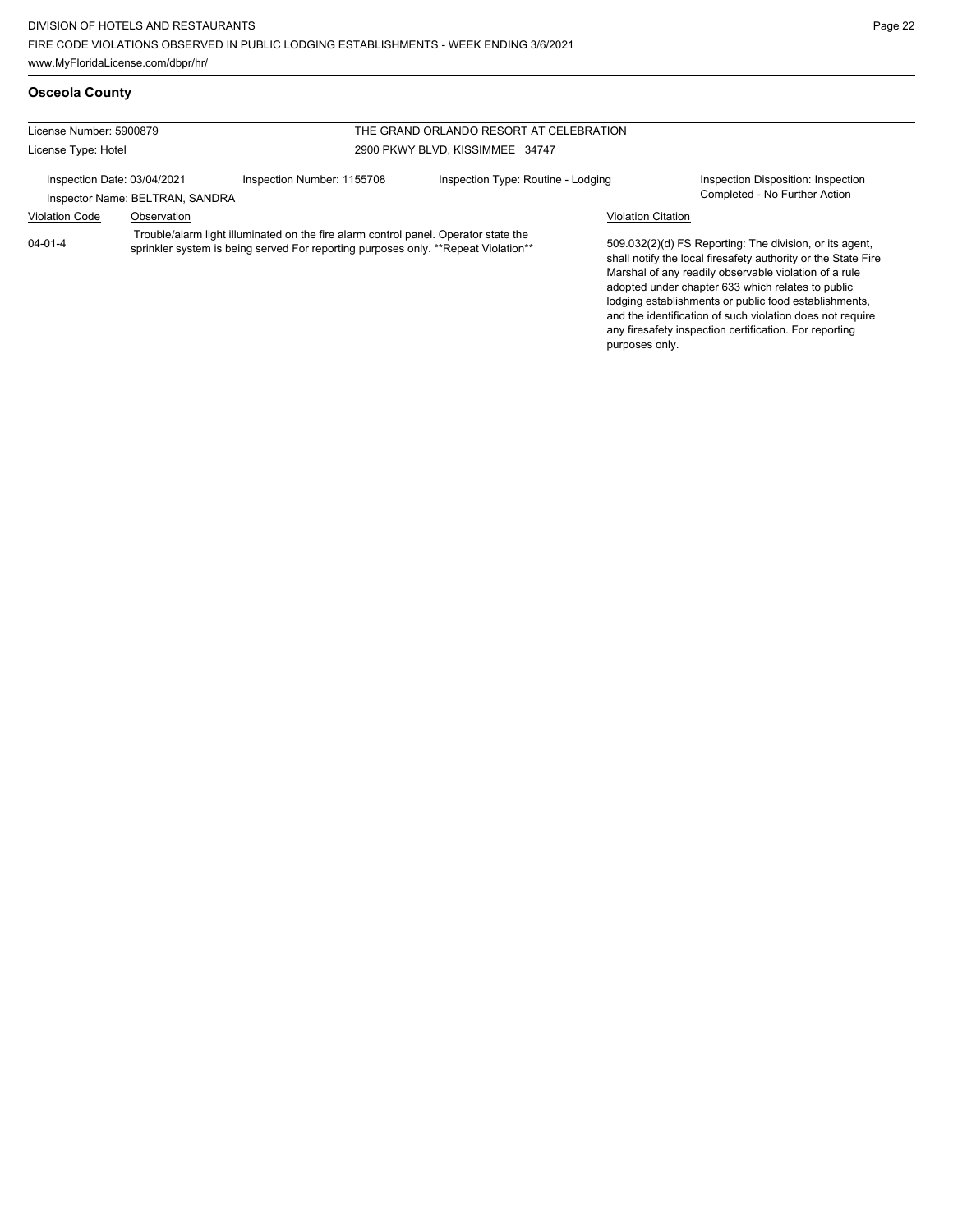and the identification of such violation does not require any firesafety inspection certification. For reporting

purposes only.

#### **Osceola County**

| License Number: 5900879     |                                 | THE GRAND ORLANDO RESORT AT CELEBRATION                                                                                                                                   |                                    |                           |                                                                                                                                                                                                                                                                                                 |
|-----------------------------|---------------------------------|---------------------------------------------------------------------------------------------------------------------------------------------------------------------------|------------------------------------|---------------------------|-------------------------------------------------------------------------------------------------------------------------------------------------------------------------------------------------------------------------------------------------------------------------------------------------|
| License Type: Hotel         |                                 | 2900 PKWY BLVD, KISSIMMEE 34747                                                                                                                                           |                                    |                           |                                                                                                                                                                                                                                                                                                 |
| Inspection Date: 03/04/2021 | Inspector Name: BELTRAN, SANDRA | Inspection Number: 1155708                                                                                                                                                | Inspection Type: Routine - Lodging |                           | Inspection Disposition: Inspection<br>Completed - No Further Action                                                                                                                                                                                                                             |
| <b>Violation Code</b>       | Observation                     |                                                                                                                                                                           |                                    | <b>Violation Citation</b> |                                                                                                                                                                                                                                                                                                 |
| $04 - 01 - 4$               |                                 | Trouble/alarm light illuminated on the fire alarm control panel. Operator state the<br>sprinkler system is being served For reporting purposes only. **Repeat Violation** |                                    |                           | 509.032(2)(d) FS Reporting: The division, or its agent,<br>shall notify the local firesafety authority or the State Fire<br>Marshal of any readily observable violation of a rule<br>adopted under chapter 633 which relates to public<br>lodging establishments or public food establishments, |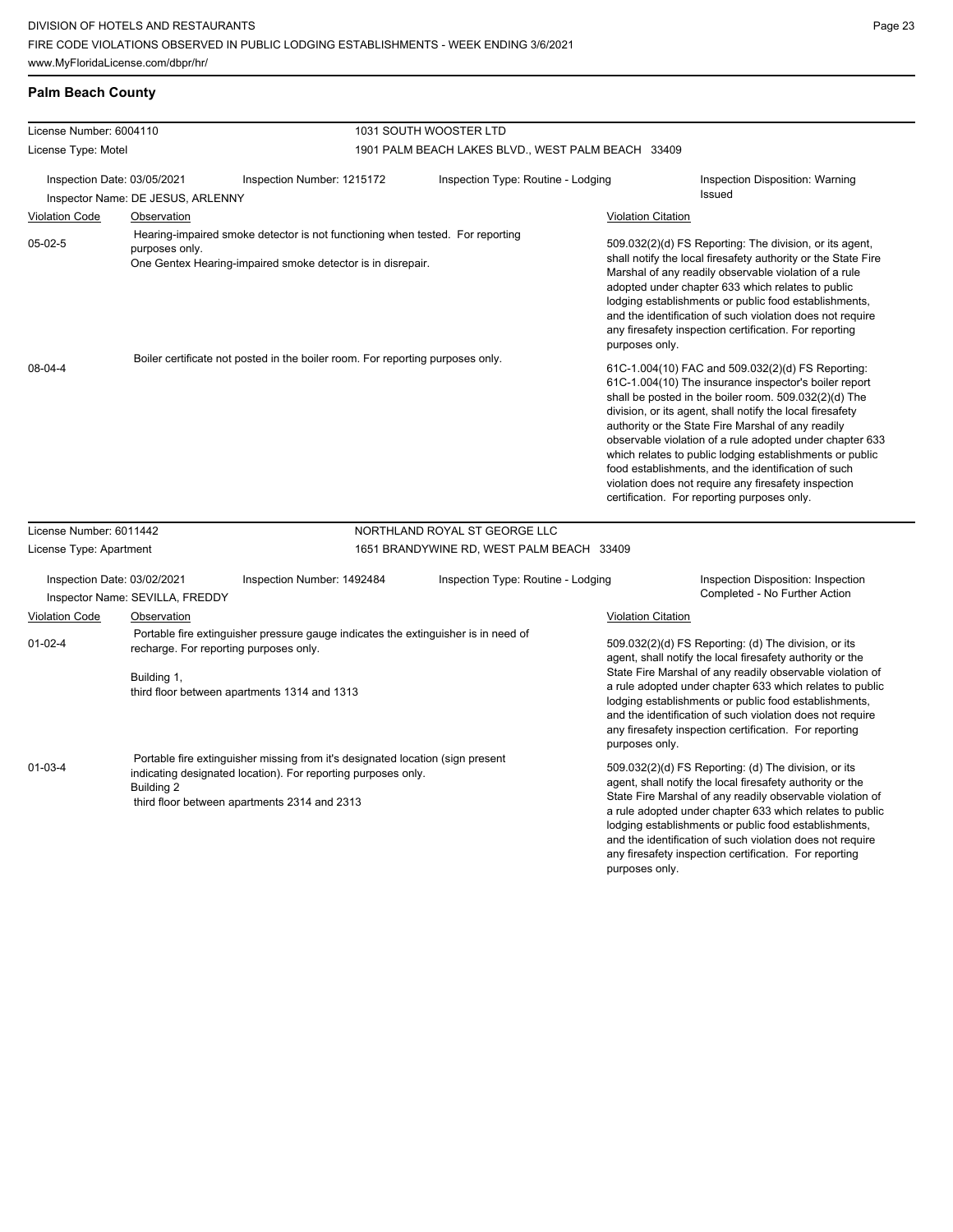#### **Palm Beach County**

| License Number: 6004110     |                                                                                                                                                                                             |                                                                                                                                                                                                 | 1031 SOUTH WOOSTER LTD                             |                                                                                                                                                                                                                                                                                                                                                                                                                                              |                                                                                                                                                                                                                                                                                                                                                                                                                                                                                                                                                                              |  |  |
|-----------------------------|---------------------------------------------------------------------------------------------------------------------------------------------------------------------------------------------|-------------------------------------------------------------------------------------------------------------------------------------------------------------------------------------------------|----------------------------------------------------|----------------------------------------------------------------------------------------------------------------------------------------------------------------------------------------------------------------------------------------------------------------------------------------------------------------------------------------------------------------------------------------------------------------------------------------------|------------------------------------------------------------------------------------------------------------------------------------------------------------------------------------------------------------------------------------------------------------------------------------------------------------------------------------------------------------------------------------------------------------------------------------------------------------------------------------------------------------------------------------------------------------------------------|--|--|
| License Type: Motel         |                                                                                                                                                                                             |                                                                                                                                                                                                 | 1901 PALM BEACH LAKES BLVD., WEST PALM BEACH 33409 |                                                                                                                                                                                                                                                                                                                                                                                                                                              |                                                                                                                                                                                                                                                                                                                                                                                                                                                                                                                                                                              |  |  |
| Inspection Date: 03/05/2021 | Inspector Name: DE JESUS, ARLENNY                                                                                                                                                           | Inspection Number: 1215172                                                                                                                                                                      | Inspection Type: Routine - Lodging                 |                                                                                                                                                                                                                                                                                                                                                                                                                                              | Inspection Disposition: Warning<br><b>Issued</b>                                                                                                                                                                                                                                                                                                                                                                                                                                                                                                                             |  |  |
| <b>Violation Code</b>       | <b>Observation</b>                                                                                                                                                                          |                                                                                                                                                                                                 |                                                    | <b>Violation Citation</b>                                                                                                                                                                                                                                                                                                                                                                                                                    |                                                                                                                                                                                                                                                                                                                                                                                                                                                                                                                                                                              |  |  |
| $05-02-5$                   | purposes only.                                                                                                                                                                              | Hearing-impaired smoke detector is not functioning when tested. For reporting<br>One Gentex Hearing-impaired smoke detector is in disrepair.                                                    |                                                    | purposes only.                                                                                                                                                                                                                                                                                                                                                                                                                               | 509.032(2)(d) FS Reporting: The division, or its agent,<br>shall notify the local firesafety authority or the State Fire<br>Marshal of any readily observable violation of a rule<br>adopted under chapter 633 which relates to public<br>lodging establishments or public food establishments,<br>and the identification of such violation does not require<br>any firesafety inspection certification. For reporting                                                                                                                                                       |  |  |
| 08-04-4                     |                                                                                                                                                                                             | Boiler certificate not posted in the boiler room. For reporting purposes only.                                                                                                                  |                                                    |                                                                                                                                                                                                                                                                                                                                                                                                                                              | 61C-1.004(10) FAC and 509.032(2)(d) FS Reporting:<br>61C-1.004(10) The insurance inspector's boiler report<br>shall be posted in the boiler room. 509.032(2)(d) The<br>division, or its agent, shall notify the local firesafety<br>authority or the State Fire Marshal of any readily<br>observable violation of a rule adopted under chapter 633<br>which relates to public lodging establishments or public<br>food establishments, and the identification of such<br>violation does not require any firesafety inspection<br>certification. For reporting purposes only. |  |  |
| License Number: 6011442     |                                                                                                                                                                                             |                                                                                                                                                                                                 | NORTHLAND ROYAL ST GEORGE LLC                      |                                                                                                                                                                                                                                                                                                                                                                                                                                              |                                                                                                                                                                                                                                                                                                                                                                                                                                                                                                                                                                              |  |  |
| License Type: Apartment     |                                                                                                                                                                                             |                                                                                                                                                                                                 | 1651 BRANDYWINE RD, WEST PALM BEACH 33409          |                                                                                                                                                                                                                                                                                                                                                                                                                                              |                                                                                                                                                                                                                                                                                                                                                                                                                                                                                                                                                                              |  |  |
| Inspection Date: 03/02/2021 | Inspector Name: SEVILLA, FREDDY                                                                                                                                                             | Inspection Number: 1492484                                                                                                                                                                      | Inspection Type: Routine - Lodging                 |                                                                                                                                                                                                                                                                                                                                                                                                                                              | Inspection Disposition: Inspection<br>Completed - No Further Action                                                                                                                                                                                                                                                                                                                                                                                                                                                                                                          |  |  |
| <b>Violation Code</b>       | Observation                                                                                                                                                                                 |                                                                                                                                                                                                 |                                                    | <b>Violation Citation</b>                                                                                                                                                                                                                                                                                                                                                                                                                    |                                                                                                                                                                                                                                                                                                                                                                                                                                                                                                                                                                              |  |  |
| $01 - 02 - 4$               | Portable fire extinguisher pressure gauge indicates the extinguisher is in need of<br>recharge. For reporting purposes only.<br>Building 1,<br>third floor between apartments 1314 and 1313 |                                                                                                                                                                                                 |                                                    | 509.032(2)(d) FS Reporting: (d) The division, or its<br>agent, shall notify the local firesafety authority or the<br>State Fire Marshal of any readily observable violation of<br>a rule adopted under chapter 633 which relates to public<br>lodging establishments or public food establishments,<br>and the identification of such violation does not require<br>any firesafety inspection certification. For reporting<br>purposes only. |                                                                                                                                                                                                                                                                                                                                                                                                                                                                                                                                                                              |  |  |
| $01 - 03 - 4$               | Building 2                                                                                                                                                                                  | Portable fire extinguisher missing from it's designated location (sign present<br>indicating designated location). For reporting purposes only.<br>third floor between apartments 2314 and 2313 |                                                    |                                                                                                                                                                                                                                                                                                                                                                                                                                              | 509.032(2)(d) FS Reporting: (d) The division, or its<br>agent, shall notify the local firesafety authority or the<br>State Fire Marshal of any readily observable violation of<br>a rule adopted under chapter 633 which relates to public<br>lodging establishments or public food establishments,<br>and the identification of such violation does not require<br>any firesafety inspection certification. For reporting                                                                                                                                                   |  |  |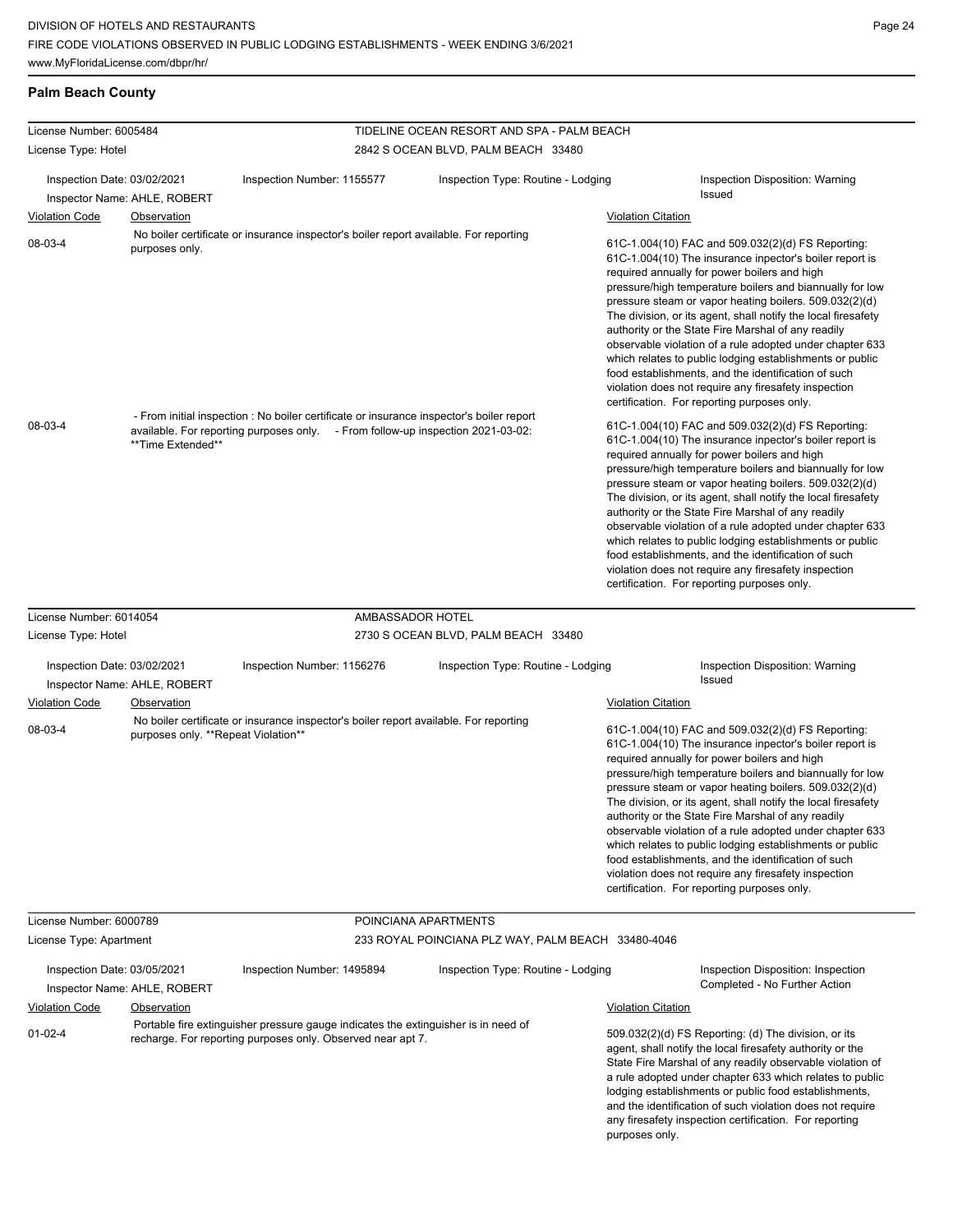#### **Palm Beach County**

| License Number: 6005484     |                                     |                                                                                                                                                                             |                                     | TIDELINE OCEAN RESORT AND SPA - PALM BEACH         |                           |                                                                                                                                                                                                                                                                                                                                                                                                                                                                                                                                                                                                                                                                                                 |
|-----------------------------|-------------------------------------|-----------------------------------------------------------------------------------------------------------------------------------------------------------------------------|-------------------------------------|----------------------------------------------------|---------------------------|-------------------------------------------------------------------------------------------------------------------------------------------------------------------------------------------------------------------------------------------------------------------------------------------------------------------------------------------------------------------------------------------------------------------------------------------------------------------------------------------------------------------------------------------------------------------------------------------------------------------------------------------------------------------------------------------------|
| License Type: Hotel         |                                     |                                                                                                                                                                             | 2842 S OCEAN BLVD, PALM BEACH 33480 |                                                    |                           |                                                                                                                                                                                                                                                                                                                                                                                                                                                                                                                                                                                                                                                                                                 |
| Inspection Date: 03/02/2021 | Inspector Name: AHLE, ROBERT        | Inspection Number: 1155577                                                                                                                                                  |                                     | Inspection Type: Routine - Lodging                 |                           | Inspection Disposition: Warning<br>Issued                                                                                                                                                                                                                                                                                                                                                                                                                                                                                                                                                                                                                                                       |
| <b>Violation Code</b>       | Observation                         |                                                                                                                                                                             |                                     |                                                    | <b>Violation Citation</b> |                                                                                                                                                                                                                                                                                                                                                                                                                                                                                                                                                                                                                                                                                                 |
| 08-03-4                     | purposes only.                      | No boiler certificate or insurance inspector's boiler report available. For reporting                                                                                       |                                     |                                                    |                           | 61C-1.004(10) FAC and 509.032(2)(d) FS Reporting:<br>61C-1.004(10) The insurance inpector's boiler report is<br>required annually for power boilers and high<br>pressure/high temperature boilers and biannually for low<br>pressure steam or vapor heating boilers. 509.032(2)(d)<br>The division, or its agent, shall notify the local firesafety<br>authority or the State Fire Marshal of any readily<br>observable violation of a rule adopted under chapter 633<br>which relates to public lodging establishments or public<br>food establishments, and the identification of such<br>violation does not require any firesafety inspection<br>certification. For reporting purposes only. |
| 08-03-4                     | **Time Extended**                   | - From initial inspection : No boiler certificate or insurance inspector's boiler report<br>available. For reporting purposes only. - From follow-up inspection 2021-03-02: |                                     |                                                    |                           | 61C-1.004(10) FAC and 509.032(2)(d) FS Reporting:<br>61C-1.004(10) The insurance inpector's boiler report is<br>required annually for power boilers and high<br>pressure/high temperature boilers and biannually for low<br>pressure steam or vapor heating boilers. 509.032(2)(d)<br>The division, or its agent, shall notify the local firesafety<br>authority or the State Fire Marshal of any readily<br>observable violation of a rule adopted under chapter 633<br>which relates to public lodging establishments or public<br>food establishments, and the identification of such<br>violation does not require any firesafety inspection<br>certification. For reporting purposes only. |
| License Number: 6014054     |                                     |                                                                                                                                                                             | AMBASSADOR HOTEL                    |                                                    |                           |                                                                                                                                                                                                                                                                                                                                                                                                                                                                                                                                                                                                                                                                                                 |
| License Type: Hotel         |                                     |                                                                                                                                                                             |                                     | 2730 S OCEAN BLVD, PALM BEACH 33480                |                           |                                                                                                                                                                                                                                                                                                                                                                                                                                                                                                                                                                                                                                                                                                 |
| Inspection Date: 03/02/2021 | Inspector Name: AHLE, ROBERT        | Inspection Number: 1156276                                                                                                                                                  |                                     | Inspection Type: Routine - Lodging                 |                           | Inspection Disposition: Warning<br>Issued                                                                                                                                                                                                                                                                                                                                                                                                                                                                                                                                                                                                                                                       |
| <b>Violation Code</b>       | Observation                         |                                                                                                                                                                             |                                     |                                                    | <b>Violation Citation</b> |                                                                                                                                                                                                                                                                                                                                                                                                                                                                                                                                                                                                                                                                                                 |
| 08-03-4                     | purposes only. **Repeat Violation** | No boiler certificate or insurance inspector's boiler report available. For reporting                                                                                       |                                     |                                                    |                           | 61C-1.004(10) FAC and 509.032(2)(d) FS Reporting:<br>61C-1.004(10) The insurance inpector's boiler report is<br>required annually for power boilers and high<br>pressure/high temperature boilers and biannually for low<br>pressure steam or vapor heating boilers. 509.032(2)(d)<br>The division, or its agent, shall notify the local firesafety<br>authority or the State Fire Marshal of any readily<br>observable violation of a rule adopted under chapter 633<br>which relates to public lodging establishments or public<br>food establishments, and the identification of such<br>violation does not require any firesafety inspection<br>certification. For reporting purposes only. |
| License Number: 6000789     |                                     |                                                                                                                                                                             | POINCIANA APARTMENTS                |                                                    |                           |                                                                                                                                                                                                                                                                                                                                                                                                                                                                                                                                                                                                                                                                                                 |
| License Type: Apartment     |                                     |                                                                                                                                                                             |                                     | 233 ROYAL POINCIANA PLZ WAY, PALM BEACH 33480-4046 |                           |                                                                                                                                                                                                                                                                                                                                                                                                                                                                                                                                                                                                                                                                                                 |
| Inspection Date: 03/05/2021 | Inspector Name: AHLE, ROBERT        | Inspection Number: 1495894                                                                                                                                                  |                                     | Inspection Type: Routine - Lodging                 |                           | Inspection Disposition: Inspection<br>Completed - No Further Action                                                                                                                                                                                                                                                                                                                                                                                                                                                                                                                                                                                                                             |
| <b>Violation Code</b>       | Observation                         |                                                                                                                                                                             |                                     |                                                    | <b>Violation Citation</b> |                                                                                                                                                                                                                                                                                                                                                                                                                                                                                                                                                                                                                                                                                                 |
| $01 - 02 - 4$               |                                     | Portable fire extinguisher pressure gauge indicates the extinguisher is in need of<br>recharge. For reporting purposes only. Observed near apt 7.                           |                                     |                                                    | purposes only.            | 509.032(2)(d) FS Reporting: (d) The division, or its<br>agent, shall notify the local firesafety authority or the<br>State Fire Marshal of any readily observable violation of<br>a rule adopted under chapter 633 which relates to public<br>lodging establishments or public food establishments,<br>and the identification of such violation does not require<br>any firesafety inspection certification. For reporting                                                                                                                                                                                                                                                                      |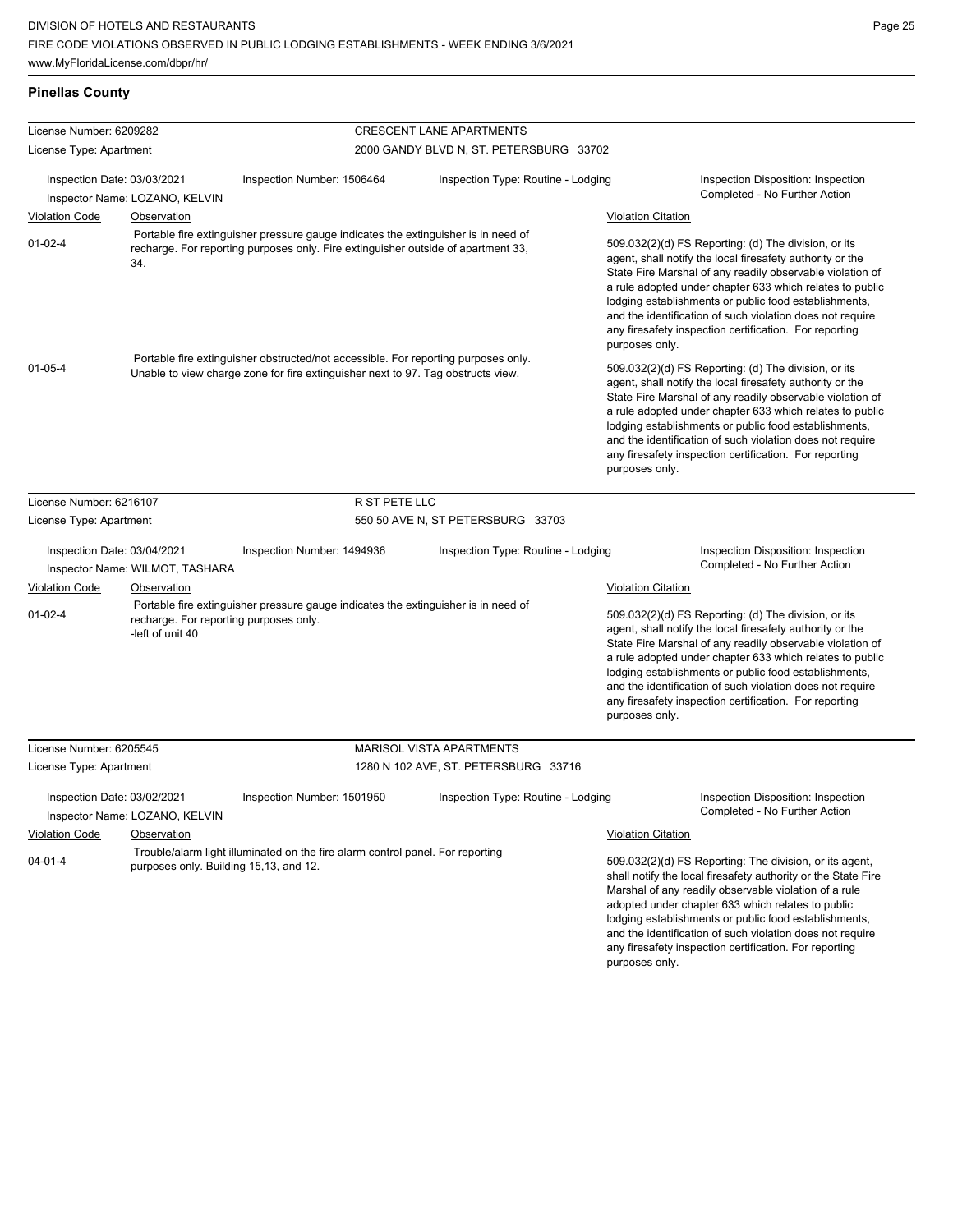#### **Pinellas County**

| License Number: 6209282                                                                                                                                                                 |                                                            |                                                                                                                                                                         | <b>CRESCENT LANE APARTMENTS</b>                                                                                                                                                                                                                                                                                                                                                                                                              |                           |                                                                                                                                                                                                                                                                                                                                                                                                                            |
|-----------------------------------------------------------------------------------------------------------------------------------------------------------------------------------------|------------------------------------------------------------|-------------------------------------------------------------------------------------------------------------------------------------------------------------------------|----------------------------------------------------------------------------------------------------------------------------------------------------------------------------------------------------------------------------------------------------------------------------------------------------------------------------------------------------------------------------------------------------------------------------------------------|---------------------------|----------------------------------------------------------------------------------------------------------------------------------------------------------------------------------------------------------------------------------------------------------------------------------------------------------------------------------------------------------------------------------------------------------------------------|
| License Type: Apartment                                                                                                                                                                 |                                                            |                                                                                                                                                                         | 2000 GANDY BLVD N, ST. PETERSBURG 33702                                                                                                                                                                                                                                                                                                                                                                                                      |                           |                                                                                                                                                                                                                                                                                                                                                                                                                            |
| Inspection Date: 03/03/2021                                                                                                                                                             | Inspector Name: LOZANO, KELVIN                             | Inspection Number: 1506464                                                                                                                                              | Inspection Type: Routine - Lodging                                                                                                                                                                                                                                                                                                                                                                                                           |                           | Inspection Disposition: Inspection<br>Completed - No Further Action                                                                                                                                                                                                                                                                                                                                                        |
| <b>Violation Code</b>                                                                                                                                                                   | Observation                                                |                                                                                                                                                                         |                                                                                                                                                                                                                                                                                                                                                                                                                                              | <b>Violation Citation</b> |                                                                                                                                                                                                                                                                                                                                                                                                                            |
| $01 - 02 - 4$                                                                                                                                                                           | 34.                                                        | Portable fire extinguisher pressure gauge indicates the extinguisher is in need of<br>recharge. For reporting purposes only. Fire extinguisher outside of apartment 33, |                                                                                                                                                                                                                                                                                                                                                                                                                                              | purposes only.            | 509.032(2)(d) FS Reporting: (d) The division, or its<br>agent, shall notify the local firesafety authority or the<br>State Fire Marshal of any readily observable violation of<br>a rule adopted under chapter 633 which relates to public<br>lodging establishments or public food establishments,<br>and the identification of such violation does not require<br>any firesafety inspection certification. For reporting |
| Portable fire extinguisher obstructed/not accessible. For reporting purposes only.<br>$01 - 05 - 4$<br>Unable to view charge zone for fire extinguisher next to 97. Tag obstructs view. |                                                            |                                                                                                                                                                         | 509.032(2)(d) FS Reporting: (d) The division, or its<br>agent, shall notify the local firesafety authority or the<br>State Fire Marshal of any readily observable violation of<br>a rule adopted under chapter 633 which relates to public<br>lodging establishments or public food establishments,<br>and the identification of such violation does not require<br>any firesafety inspection certification. For reporting<br>purposes only. |                           |                                                                                                                                                                                                                                                                                                                                                                                                                            |
| License Number: 6216107                                                                                                                                                                 |                                                            | R ST PETE LLC                                                                                                                                                           |                                                                                                                                                                                                                                                                                                                                                                                                                                              |                           |                                                                                                                                                                                                                                                                                                                                                                                                                            |
| License Type: Apartment                                                                                                                                                                 |                                                            |                                                                                                                                                                         | 550 50 AVE N, ST PETERSBURG 33703                                                                                                                                                                                                                                                                                                                                                                                                            |                           |                                                                                                                                                                                                                                                                                                                                                                                                                            |
| Inspection Date: 03/04/2021                                                                                                                                                             | Inspector Name: WILMOT, TASHARA                            | Inspection Number: 1494936                                                                                                                                              | Inspection Type: Routine - Lodging                                                                                                                                                                                                                                                                                                                                                                                                           |                           | Inspection Disposition: Inspection<br>Completed - No Further Action                                                                                                                                                                                                                                                                                                                                                        |
| <b>Violation Code</b>                                                                                                                                                                   | Observation                                                |                                                                                                                                                                         |                                                                                                                                                                                                                                                                                                                                                                                                                                              | <b>Violation Citation</b> |                                                                                                                                                                                                                                                                                                                                                                                                                            |
| $01 - 02 - 4$                                                                                                                                                                           | recharge. For reporting purposes only.<br>-left of unit 40 | Portable fire extinguisher pressure gauge indicates the extinguisher is in need of                                                                                      |                                                                                                                                                                                                                                                                                                                                                                                                                                              | purposes only.            | 509.032(2)(d) FS Reporting: (d) The division, or its<br>agent, shall notify the local firesafety authority or the<br>State Fire Marshal of any readily observable violation of<br>a rule adopted under chapter 633 which relates to public<br>lodging establishments or public food establishments,<br>and the identification of such violation does not require<br>any firesafety inspection certification. For reporting |
| License Number: 6205545                                                                                                                                                                 |                                                            |                                                                                                                                                                         | <b>MARISOL VISTA APARTMENTS</b>                                                                                                                                                                                                                                                                                                                                                                                                              |                           |                                                                                                                                                                                                                                                                                                                                                                                                                            |
| License Type: Apartment                                                                                                                                                                 |                                                            |                                                                                                                                                                         | 1280 N 102 AVE, ST. PETERSBURG 33716                                                                                                                                                                                                                                                                                                                                                                                                         |                           |                                                                                                                                                                                                                                                                                                                                                                                                                            |
| Inspection Date: 03/02/2021                                                                                                                                                             | Inspector Name: LOZANO, KELVIN                             | Inspection Number: 1501950                                                                                                                                              | Inspection Type: Routine - Lodging                                                                                                                                                                                                                                                                                                                                                                                                           |                           | Inspection Disposition: Inspection<br>Completed - No Further Action                                                                                                                                                                                                                                                                                                                                                        |
| <b>Violation Code</b>                                                                                                                                                                   | Observation                                                |                                                                                                                                                                         |                                                                                                                                                                                                                                                                                                                                                                                                                                              | <b>Violation Citation</b> |                                                                                                                                                                                                                                                                                                                                                                                                                            |
| 04-01-4<br>purposes only. Building 15,13, and 12.                                                                                                                                       |                                                            |                                                                                                                                                                         | Trouble/alarm light illuminated on the fire alarm control panel. For reporting                                                                                                                                                                                                                                                                                                                                                               |                           | 509.032(2)(d) FS Reporting: The division, or its agent,<br>shall notify the local firesafety authority or the State Fire<br>Marshal of any readily observable violation of a rule<br>adopted under chapter 633 which relates to public<br>lodging establishments or public food establishments,<br>and the identification of such violation does not require<br>any firesafety inspection certification. For reporting     |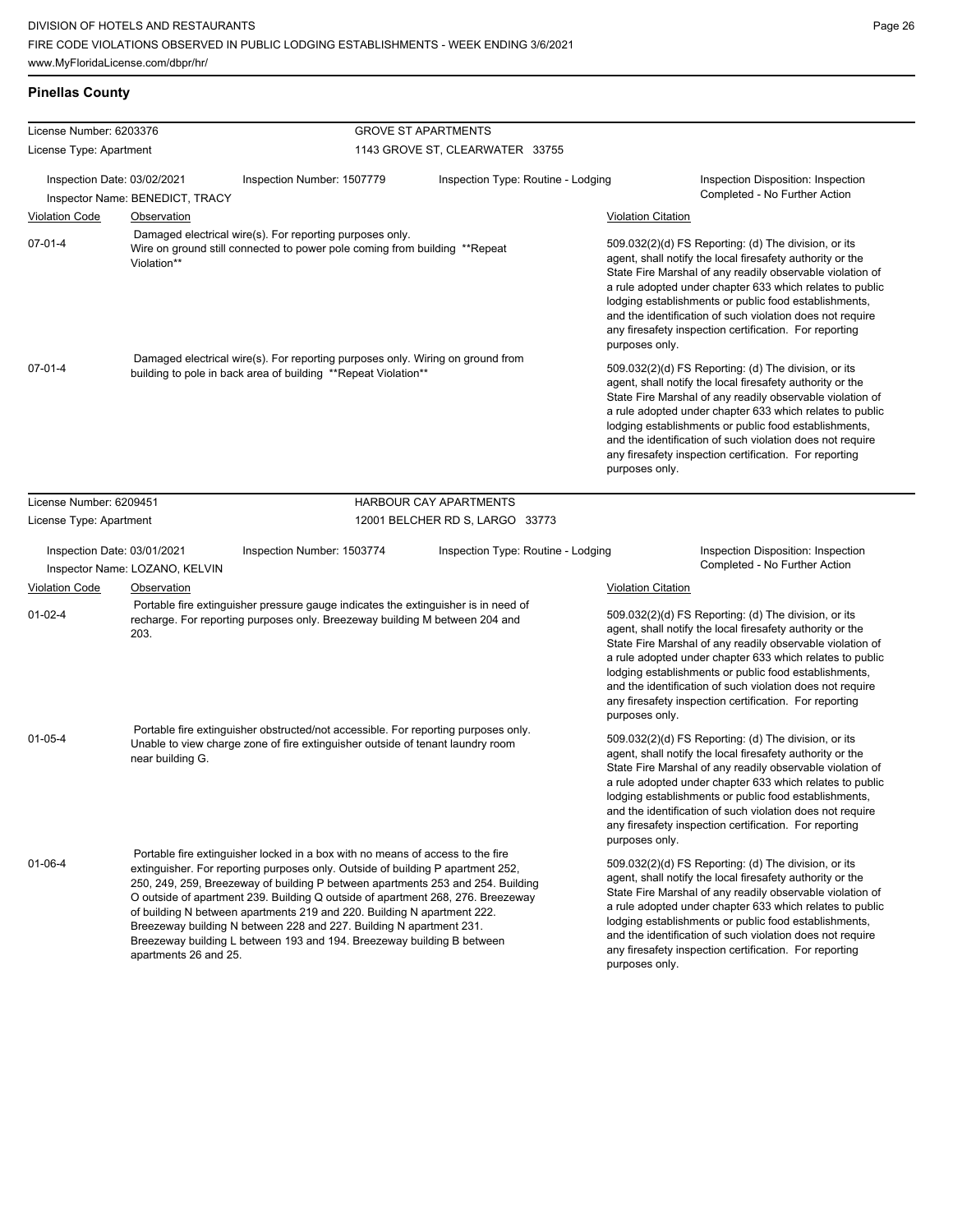|  | <b>Pinellas County</b> |
|--|------------------------|
|  |                        |

| License Number: 6203376                                                                      |                                                                                                                                                                                                                                                                                                                                                                                                                                                                                                                                                                                              | <b>GROVE ST APARTMENTS</b>                                                                                                                                        |                                    |                                                                                                                                                                                                                                                                                                                                                                                                                                              |  |  |
|----------------------------------------------------------------------------------------------|----------------------------------------------------------------------------------------------------------------------------------------------------------------------------------------------------------------------------------------------------------------------------------------------------------------------------------------------------------------------------------------------------------------------------------------------------------------------------------------------------------------------------------------------------------------------------------------------|-------------------------------------------------------------------------------------------------------------------------------------------------------------------|------------------------------------|----------------------------------------------------------------------------------------------------------------------------------------------------------------------------------------------------------------------------------------------------------------------------------------------------------------------------------------------------------------------------------------------------------------------------------------------|--|--|
| License Type: Apartment                                                                      |                                                                                                                                                                                                                                                                                                                                                                                                                                                                                                                                                                                              | 1143 GROVE ST, CLEARWATER 33755                                                                                                                                   |                                    |                                                                                                                                                                                                                                                                                                                                                                                                                                              |  |  |
| Inspection Date: 03/02/2021<br>Inspection Number: 1507779<br>Inspector Name: BENEDICT, TRACY |                                                                                                                                                                                                                                                                                                                                                                                                                                                                                                                                                                                              | Inspection Type: Routine - Lodging                                                                                                                                |                                    | Inspection Disposition: Inspection<br>Completed - No Further Action                                                                                                                                                                                                                                                                                                                                                                          |  |  |
| <b>Violation Code</b>                                                                        | <b>Observation</b>                                                                                                                                                                                                                                                                                                                                                                                                                                                                                                                                                                           |                                                                                                                                                                   |                                    | <b>Violation Citation</b>                                                                                                                                                                                                                                                                                                                                                                                                                    |  |  |
| $07 - 01 - 4$                                                                                | Damaged electrical wire(s). For reporting purposes only.<br>Wire on ground still connected to power pole coming from building **Repeat<br>Violation**                                                                                                                                                                                                                                                                                                                                                                                                                                        |                                                                                                                                                                   |                                    | 509.032(2)(d) FS Reporting: (d) The division, or its<br>agent, shall notify the local firesafety authority or the<br>State Fire Marshal of any readily observable violation of<br>a rule adopted under chapter 633 which relates to public<br>lodging establishments or public food establishments,<br>and the identification of such violation does not require<br>any firesafety inspection certification. For reporting<br>purposes only. |  |  |
|                                                                                              | Damaged electrical wire(s). For reporting purposes only. Wiring on ground from                                                                                                                                                                                                                                                                                                                                                                                                                                                                                                               |                                                                                                                                                                   |                                    |                                                                                                                                                                                                                                                                                                                                                                                                                                              |  |  |
| $07 - 01 - 4$                                                                                | building to pole in back area of building **Repeat Violation**                                                                                                                                                                                                                                                                                                                                                                                                                                                                                                                               |                                                                                                                                                                   |                                    | 509.032(2)(d) FS Reporting: (d) The division, or its<br>agent, shall notify the local firesafety authority or the<br>State Fire Marshal of any readily observable violation of<br>a rule adopted under chapter 633 which relates to public<br>lodging establishments or public food establishments,<br>and the identification of such violation does not require<br>any firesafety inspection certification. For reporting<br>purposes only. |  |  |
| License Number: 6209451                                                                      |                                                                                                                                                                                                                                                                                                                                                                                                                                                                                                                                                                                              | <b>HARBOUR CAY APARTMENTS</b>                                                                                                                                     |                                    |                                                                                                                                                                                                                                                                                                                                                                                                                                              |  |  |
| License Type: Apartment                                                                      |                                                                                                                                                                                                                                                                                                                                                                                                                                                                                                                                                                                              | 12001 BELCHER RD S, LARGO 33773                                                                                                                                   |                                    |                                                                                                                                                                                                                                                                                                                                                                                                                                              |  |  |
| Inspection Date: 03/01/2021                                                                  | Inspection Number: 1503774                                                                                                                                                                                                                                                                                                                                                                                                                                                                                                                                                                   |                                                                                                                                                                   | Inspection Type: Routine - Lodging | Inspection Disposition: Inspection                                                                                                                                                                                                                                                                                                                                                                                                           |  |  |
|                                                                                              | Inspector Name: LOZANO, KELVIN                                                                                                                                                                                                                                                                                                                                                                                                                                                                                                                                                               |                                                                                                                                                                   |                                    | Completed - No Further Action                                                                                                                                                                                                                                                                                                                                                                                                                |  |  |
| <b>Violation Code</b>                                                                        | <b>Observation</b>                                                                                                                                                                                                                                                                                                                                                                                                                                                                                                                                                                           |                                                                                                                                                                   |                                    | <b>Violation Citation</b>                                                                                                                                                                                                                                                                                                                                                                                                                    |  |  |
|                                                                                              |                                                                                                                                                                                                                                                                                                                                                                                                                                                                                                                                                                                              | Portable fire extinguisher pressure gauge indicates the extinguisher is in need of<br>recharge. For reporting purposes only. Breezeway building M between 204 and |                                    |                                                                                                                                                                                                                                                                                                                                                                                                                                              |  |  |
| $01 - 02 - 4$                                                                                | 203.                                                                                                                                                                                                                                                                                                                                                                                                                                                                                                                                                                                         |                                                                                                                                                                   |                                    | 509.032(2)(d) FS Reporting: (d) The division, or its<br>agent, shall notify the local firesafety authority or the<br>State Fire Marshal of any readily observable violation of<br>a rule adopted under chapter 633 which relates to public<br>lodging establishments or public food establishments,<br>and the identification of such violation does not require<br>any firesafety inspection certification. For reporting<br>purposes only. |  |  |
| $01 - 05 - 4$                                                                                | Portable fire extinguisher obstructed/not accessible. For reporting purposes only.<br>Unable to view charge zone of fire extinguisher outside of tenant laundry room<br>near building G.                                                                                                                                                                                                                                                                                                                                                                                                     |                                                                                                                                                                   |                                    | 509.032(2)(d) FS Reporting: (d) The division, or its<br>agent, shall notify the local firesafety authority or the<br>State Fire Marshal of any readily observable violation of<br>a rule adopted under chapter 633 which relates to public<br>lodging establishments or public food establishments,<br>and the identification of such violation does not require<br>any firesafety inspection certification. For reporting<br>purposes only. |  |  |
| $01 - 06 - 4$                                                                                | Portable fire extinguisher locked in a box with no means of access to the fire<br>extinguisher. For reporting purposes only. Outside of building P apartment 252,<br>250, 249, 259, Breezeway of building P between apartments 253 and 254. Building<br>O outside of apartment 239. Building Q outside of apartment 268, 276. Breezeway<br>of building N between apartments 219 and 220. Building N apartment 222.<br>Breezeway building N between 228 and 227. Building N apartment 231.<br>Breezeway building L between 193 and 194. Breezeway building B between<br>apartments 26 and 25. |                                                                                                                                                                   |                                    | 509.032(2)(d) FS Reporting: (d) The division, or its<br>agent, shall notify the local firesafety authority or the<br>State Fire Marshal of any readily observable violation of<br>a rule adopted under chapter 633 which relates to public<br>lodging establishments or public food establishments,<br>and the identification of such violation does not require<br>any firesafety inspection certification. For reporting<br>purposes only. |  |  |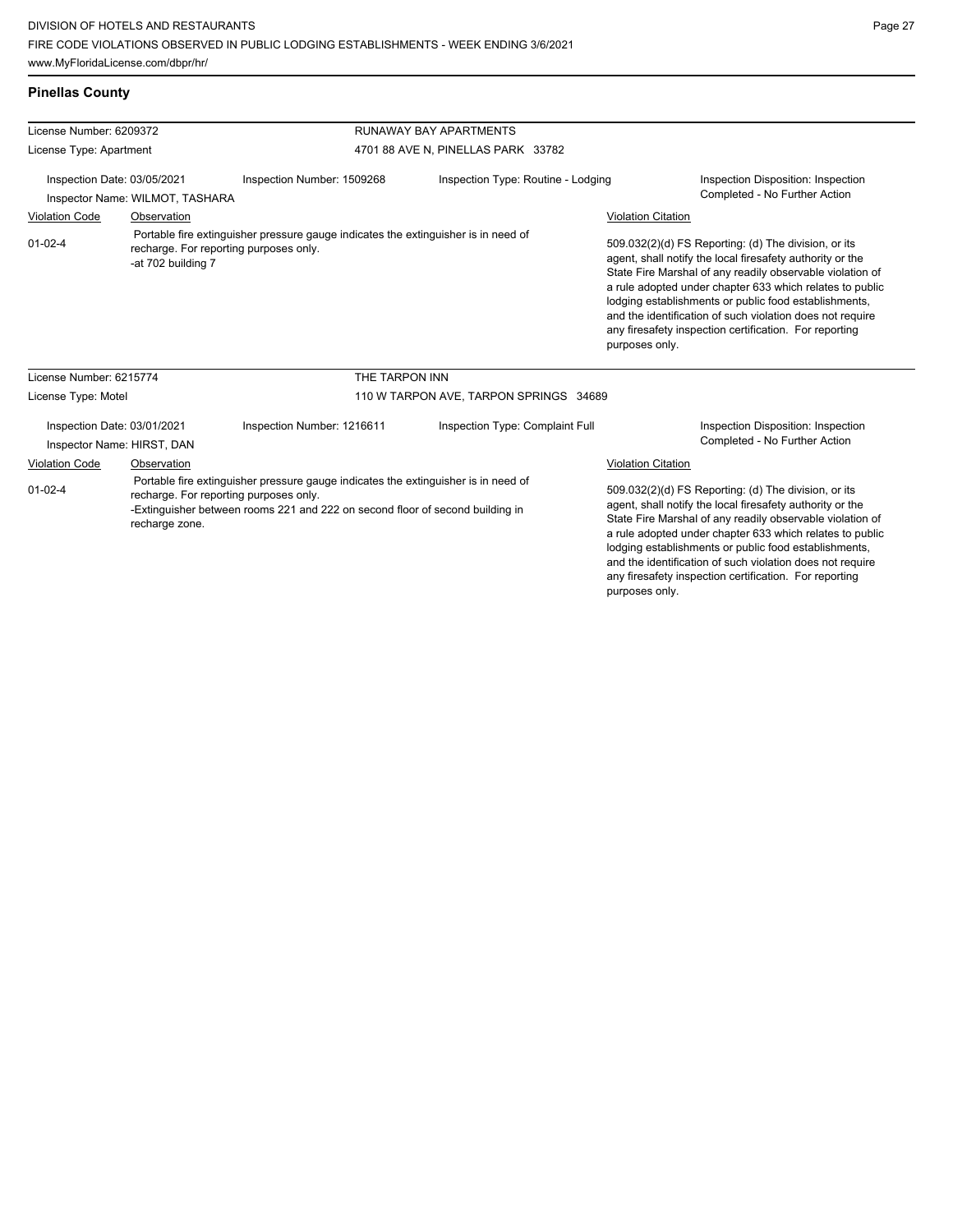#### **Pinellas County**

| License Number: 6209372                                                                                                                                                                                                                          |             |                                        | <b>RUNAWAY BAY APARTMENTS</b>      |                                                                                                                                                                                                                                                                                                                                                                                                                                              |  |  |
|--------------------------------------------------------------------------------------------------------------------------------------------------------------------------------------------------------------------------------------------------|-------------|----------------------------------------|------------------------------------|----------------------------------------------------------------------------------------------------------------------------------------------------------------------------------------------------------------------------------------------------------------------------------------------------------------------------------------------------------------------------------------------------------------------------------------------|--|--|
| License Type: Apartment                                                                                                                                                                                                                          |             |                                        | 4701 88 AVE N, PINELLAS PARK 33782 |                                                                                                                                                                                                                                                                                                                                                                                                                                              |  |  |
| Inspection Date: 03/05/2021<br>Inspector Name: WILMOT, TASHARA                                                                                                                                                                                   |             | Inspection Number: 1509268             | Inspection Type: Routine - Lodging | Inspection Disposition: Inspection<br>Completed - No Further Action                                                                                                                                                                                                                                                                                                                                                                          |  |  |
| <b>Violation Code</b>                                                                                                                                                                                                                            | Observation |                                        |                                    | <b>Violation Citation</b>                                                                                                                                                                                                                                                                                                                                                                                                                    |  |  |
| Portable fire extinguisher pressure gauge indicates the extinguisher is in need of<br>$01 - 02 - 4$<br>recharge. For reporting purposes only.<br>-at 702 building 7                                                                              |             |                                        |                                    | 509.032(2)(d) FS Reporting: (d) The division, or its<br>agent, shall notify the local firesafety authority or the<br>State Fire Marshal of any readily observable violation of<br>a rule adopted under chapter 633 which relates to public<br>lodging establishments or public food establishments,<br>and the identification of such violation does not require<br>any firesafety inspection certification. For reporting<br>purposes only. |  |  |
| License Number: 6215774                                                                                                                                                                                                                          |             | THE TARPON INN                         |                                    |                                                                                                                                                                                                                                                                                                                                                                                                                                              |  |  |
| License Type: Motel                                                                                                                                                                                                                              |             | 110 W TARPON AVE, TARPON SPRINGS 34689 |                                    |                                                                                                                                                                                                                                                                                                                                                                                                                                              |  |  |
| Inspection Date: 03/01/2021<br>Inspector Name: HIRST, DAN                                                                                                                                                                                        |             | Inspection Number: 1216611             | Inspection Type: Complaint Full    | Inspection Disposition: Inspection<br>Completed - No Further Action                                                                                                                                                                                                                                                                                                                                                                          |  |  |
| Violation Code                                                                                                                                                                                                                                   | Observation |                                        |                                    | Violation Citation                                                                                                                                                                                                                                                                                                                                                                                                                           |  |  |
| Portable fire extinguisher pressure gauge indicates the extinguisher is in need of<br>$01 - 02 - 4$<br>recharge. For reporting purposes only.<br>-Extinguisher between rooms 221 and 222 on second floor of second building in<br>recharge zone. |             |                                        |                                    | 509.032(2)(d) FS Reporting: (d) The division, or its<br>agent, shall notify the local firesafety authority or the<br>State Fire Marshal of any readily observable violation of<br>a rule adopted under chapter 633 which relates to public<br>lodging establishments or public food establishments,<br>and the identification of such violation does not require<br>any firesafety inspection certification. For reporting<br>purposes only. |  |  |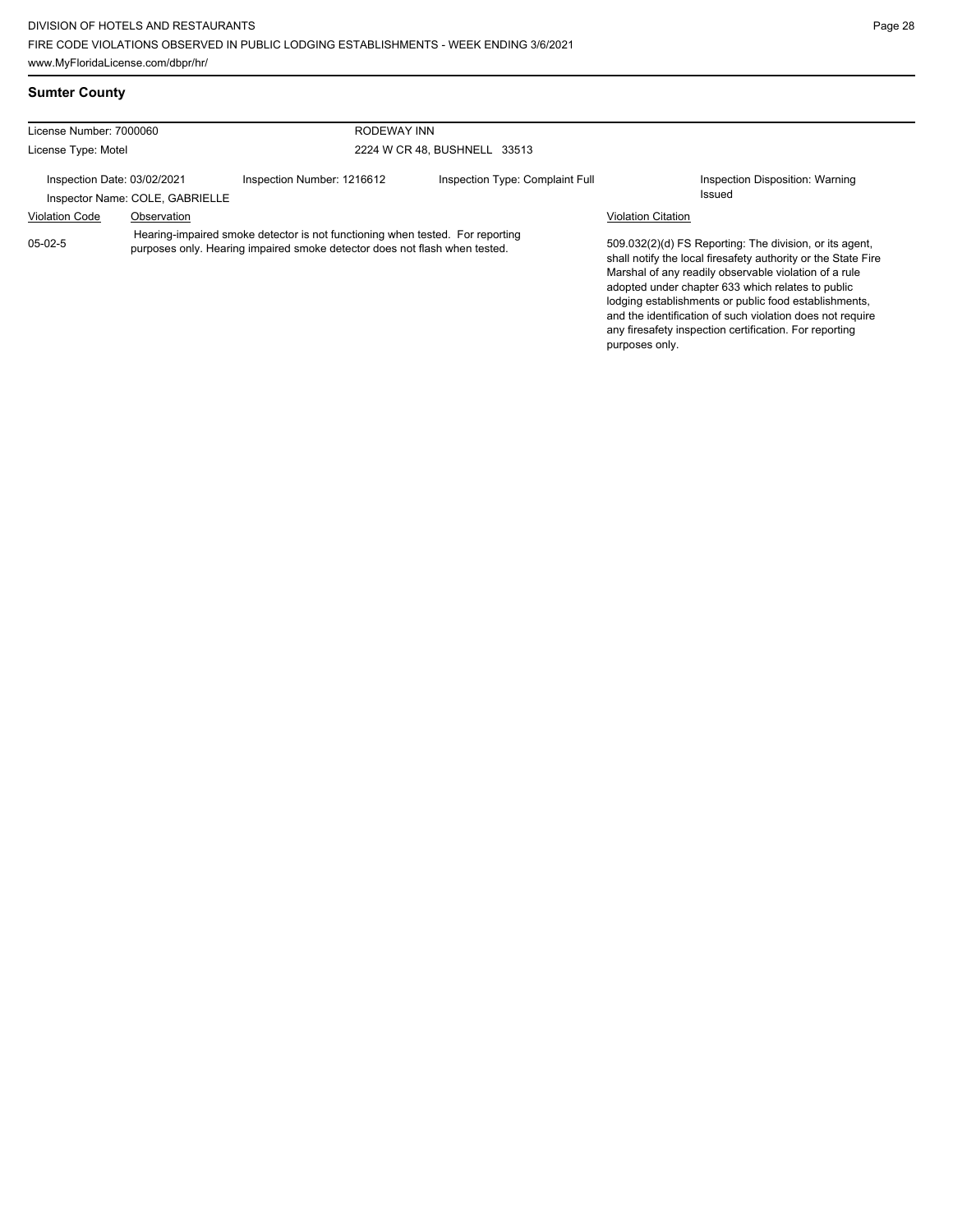and the identification of such violation does not require any firesafety inspection certification. For reporting

purposes only.

#### **Sumter County**

| License Number: 7000060                                        |                                                                                                                                                             |                            | RODEWAY INN                     |                           |                                                                                                                                                                                                                                                                                                 |  |
|----------------------------------------------------------------|-------------------------------------------------------------------------------------------------------------------------------------------------------------|----------------------------|---------------------------------|---------------------------|-------------------------------------------------------------------------------------------------------------------------------------------------------------------------------------------------------------------------------------------------------------------------------------------------|--|
| License Type: Motel                                            |                                                                                                                                                             |                            | 2224 W CR 48, BUSHNELL 33513    |                           |                                                                                                                                                                                                                                                                                                 |  |
| Inspection Date: 03/02/2021<br>Inspector Name: COLE, GABRIELLE |                                                                                                                                                             | Inspection Number: 1216612 | Inspection Type: Complaint Full |                           | Inspection Disposition: Warning<br>Issued                                                                                                                                                                                                                                                       |  |
| <b>Violation Code</b>                                          | Observation                                                                                                                                                 |                            |                                 | <b>Violation Citation</b> |                                                                                                                                                                                                                                                                                                 |  |
| $05-02-5$                                                      | Hearing-impaired smoke detector is not functioning when tested. For reporting<br>purposes only. Hearing impaired smoke detector does not flash when tested. |                            |                                 |                           | 509.032(2)(d) FS Reporting: The division, or its agent,<br>shall notify the local firesafety authority or the State Fire<br>Marshal of any readily observable violation of a rule<br>adopted under chapter 633 which relates to public<br>lodging establishments or public food establishments, |  |